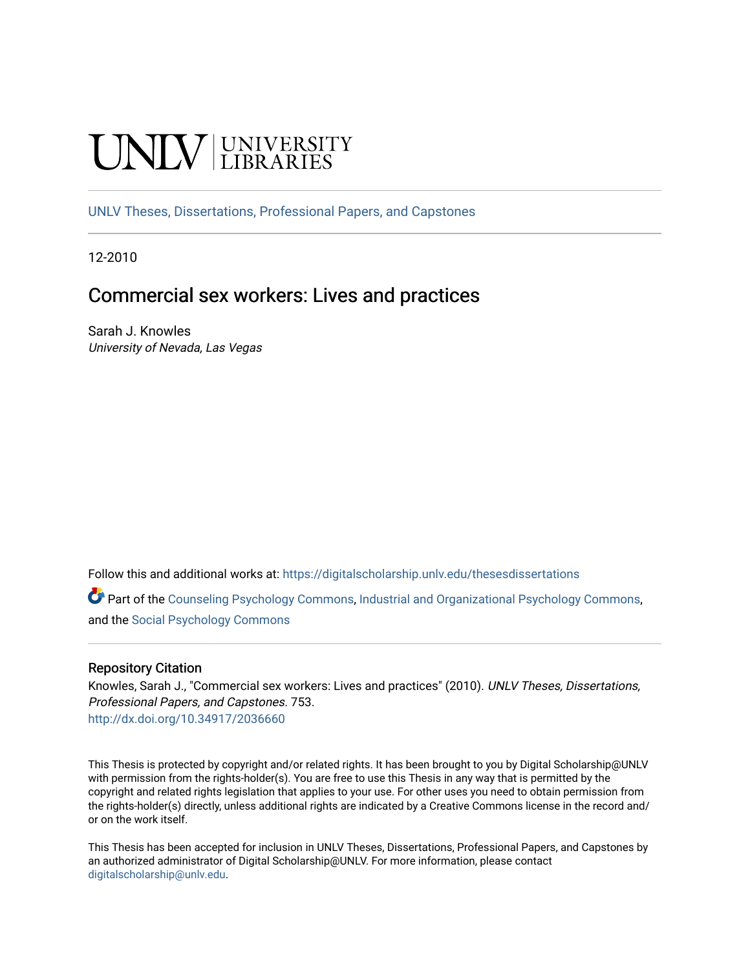# **INIVERSITY**

[UNLV Theses, Dissertations, Professional Papers, and Capstones](https://digitalscholarship.unlv.edu/thesesdissertations)

12-2010

# Commercial sex workers: Lives and practices

Sarah J. Knowles University of Nevada, Las Vegas

Follow this and additional works at: [https://digitalscholarship.unlv.edu/thesesdissertations](https://digitalscholarship.unlv.edu/thesesdissertations?utm_source=digitalscholarship.unlv.edu%2Fthesesdissertations%2F753&utm_medium=PDF&utm_campaign=PDFCoverPages)

Part of the [Counseling Psychology Commons](http://network.bepress.com/hgg/discipline/1044?utm_source=digitalscholarship.unlv.edu%2Fthesesdissertations%2F753&utm_medium=PDF&utm_campaign=PDFCoverPages), [Industrial and Organizational Psychology Commons,](http://network.bepress.com/hgg/discipline/412?utm_source=digitalscholarship.unlv.edu%2Fthesesdissertations%2F753&utm_medium=PDF&utm_campaign=PDFCoverPages) and the [Social Psychology Commons](http://network.bepress.com/hgg/discipline/414?utm_source=digitalscholarship.unlv.edu%2Fthesesdissertations%2F753&utm_medium=PDF&utm_campaign=PDFCoverPages) 

#### Repository Citation

Knowles, Sarah J., "Commercial sex workers: Lives and practices" (2010). UNLV Theses, Dissertations, Professional Papers, and Capstones. 753. <http://dx.doi.org/10.34917/2036660>

This Thesis is protected by copyright and/or related rights. It has been brought to you by Digital Scholarship@UNLV with permission from the rights-holder(s). You are free to use this Thesis in any way that is permitted by the copyright and related rights legislation that applies to your use. For other uses you need to obtain permission from the rights-holder(s) directly, unless additional rights are indicated by a Creative Commons license in the record and/ or on the work itself.

This Thesis has been accepted for inclusion in UNLV Theses, Dissertations, Professional Papers, and Capstones by an authorized administrator of Digital Scholarship@UNLV. For more information, please contact [digitalscholarship@unlv.edu](mailto:digitalscholarship@unlv.edu).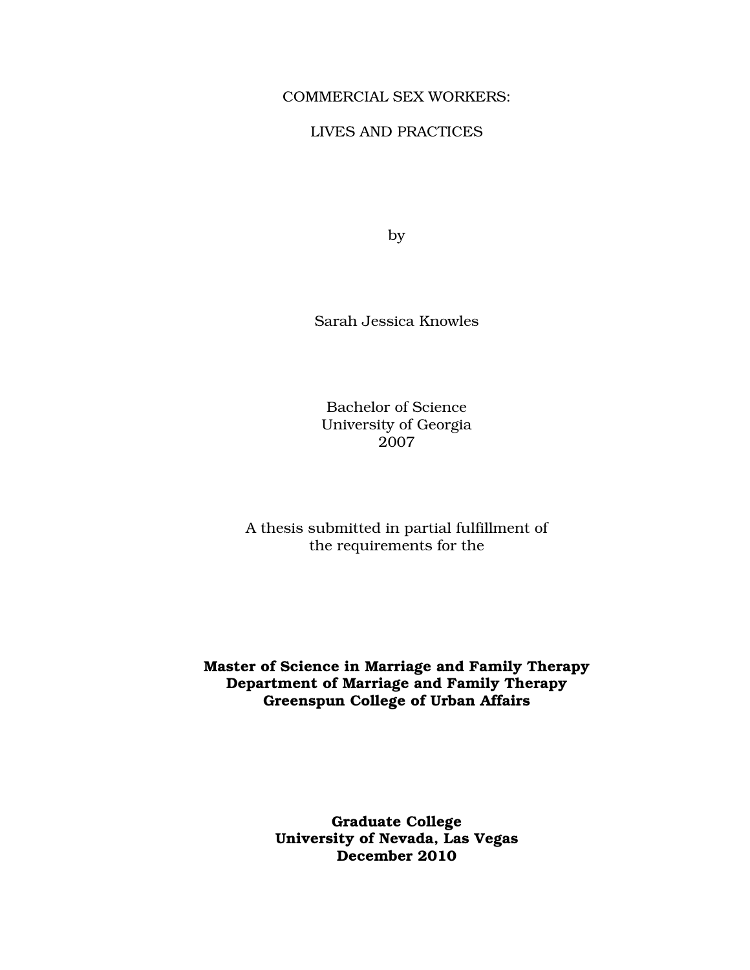#### COMMERCIAL SEX WORKERS:

## LIVES AND PRACTICES

by

Sarah Jessica Knowles

Bachelor of Science University of Georgia 2007

A thesis submitted in partial fulfillment of the requirements for the

# Master of Science in Marriage and Family Therapy Department of Marriage and Family Therapy Greenspun College of Urban Affairs

Graduate College University of Nevada, Las Vegas December 2010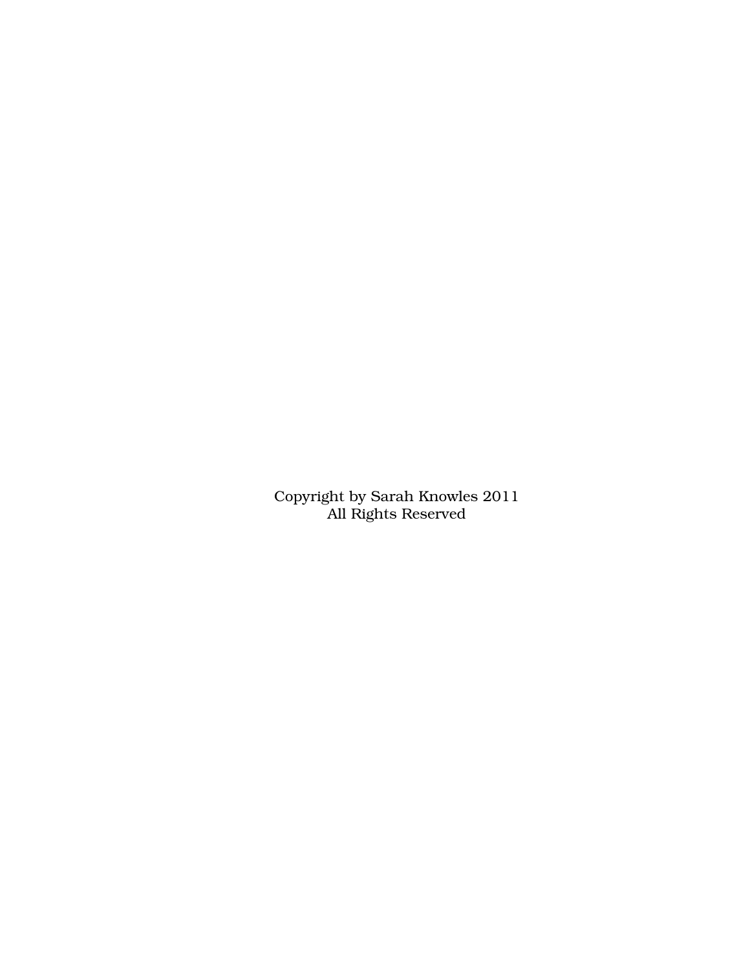Copyright by Sarah Knowles 2011 All Rights Reserved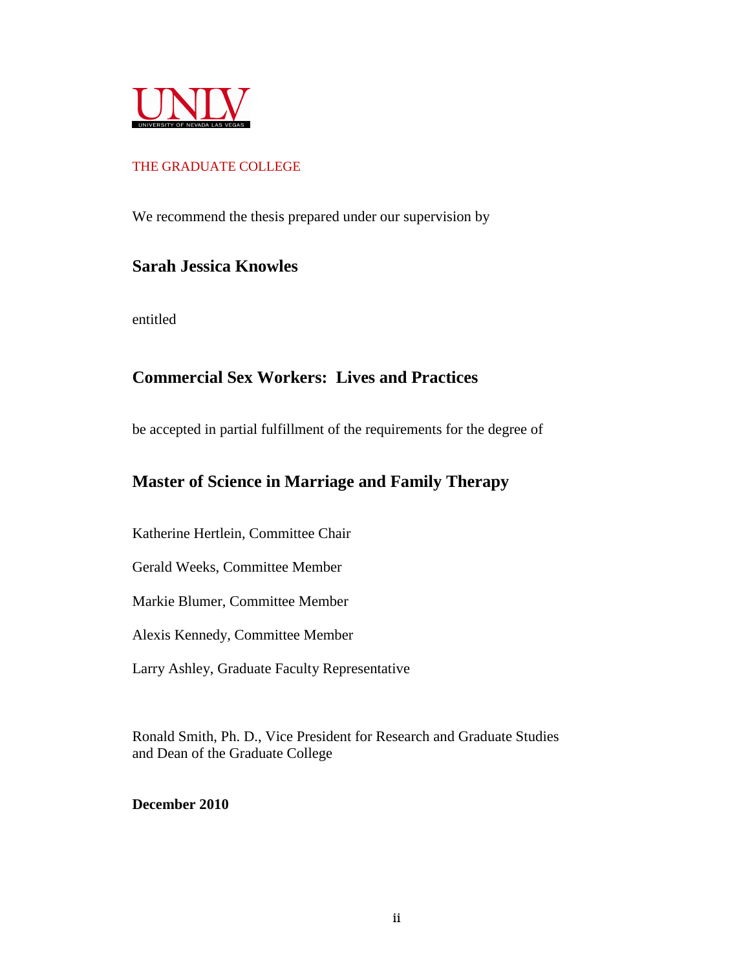

## THE GRADUATE COLLEGE

We recommend the thesis prepared under our supervision by

# **Sarah Jessica Knowles**

entitled

# **Commercial Sex Workers: Lives and Practices**

be accepted in partial fulfillment of the requirements for the degree of

# **Master of Science in Marriage and Family Therapy**

Katherine Hertlein, Committee Chair

Gerald Weeks, Committee Member

Markie Blumer, Committee Member

Alexis Kennedy, Committee Member

Larry Ashley, Graduate Faculty Representative

Ronald Smith, Ph. D., Vice President for Research and Graduate Studies and Dean of the Graduate College

**December 2010**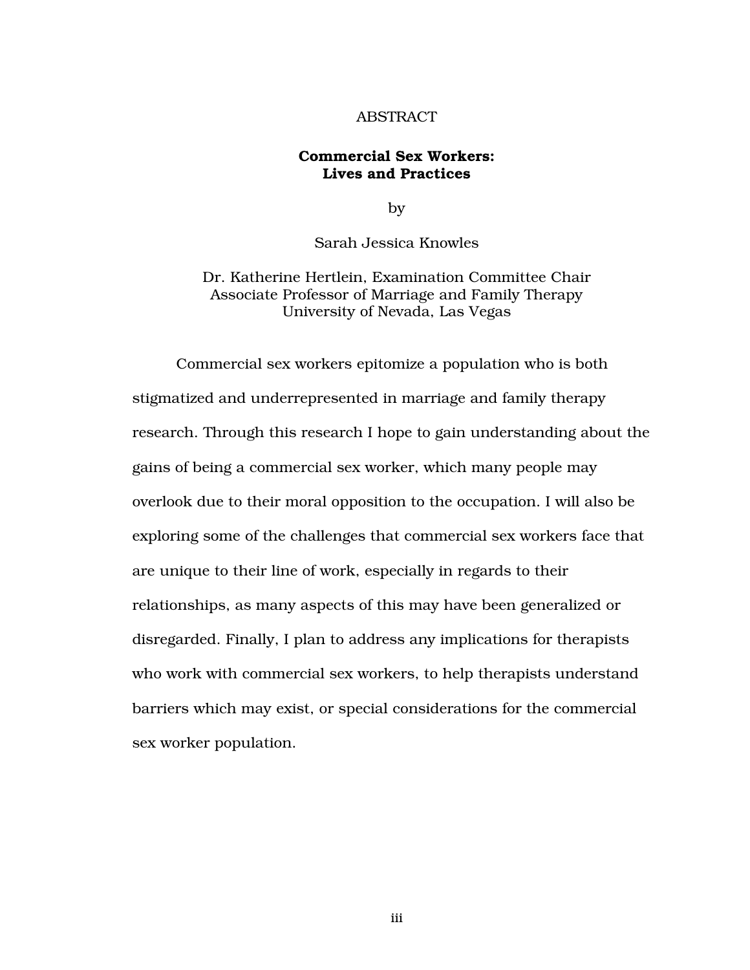#### ABSTRACT

## Commercial Sex Workers: Lives and Practices

by

Sarah Jessica Knowles

Dr. Katherine Hertlein, Examination Committee Chair Associate Professor of Marriage and Family Therapy University of Nevada, Las Vegas

Commercial sex workers epitomize a population who is both stigmatized and underrepresented in marriage and family therapy research. Through this research I hope to gain understanding about the gains of being a commercial sex worker, which many people may overlook due to their moral opposition to the occupation. I will also be exploring some of the challenges that commercial sex workers face that are unique to their line of work, especially in regards to their relationships, as many aspects of this may have been generalized or disregarded. Finally, I plan to address any implications for therapists who work with commercial sex workers, to help therapists understand barriers which may exist, or special considerations for the commercial sex worker population.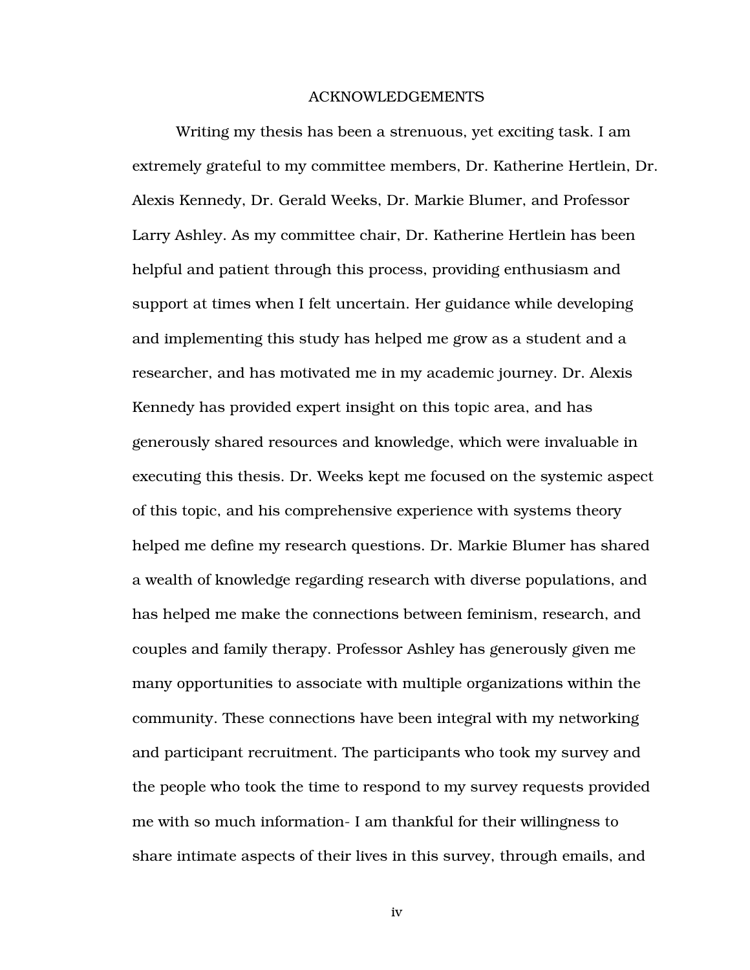#### ACKNOWLEDGEMENTS

Writing my thesis has been a strenuous, yet exciting task. I am extremely grateful to my committee members, Dr. Katherine Hertlein, Dr. Alexis Kennedy, Dr. Gerald Weeks, Dr. Markie Blumer, and Professor Larry Ashley. As my committee chair, Dr. Katherine Hertlein has been helpful and patient through this process, providing enthusiasm and support at times when I felt uncertain. Her guidance while developing and implementing this study has helped me grow as a student and a researcher, and has motivated me in my academic journey. Dr. Alexis Kennedy has provided expert insight on this topic area, and has generously shared resources and knowledge, which were invaluable in executing this thesis. Dr. Weeks kept me focused on the systemic aspect of this topic, and his comprehensive experience with systems theory helped me define my research questions. Dr. Markie Blumer has shared a wealth of knowledge regarding research with diverse populations, and has helped me make the connections between feminism, research, and couples and family therapy. Professor Ashley has generously given me many opportunities to associate with multiple organizations within the community. These connections have been integral with my networking and participant recruitment. The participants who took my survey and the people who took the time to respond to my survey requests provided me with so much information- I am thankful for their willingness to share intimate aspects of their lives in this survey, through emails, and

iv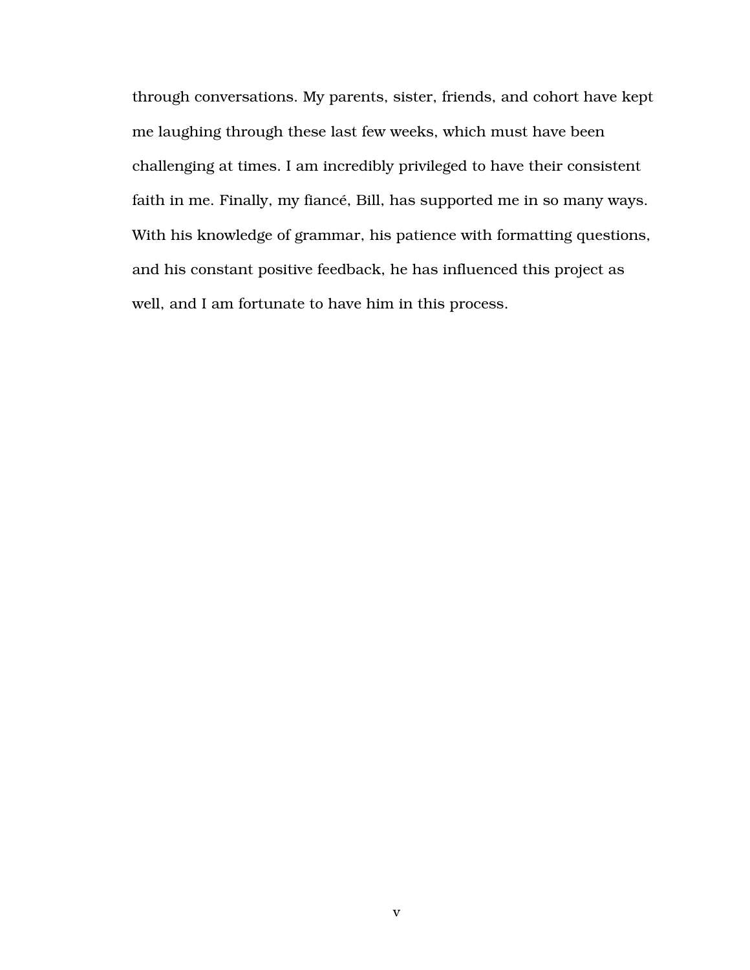through conversations. My parents, sister, friends, and cohort have kept me laughing through these last few weeks, which must have been challenging at times. I am incredibly privileged to have their consistent faith in me. Finally, my fiancé, Bill, has supported me in so many ways. With his knowledge of grammar, his patience with formatting questions, and his constant positive feedback, he has influenced this project as well, and I am fortunate to have him in this process.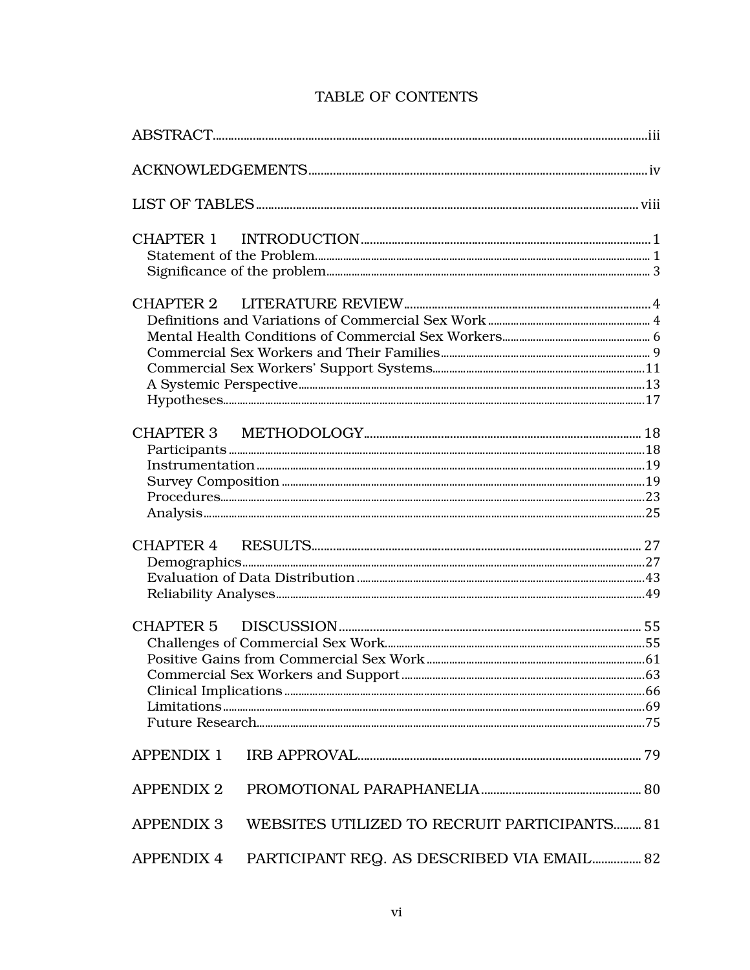| <b>APPENDIX 1</b> |                                              |  |
|-------------------|----------------------------------------------|--|
| <b>APPENDIX 2</b> |                                              |  |
| <b>APPENDIX 3</b> | WEBSITES UTILIZED TO RECRUIT PARTICIPANTS 81 |  |
| <b>APPENDIX 4</b> | PARTICIPANT REQ. AS DESCRIBED VIA EMAIL 82   |  |

# TABLE OF CONTENTS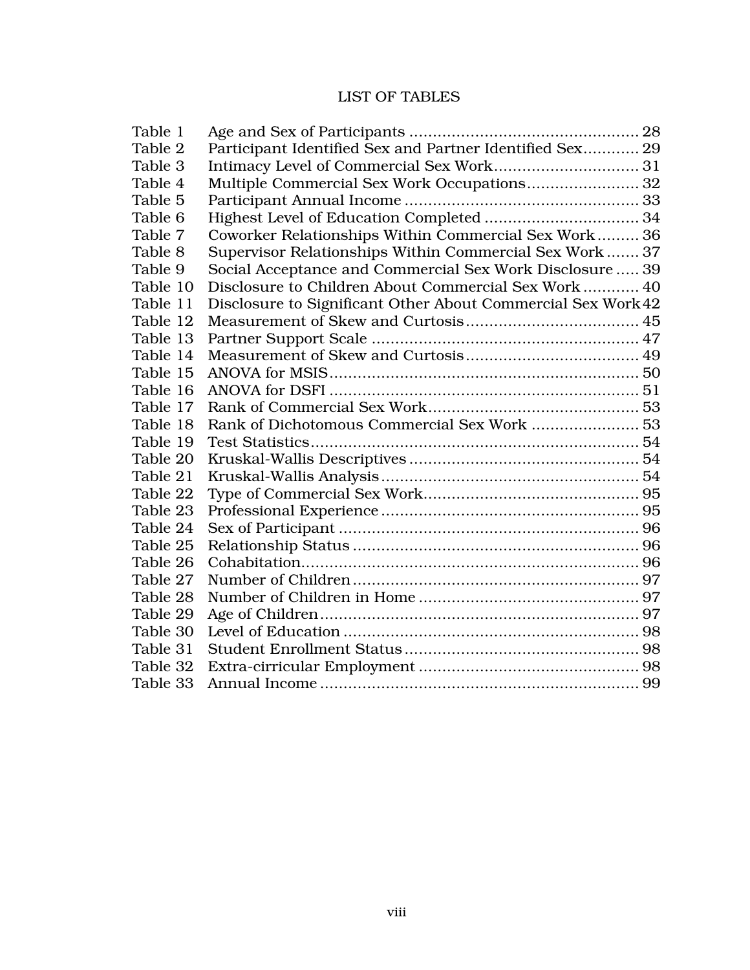# LIST OF TABLES

| Table 1  |                                                              |  |
|----------|--------------------------------------------------------------|--|
| Table 2  | Participant Identified Sex and Partner Identified Sex 29     |  |
| Table 3  |                                                              |  |
| Table 4  | Multiple Commercial Sex Work Occupations 32                  |  |
| Table 5  |                                                              |  |
| Table 6  |                                                              |  |
| Table 7  | Coworker Relationships Within Commercial Sex Work 36         |  |
| Table 8  | Supervisor Relationships Within Commercial Sex Work 37       |  |
| Table 9  | Social Acceptance and Commercial Sex Work Disclosure  39     |  |
| Table 10 | Disclosure to Children About Commercial Sex Work 40          |  |
| Table 11 | Disclosure to Significant Other About Commercial Sex Work 42 |  |
| Table 12 |                                                              |  |
| Table 13 |                                                              |  |
| Table 14 |                                                              |  |
| Table 15 |                                                              |  |
| Table 16 |                                                              |  |
| Table 17 |                                                              |  |
| Table 18 | Rank of Dichotomous Commercial Sex Work  53                  |  |
| Table 19 |                                                              |  |
| Table 20 |                                                              |  |
| Table 21 |                                                              |  |
| Table 22 |                                                              |  |
| Table 23 |                                                              |  |
| Table 24 |                                                              |  |
| Table 25 |                                                              |  |
| Table 26 |                                                              |  |
| Table 27 |                                                              |  |
| Table 28 |                                                              |  |
| Table 29 |                                                              |  |
| Table 30 |                                                              |  |
| Table 31 |                                                              |  |
| Table 32 |                                                              |  |
| Table 33 |                                                              |  |
|          |                                                              |  |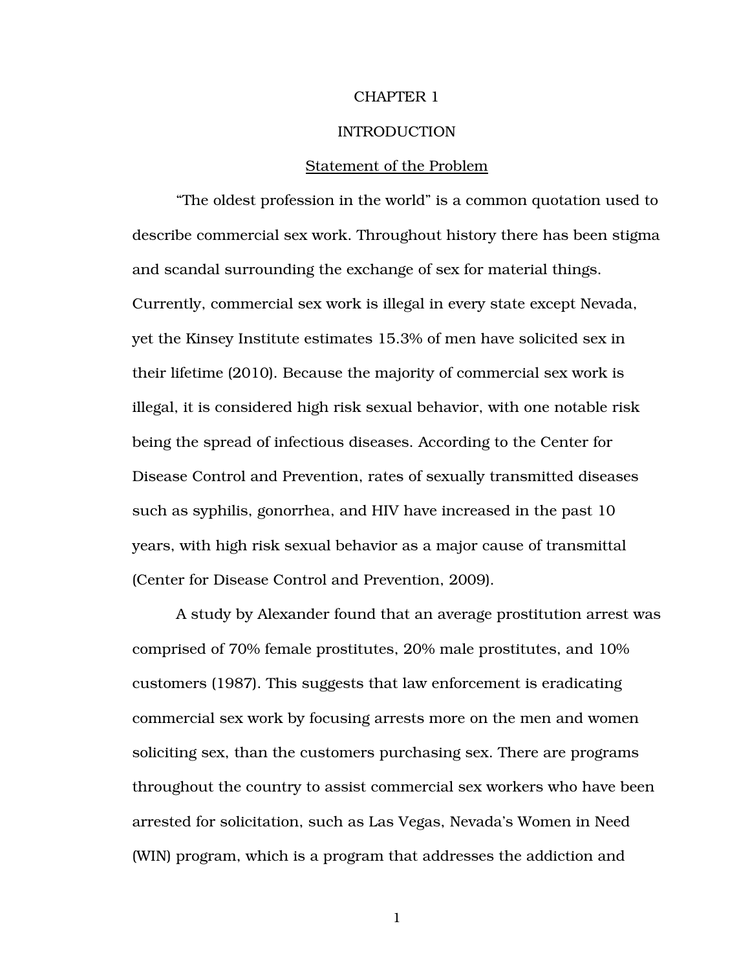#### CHAPTER 1

#### INTRODUCTION

#### Statement of the Problem

"The oldest profession in the world" is a common quotation used to describe commercial sex work. Throughout history there has been stigma and scandal surrounding the exchange of sex for material things. Currently, commercial sex work is illegal in every state except Nevada, yet the Kinsey Institute estimates 15.3% of men have solicited sex in their lifetime (2010). Because the majority of commercial sex work is illegal, it is considered high risk sexual behavior, with one notable risk being the spread of infectious diseases. According to the Center for Disease Control and Prevention, rates of sexually transmitted diseases such as syphilis, gonorrhea, and HIV have increased in the past 10 years, with high risk sexual behavior as a major cause of transmittal (Center for Disease Control and Prevention, 2009).

A study by Alexander found that an average prostitution arrest was comprised of 70% female prostitutes, 20% male prostitutes, and 10% customers (1987). This suggests that law enforcement is eradicating commercial sex work by focusing arrests more on the men and women soliciting sex, than the customers purchasing sex. There are programs throughout the country to assist commercial sex workers who have been arrested for solicitation, such as Las Vegas, Nevada's Women in Need (WIN) program, which is a program that addresses the addiction and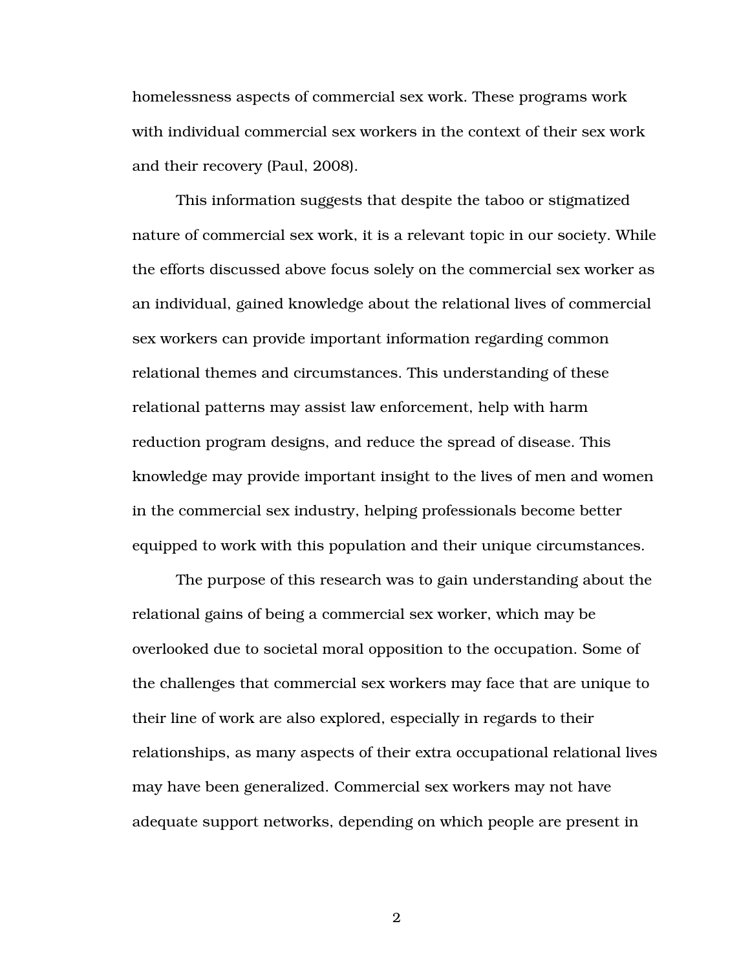homelessness aspects of commercial sex work. These programs work with individual commercial sex workers in the context of their sex work and their recovery (Paul, 2008).

This information suggests that despite the taboo or stigmatized nature of commercial sex work, it is a relevant topic in our society. While the efforts discussed above focus solely on the commercial sex worker as an individual, gained knowledge about the relational lives of commercial sex workers can provide important information regarding common relational themes and circumstances. This understanding of these relational patterns may assist law enforcement, help with harm reduction program designs, and reduce the spread of disease. This knowledge may provide important insight to the lives of men and women in the commercial sex industry, helping professionals become better equipped to work with this population and their unique circumstances.

The purpose of this research was to gain understanding about the relational gains of being a commercial sex worker, which may be overlooked due to societal moral opposition to the occupation. Some of the challenges that commercial sex workers may face that are unique to their line of work are also explored, especially in regards to their relationships, as many aspects of their extra occupational relational lives may have been generalized. Commercial sex workers may not have adequate support networks, depending on which people are present in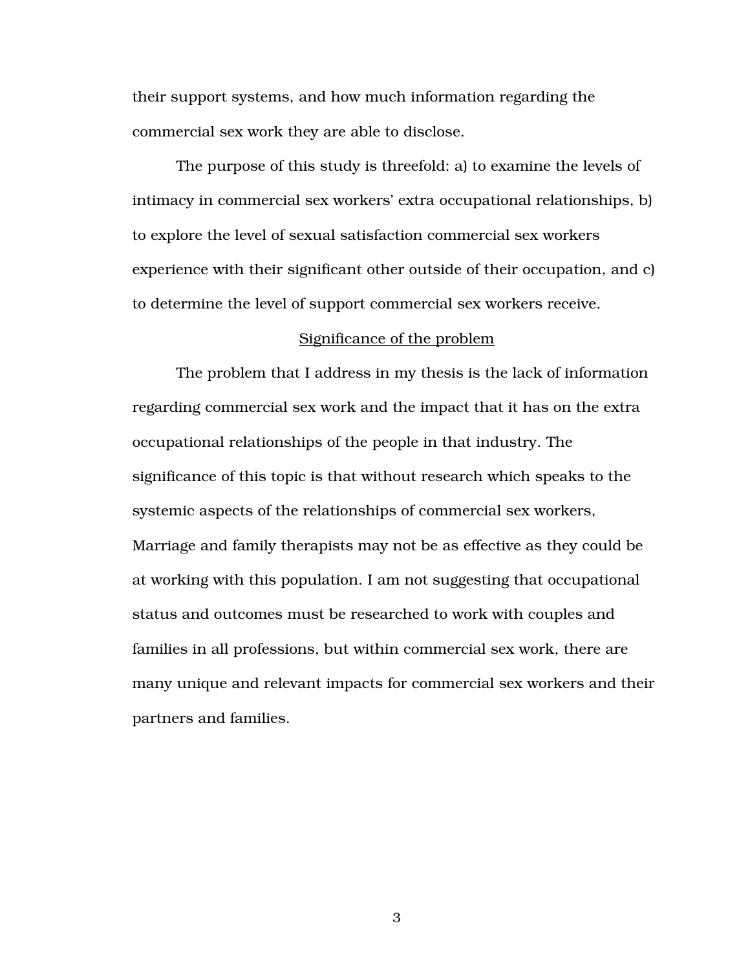their support systems, and how much information regarding the commercial sex work they are able to disclose.

The purpose of this study is threefold: a) to examine the levels of intimacy in commercial sex workers' extra occupational relationships, b) to explore the level of sexual satisfaction commercial sex workers experience with their significant other outside of their occupation, and c) to determine the level of support commercial sex workers receive.

#### Significance of the problem

 The problem that I address in my thesis is the lack of information regarding commercial sex work and the impact that it has on the extra occupational relationships of the people in that industry. The significance of this topic is that without research which speaks to the systemic aspects of the relationships of commercial sex workers, Marriage and family therapists may not be as effective as they could be at working with this population. I am not suggesting that occupational status and outcomes must be researched to work with couples and families in all professions, but within commercial sex work, there are many unique and relevant impacts for commercial sex workers and their partners and families.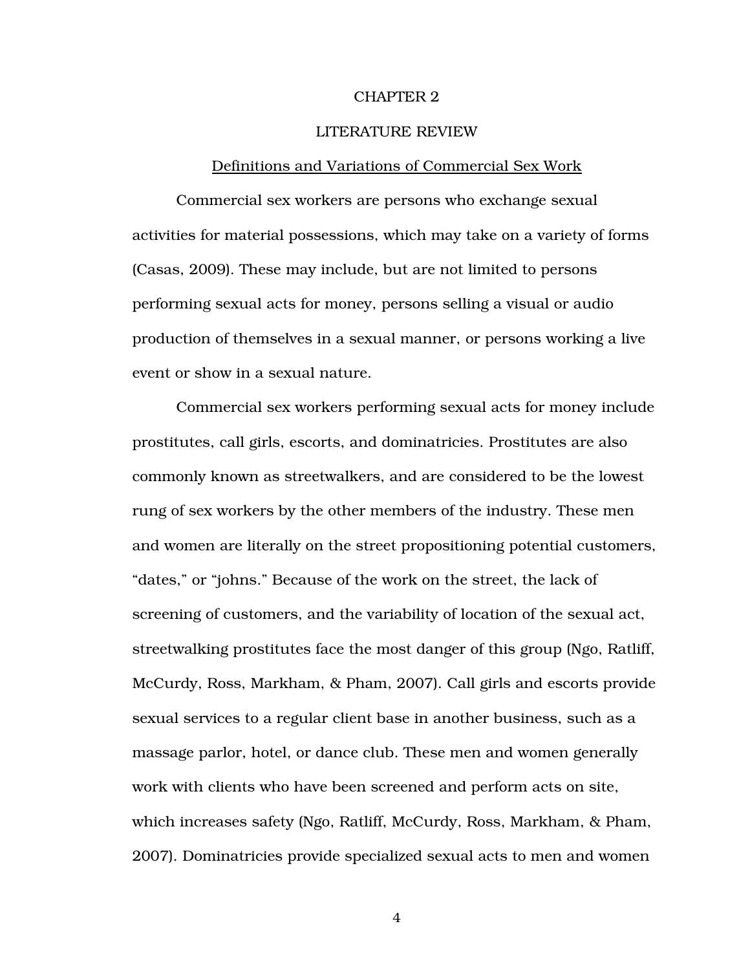#### CHAPTER 2

#### LITERATURE REVIEW

#### Definitions and Variations of Commercial Sex Work

Commercial sex workers are persons who exchange sexual activities for material possessions, which may take on a variety of forms (Casas, 2009). These may include, but are not limited to persons performing sexual acts for money, persons selling a visual or audio production of themselves in a sexual manner, or persons working a live event or show in a sexual nature.

Commercial sex workers performing sexual acts for money include prostitutes, call girls, escorts, and dominatricies. Prostitutes are also commonly known as streetwalkers, and are considered to be the lowest rung of sex workers by the other members of the industry. These men and women are literally on the street propositioning potential customers, "dates," or "johns." Because of the work on the street, the lack of screening of customers, and the variability of location of the sexual act, streetwalking prostitutes face the most danger of this group (Ngo, Ratliff, McCurdy, Ross, Markham, & Pham, 2007). Call girls and escorts provide sexual services to a regular client base in another business, such as a massage parlor, hotel, or dance club. These men and women generally work with clients who have been screened and perform acts on site, which increases safety (Ngo, Ratliff, McCurdy, Ross, Markham, & Pham, 2007). Dominatricies provide specialized sexual acts to men and women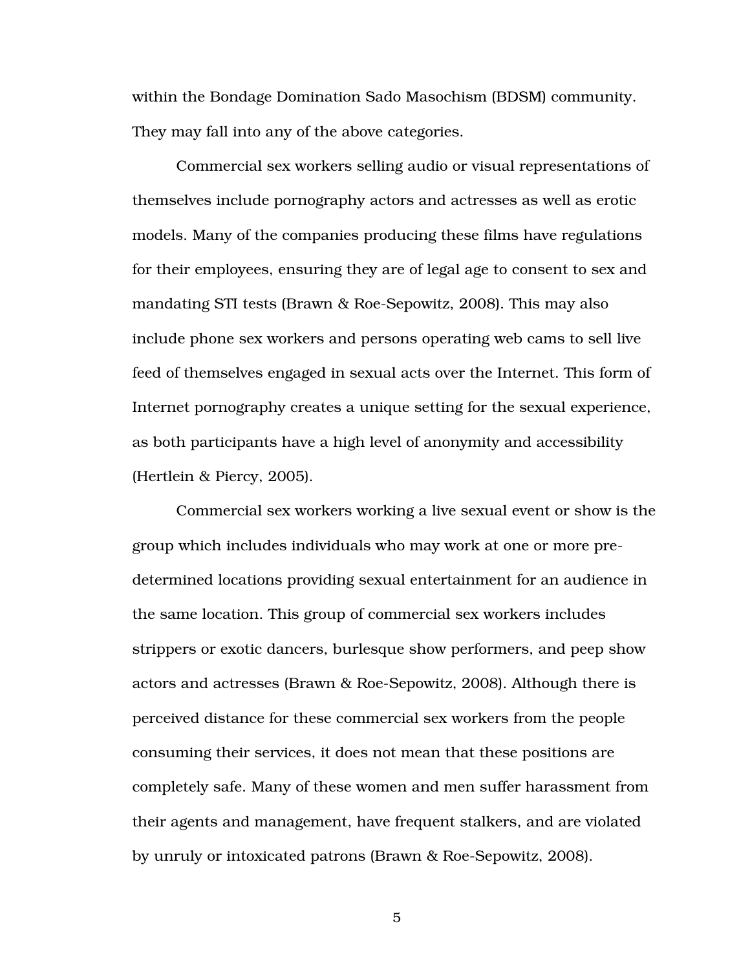within the Bondage Domination Sado Masochism (BDSM) community. They may fall into any of the above categories.

Commercial sex workers selling audio or visual representations of themselves include pornography actors and actresses as well as erotic models. Many of the companies producing these films have regulations for their employees, ensuring they are of legal age to consent to sex and mandating STI tests (Brawn & Roe-Sepowitz, 2008). This may also include phone sex workers and persons operating web cams to sell live feed of themselves engaged in sexual acts over the Internet. This form of Internet pornography creates a unique setting for the sexual experience, as both participants have a high level of anonymity and accessibility (Hertlein & Piercy, 2005).

Commercial sex workers working a live sexual event or show is the group which includes individuals who may work at one or more predetermined locations providing sexual entertainment for an audience in the same location. This group of commercial sex workers includes strippers or exotic dancers, burlesque show performers, and peep show actors and actresses (Brawn & Roe-Sepowitz, 2008). Although there is perceived distance for these commercial sex workers from the people consuming their services, it does not mean that these positions are completely safe. Many of these women and men suffer harassment from their agents and management, have frequent stalkers, and are violated by unruly or intoxicated patrons (Brawn & Roe-Sepowitz, 2008).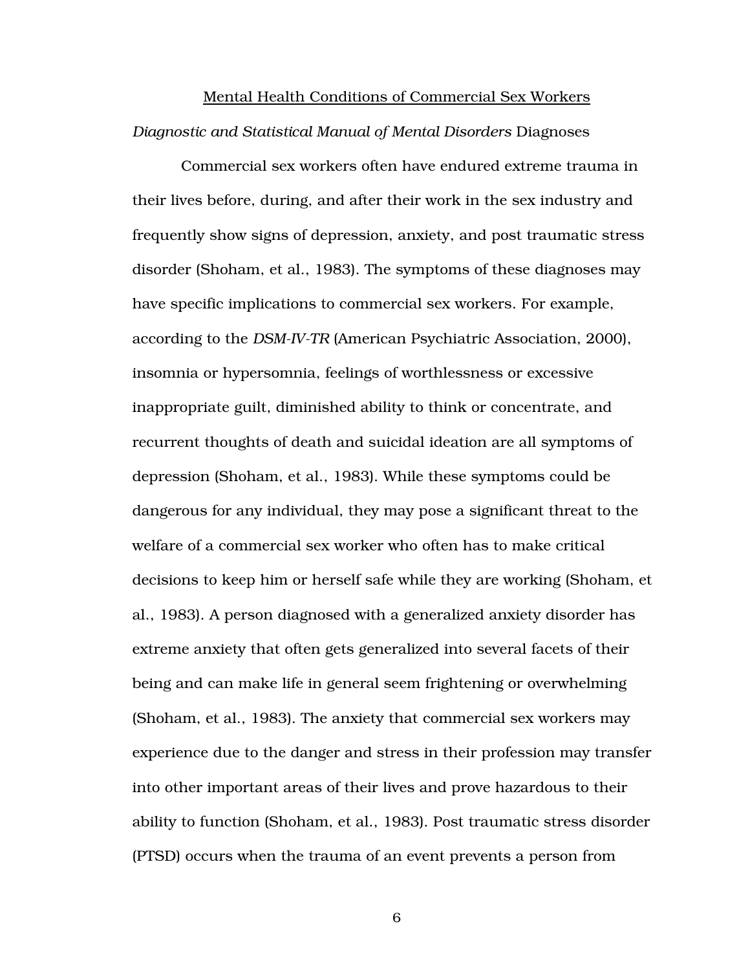# Mental Health Conditions of Commercial Sex Workers *Diagnostic and Statistical Manual of Mental Disorders* Diagnoses

 Commercial sex workers often have endured extreme trauma in their lives before, during, and after their work in the sex industry and frequently show signs of depression, anxiety, and post traumatic stress disorder (Shoham, et al., 1983). The symptoms of these diagnoses may have specific implications to commercial sex workers. For example, according to the *DSM-IV-TR* (American Psychiatric Association, 2000), insomnia or hypersomnia, feelings of worthlessness or excessive inappropriate guilt, diminished ability to think or concentrate, and recurrent thoughts of death and suicidal ideation are all symptoms of depression (Shoham, et al., 1983). While these symptoms could be dangerous for any individual, they may pose a significant threat to the welfare of a commercial sex worker who often has to make critical decisions to keep him or herself safe while they are working (Shoham, et al., 1983). A person diagnosed with a generalized anxiety disorder has extreme anxiety that often gets generalized into several facets of their being and can make life in general seem frightening or overwhelming (Shoham, et al., 1983). The anxiety that commercial sex workers may experience due to the danger and stress in their profession may transfer into other important areas of their lives and prove hazardous to their ability to function (Shoham, et al., 1983). Post traumatic stress disorder (PTSD) occurs when the trauma of an event prevents a person from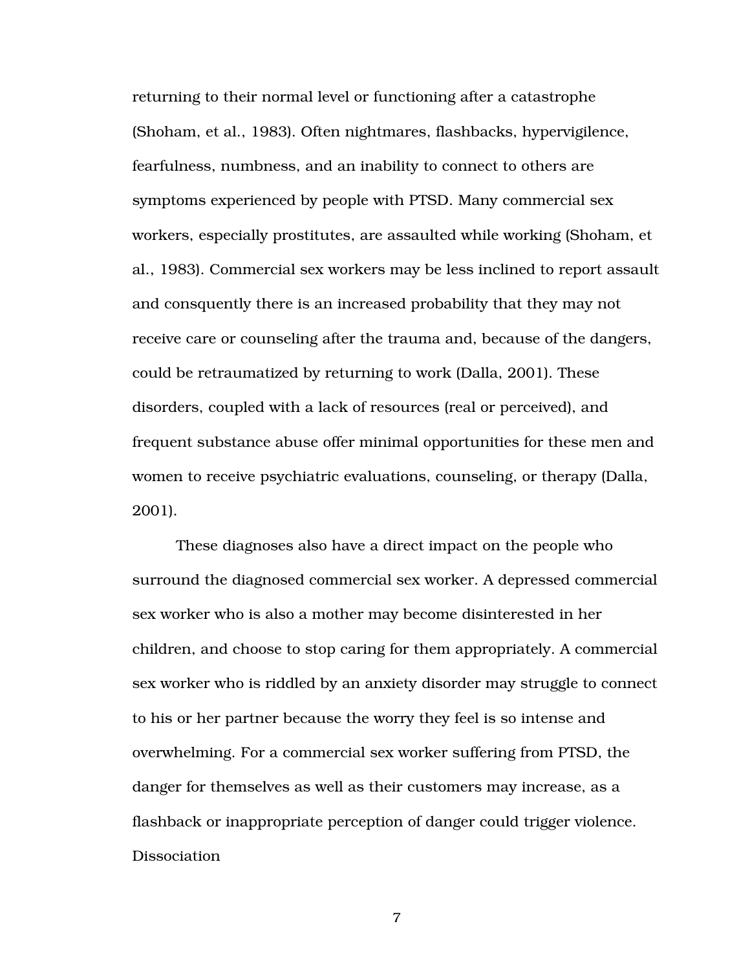returning to their normal level or functioning after a catastrophe (Shoham, et al., 1983). Often nightmares, flashbacks, hypervigilence, fearfulness, numbness, and an inability to connect to others are symptoms experienced by people with PTSD. Many commercial sex workers, especially prostitutes, are assaulted while working (Shoham, et al., 1983). Commercial sex workers may be less inclined to report assault and consquently there is an increased probability that they may not receive care or counseling after the trauma and, because of the dangers, could be retraumatized by returning to work (Dalla, 2001). These disorders, coupled with a lack of resources (real or perceived), and frequent substance abuse offer minimal opportunities for these men and women to receive psychiatric evaluations, counseling, or therapy (Dalla, 2001).

These diagnoses also have a direct impact on the people who surround the diagnosed commercial sex worker. A depressed commercial sex worker who is also a mother may become disinterested in her children, and choose to stop caring for them appropriately. A commercial sex worker who is riddled by an anxiety disorder may struggle to connect to his or her partner because the worry they feel is so intense and overwhelming. For a commercial sex worker suffering from PTSD, the danger for themselves as well as their customers may increase, as a flashback or inappropriate perception of danger could trigger violence. Dissociation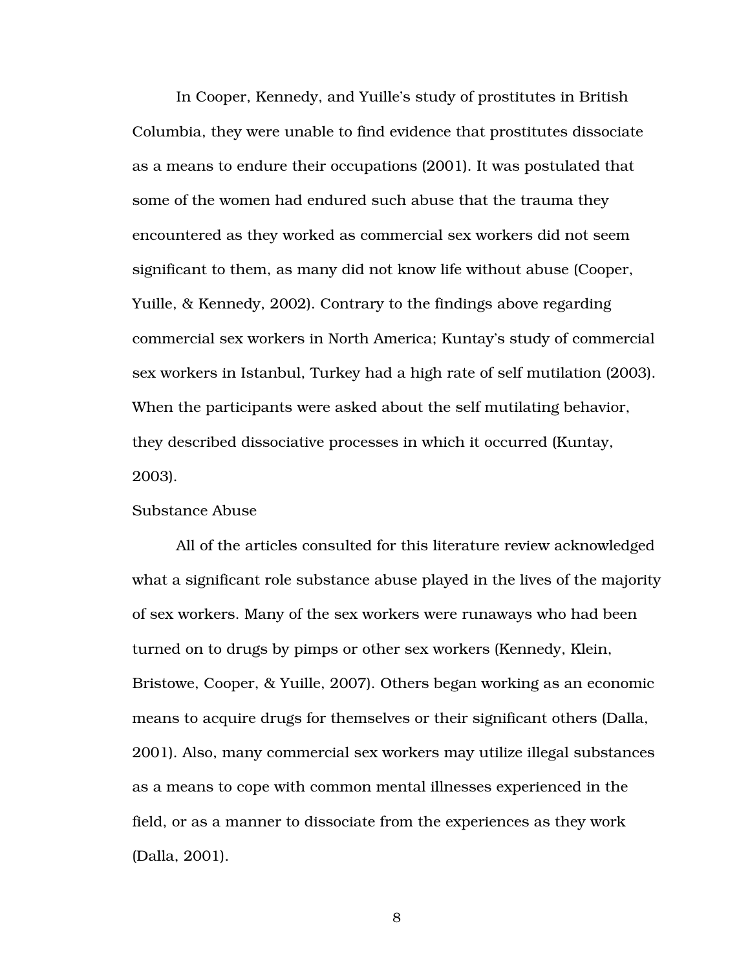In Cooper, Kennedy, and Yuille's study of prostitutes in British Columbia, they were unable to find evidence that prostitutes dissociate as a means to endure their occupations (2001). It was postulated that some of the women had endured such abuse that the trauma they encountered as they worked as commercial sex workers did not seem significant to them, as many did not know life without abuse (Cooper, Yuille, & Kennedy, 2002). Contrary to the findings above regarding commercial sex workers in North America; Kuntay's study of commercial sex workers in Istanbul, Turkey had a high rate of self mutilation (2003). When the participants were asked about the self mutilating behavior, they described dissociative processes in which it occurred (Kuntay, 2003).

#### Substance Abuse

All of the articles consulted for this literature review acknowledged what a significant role substance abuse played in the lives of the majority of sex workers. Many of the sex workers were runaways who had been turned on to drugs by pimps or other sex workers (Kennedy, Klein, Bristowe, Cooper, & Yuille, 2007). Others began working as an economic means to acquire drugs for themselves or their significant others (Dalla, 2001). Also, many commercial sex workers may utilize illegal substances as a means to cope with common mental illnesses experienced in the field, or as a manner to dissociate from the experiences as they work (Dalla, 2001).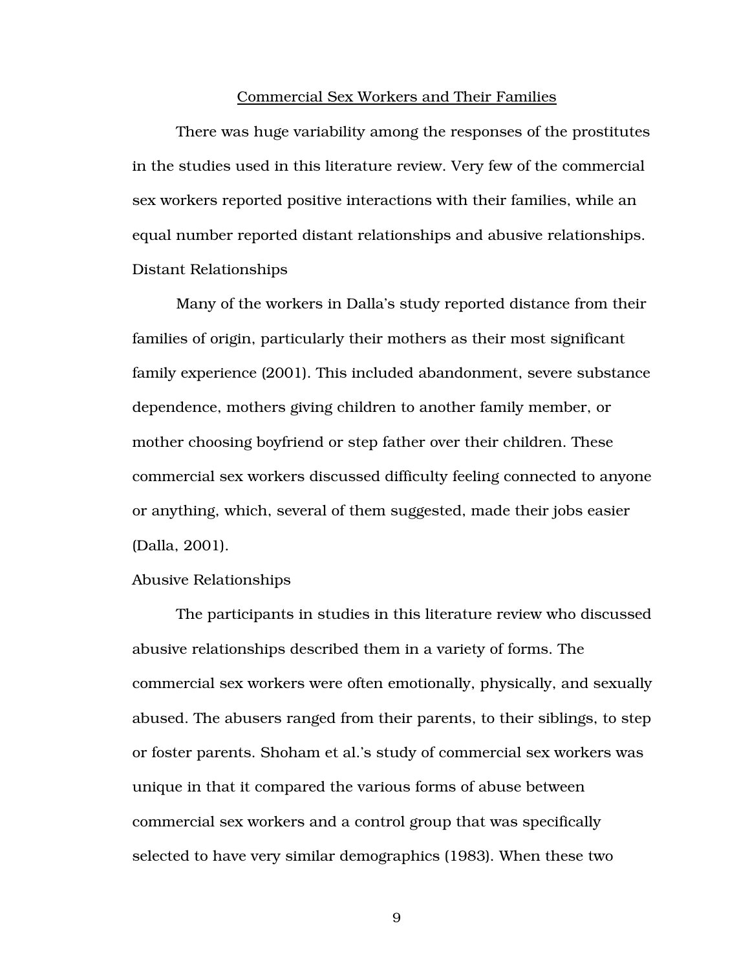#### Commercial Sex Workers and Their Families

There was huge variability among the responses of the prostitutes in the studies used in this literature review. Very few of the commercial sex workers reported positive interactions with their families, while an equal number reported distant relationships and abusive relationships. Distant Relationships

Many of the workers in Dalla's study reported distance from their families of origin, particularly their mothers as their most significant family experience (2001). This included abandonment, severe substance dependence, mothers giving children to another family member, or mother choosing boyfriend or step father over their children. These commercial sex workers discussed difficulty feeling connected to anyone or anything, which, several of them suggested, made their jobs easier (Dalla, 2001).

#### Abusive Relationships

The participants in studies in this literature review who discussed abusive relationships described them in a variety of forms. The commercial sex workers were often emotionally, physically, and sexually abused. The abusers ranged from their parents, to their siblings, to step or foster parents. Shoham et al.'s study of commercial sex workers was unique in that it compared the various forms of abuse between commercial sex workers and a control group that was specifically selected to have very similar demographics (1983). When these two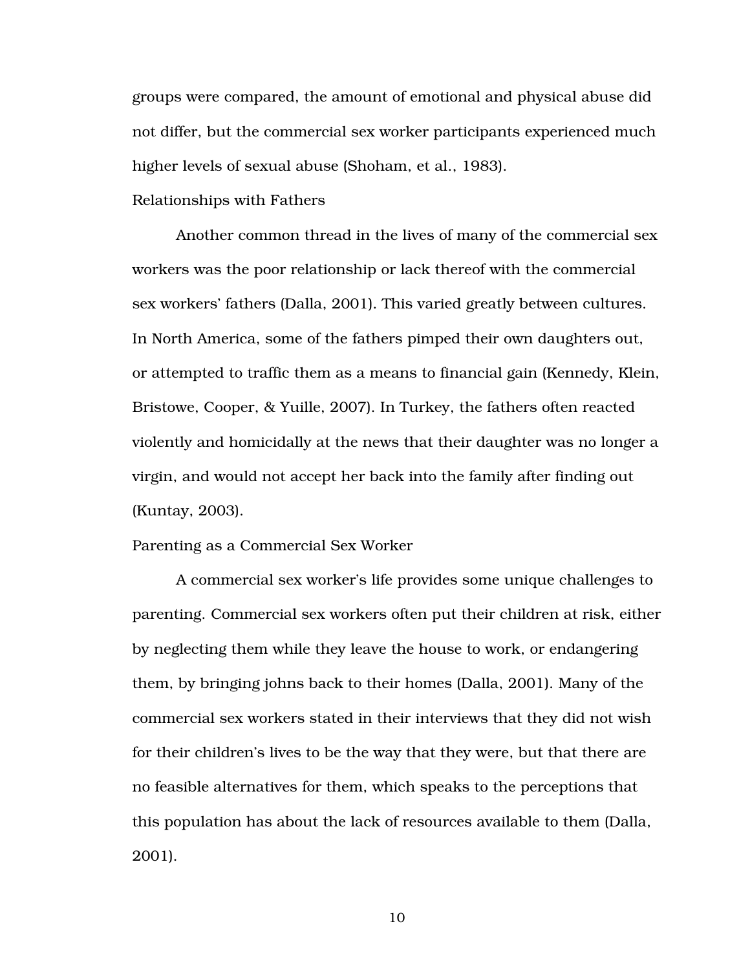groups were compared, the amount of emotional and physical abuse did not differ, but the commercial sex worker participants experienced much higher levels of sexual abuse (Shoham, et al., 1983).

#### Relationships with Fathers

Another common thread in the lives of many of the commercial sex workers was the poor relationship or lack thereof with the commercial sex workers' fathers (Dalla, 2001). This varied greatly between cultures. In North America, some of the fathers pimped their own daughters out, or attempted to traffic them as a means to financial gain (Kennedy, Klein, Bristowe, Cooper, & Yuille, 2007). In Turkey, the fathers often reacted violently and homicidally at the news that their daughter was no longer a virgin, and would not accept her back into the family after finding out (Kuntay, 2003).

Parenting as a Commercial Sex Worker

A commercial sex worker's life provides some unique challenges to parenting. Commercial sex workers often put their children at risk, either by neglecting them while they leave the house to work, or endangering them, by bringing johns back to their homes (Dalla, 2001). Many of the commercial sex workers stated in their interviews that they did not wish for their children's lives to be the way that they were, but that there are no feasible alternatives for them, which speaks to the perceptions that this population has about the lack of resources available to them (Dalla, 2001).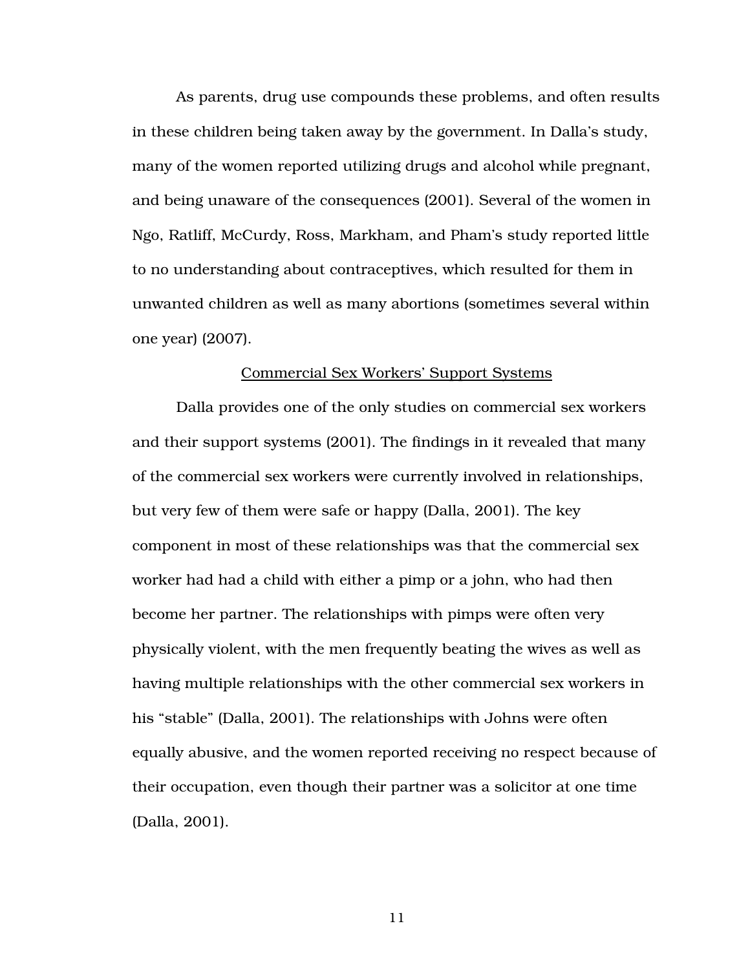As parents, drug use compounds these problems, and often results in these children being taken away by the government. In Dalla's study, many of the women reported utilizing drugs and alcohol while pregnant, and being unaware of the consequences (2001). Several of the women in Ngo, Ratliff, McCurdy, Ross, Markham, and Pham's study reported little to no understanding about contraceptives, which resulted for them in unwanted children as well as many abortions (sometimes several within one year) (2007).

#### Commercial Sex Workers' Support Systems

Dalla provides one of the only studies on commercial sex workers and their support systems (2001). The findings in it revealed that many of the commercial sex workers were currently involved in relationships, but very few of them were safe or happy (Dalla, 2001). The key component in most of these relationships was that the commercial sex worker had had a child with either a pimp or a john, who had then become her partner. The relationships with pimps were often very physically violent, with the men frequently beating the wives as well as having multiple relationships with the other commercial sex workers in his "stable" (Dalla, 2001). The relationships with Johns were often equally abusive, and the women reported receiving no respect because of their occupation, even though their partner was a solicitor at one time (Dalla, 2001).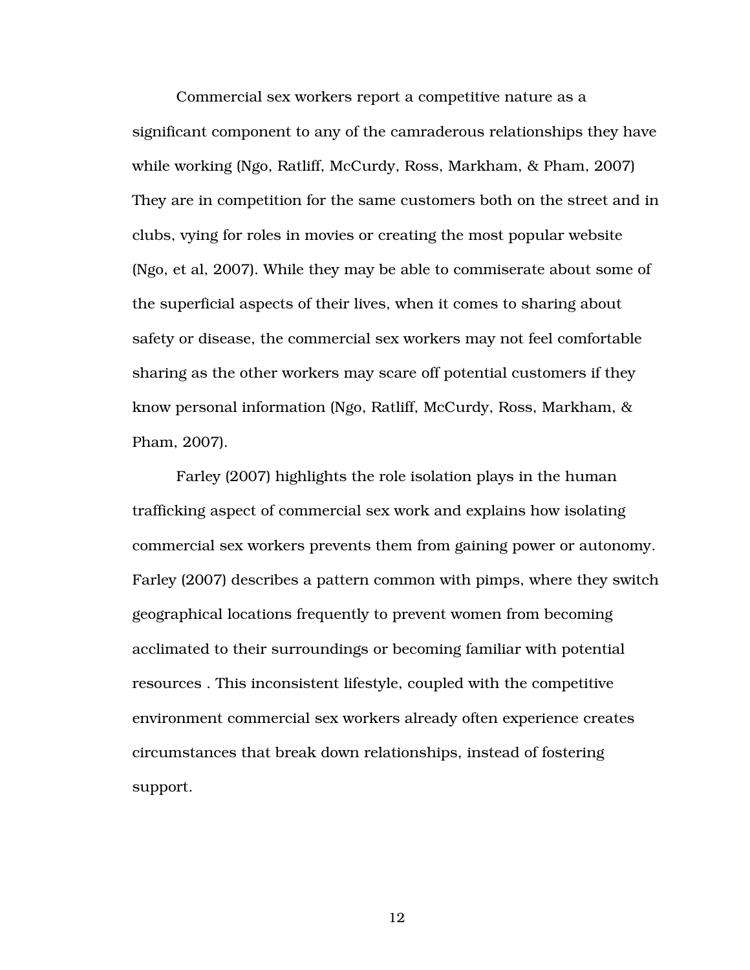Commercial sex workers report a competitive nature as a significant component to any of the camraderous relationships they have while working (Ngo, Ratliff, McCurdy, Ross, Markham, & Pham, 2007) They are in competition for the same customers both on the street and in clubs, vying for roles in movies or creating the most popular website (Ngo, et al, 2007). While they may be able to commiserate about some of the superficial aspects of their lives, when it comes to sharing about safety or disease, the commercial sex workers may not feel comfortable sharing as the other workers may scare off potential customers if they know personal information (Ngo, Ratliff, McCurdy, Ross, Markham, & Pham, 2007).

Farley (2007) highlights the role isolation plays in the human trafficking aspect of commercial sex work and explains how isolating commercial sex workers prevents them from gaining power or autonomy. Farley (2007) describes a pattern common with pimps, where they switch geographical locations frequently to prevent women from becoming acclimated to their surroundings or becoming familiar with potential resources . This inconsistent lifestyle, coupled with the competitive environment commercial sex workers already often experience creates circumstances that break down relationships, instead of fostering support.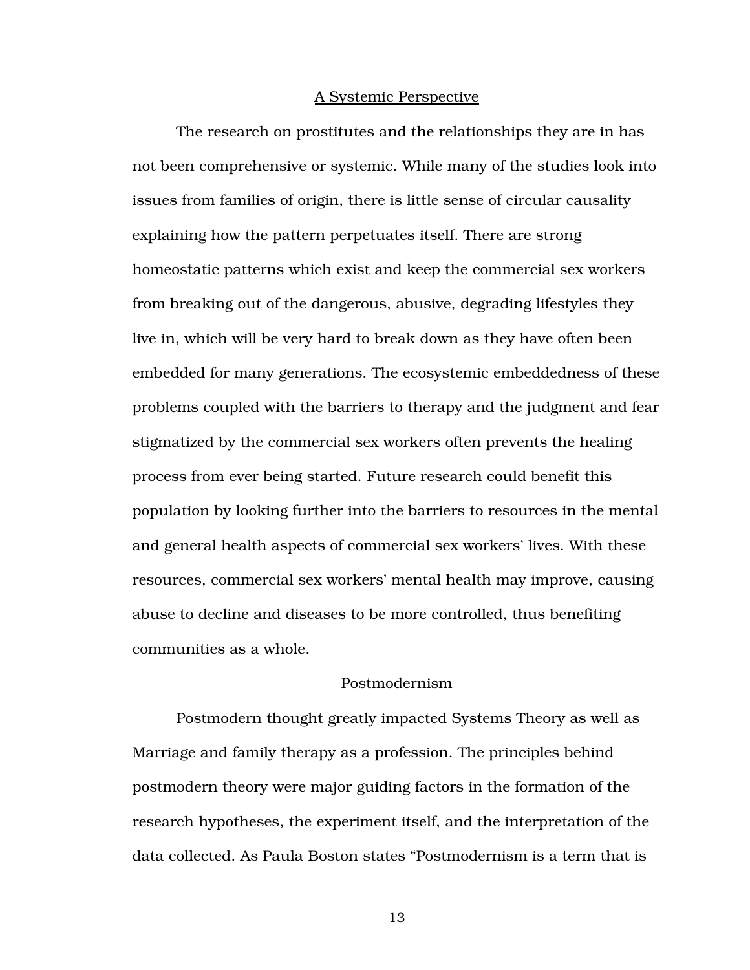#### A Systemic Perspective

The research on prostitutes and the relationships they are in has not been comprehensive or systemic. While many of the studies look into issues from families of origin, there is little sense of circular causality explaining how the pattern perpetuates itself. There are strong homeostatic patterns which exist and keep the commercial sex workers from breaking out of the dangerous, abusive, degrading lifestyles they live in, which will be very hard to break down as they have often been embedded for many generations. The ecosystemic embeddedness of these problems coupled with the barriers to therapy and the judgment and fear stigmatized by the commercial sex workers often prevents the healing process from ever being started. Future research could benefit this population by looking further into the barriers to resources in the mental and general health aspects of commercial sex workers' lives. With these resources, commercial sex workers' mental health may improve, causing abuse to decline and diseases to be more controlled, thus benefiting communities as a whole.

#### Postmodernism

Postmodern thought greatly impacted Systems Theory as well as Marriage and family therapy as a profession. The principles behind postmodern theory were major guiding factors in the formation of the research hypotheses, the experiment itself, and the interpretation of the data collected. As Paula Boston states "Postmodernism is a term that is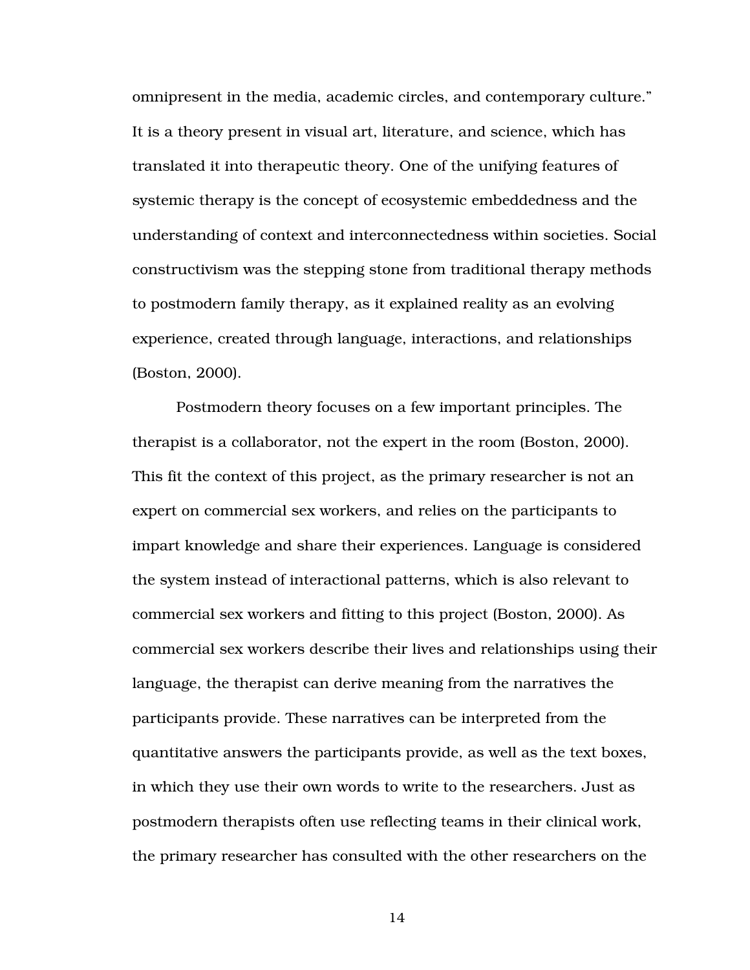omnipresent in the media, academic circles, and contemporary culture." It is a theory present in visual art, literature, and science, which has translated it into therapeutic theory. One of the unifying features of systemic therapy is the concept of ecosystemic embeddedness and the understanding of context and interconnectedness within societies. Social constructivism was the stepping stone from traditional therapy methods to postmodern family therapy, as it explained reality as an evolving experience, created through language, interactions, and relationships (Boston, 2000).

Postmodern theory focuses on a few important principles. The therapist is a collaborator, not the expert in the room (Boston, 2000). This fit the context of this project, as the primary researcher is not an expert on commercial sex workers, and relies on the participants to impart knowledge and share their experiences. Language is considered the system instead of interactional patterns, which is also relevant to commercial sex workers and fitting to this project (Boston, 2000). As commercial sex workers describe their lives and relationships using their language, the therapist can derive meaning from the narratives the participants provide. These narratives can be interpreted from the quantitative answers the participants provide, as well as the text boxes, in which they use their own words to write to the researchers. Just as postmodern therapists often use reflecting teams in their clinical work, the primary researcher has consulted with the other researchers on the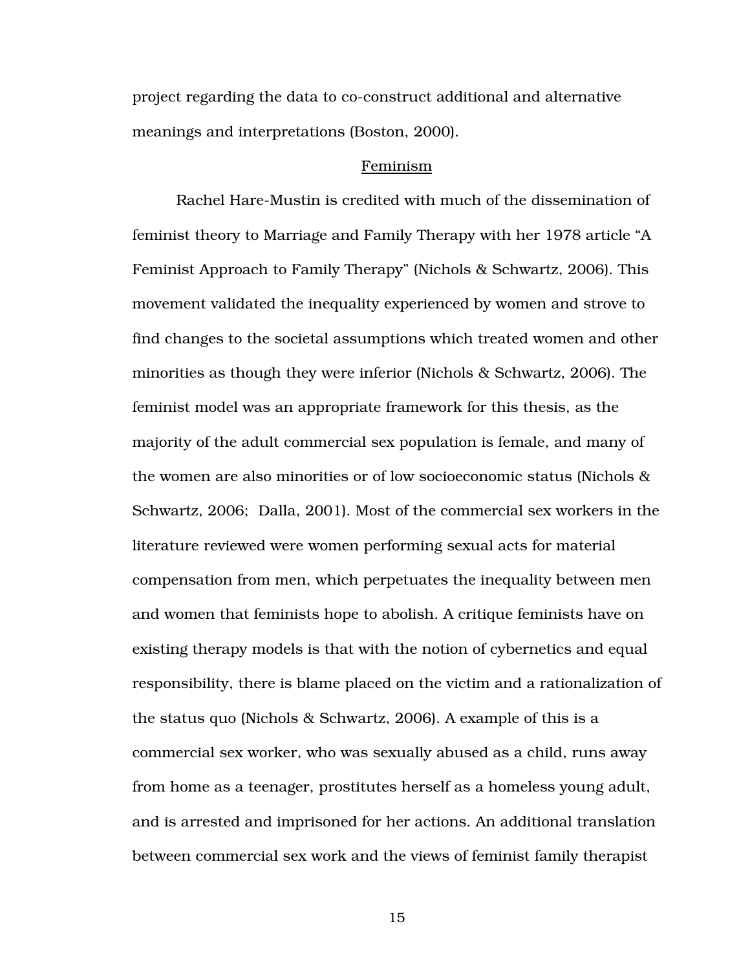project regarding the data to co-construct additional and alternative meanings and interpretations (Boston, 2000).

#### Feminism

 Rachel Hare-Mustin is credited with much of the dissemination of feminist theory to Marriage and Family Therapy with her 1978 article "A Feminist Approach to Family Therapy" (Nichols & Schwartz, 2006). This movement validated the inequality experienced by women and strove to find changes to the societal assumptions which treated women and other minorities as though they were inferior (Nichols & Schwartz, 2006). The feminist model was an appropriate framework for this thesis, as the majority of the adult commercial sex population is female, and many of the women are also minorities or of low socioeconomic status (Nichols & Schwartz, 2006; Dalla, 2001). Most of the commercial sex workers in the literature reviewed were women performing sexual acts for material compensation from men, which perpetuates the inequality between men and women that feminists hope to abolish. A critique feminists have on existing therapy models is that with the notion of cybernetics and equal responsibility, there is blame placed on the victim and a rationalization of the status quo (Nichols & Schwartz, 2006). A example of this is a commercial sex worker, who was sexually abused as a child, runs away from home as a teenager, prostitutes herself as a homeless young adult, and is arrested and imprisoned for her actions. An additional translation between commercial sex work and the views of feminist family therapist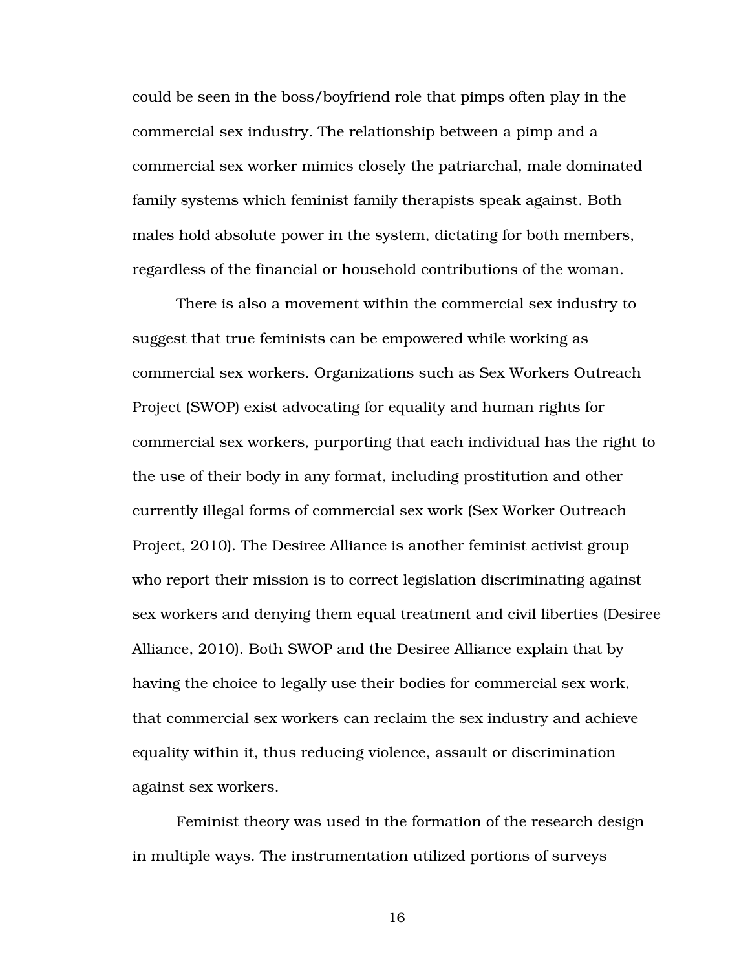could be seen in the boss/boyfriend role that pimps often play in the commercial sex industry. The relationship between a pimp and a commercial sex worker mimics closely the patriarchal, male dominated family systems which feminist family therapists speak against. Both males hold absolute power in the system, dictating for both members, regardless of the financial or household contributions of the woman.

 There is also a movement within the commercial sex industry to suggest that true feminists can be empowered while working as commercial sex workers. Organizations such as Sex Workers Outreach Project (SWOP) exist advocating for equality and human rights for commercial sex workers, purporting that each individual has the right to the use of their body in any format, including prostitution and other currently illegal forms of commercial sex work (Sex Worker Outreach Project, 2010). The Desiree Alliance is another feminist activist group who report their mission is to correct legislation discriminating against sex workers and denying them equal treatment and civil liberties (Desiree Alliance, 2010). Both SWOP and the Desiree Alliance explain that by having the choice to legally use their bodies for commercial sex work, that commercial sex workers can reclaim the sex industry and achieve equality within it, thus reducing violence, assault or discrimination against sex workers.

 Feminist theory was used in the formation of the research design in multiple ways. The instrumentation utilized portions of surveys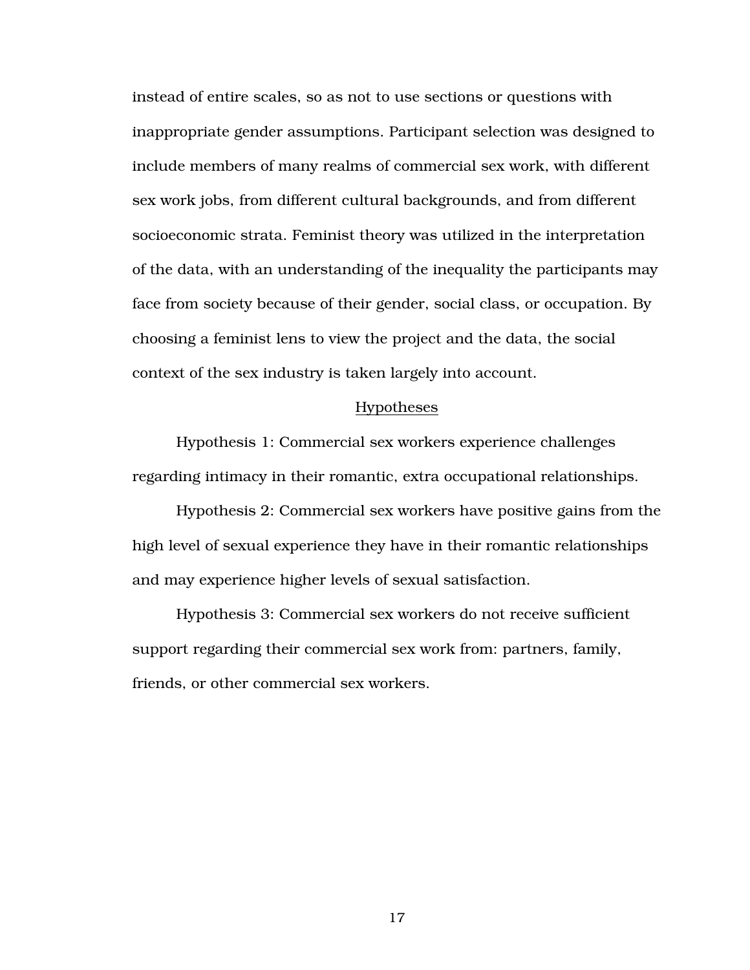instead of entire scales, so as not to use sections or questions with inappropriate gender assumptions. Participant selection was designed to include members of many realms of commercial sex work, with different sex work jobs, from different cultural backgrounds, and from different socioeconomic strata. Feminist theory was utilized in the interpretation of the data, with an understanding of the inequality the participants may face from society because of their gender, social class, or occupation. By choosing a feminist lens to view the project and the data, the social context of the sex industry is taken largely into account.

#### Hypotheses

 Hypothesis 1: Commercial sex workers experience challenges regarding intimacy in their romantic, extra occupational relationships.

Hypothesis 2: Commercial sex workers have positive gains from the high level of sexual experience they have in their romantic relationships and may experience higher levels of sexual satisfaction.

Hypothesis 3: Commercial sex workers do not receive sufficient support regarding their commercial sex work from: partners, family, friends, or other commercial sex workers.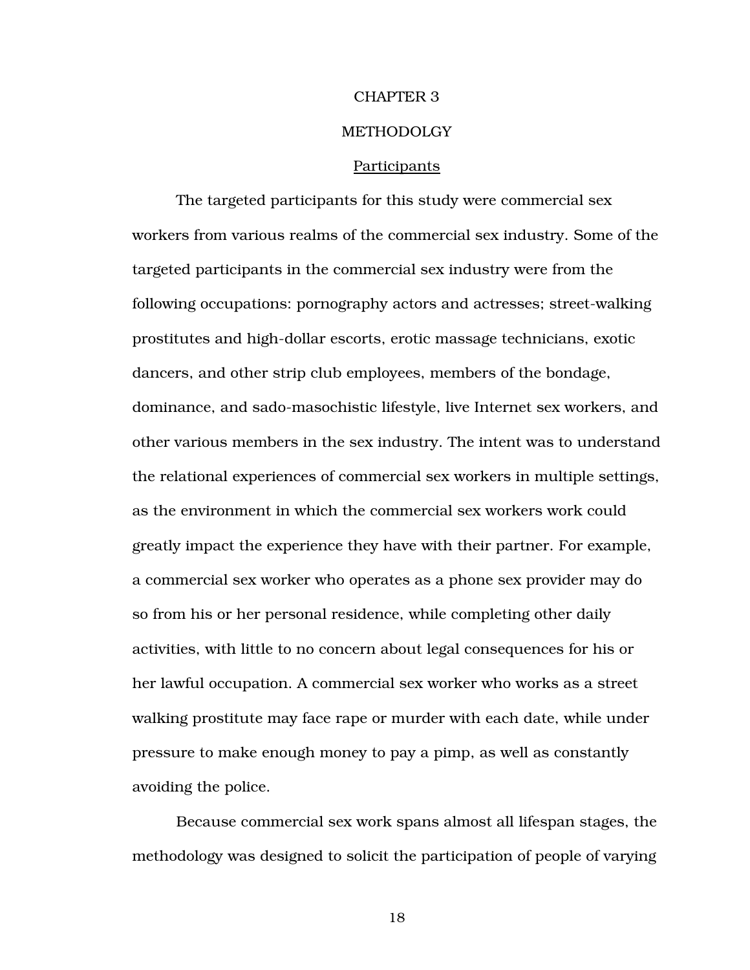# CHAPTER 3 METHODOLGY

#### Participants

The targeted participants for this study were commercial sex workers from various realms of the commercial sex industry. Some of the targeted participants in the commercial sex industry were from the following occupations: pornography actors and actresses; street-walking prostitutes and high-dollar escorts, erotic massage technicians, exotic dancers, and other strip club employees, members of the bondage, dominance, and sado-masochistic lifestyle, live Internet sex workers, and other various members in the sex industry. The intent was to understand the relational experiences of commercial sex workers in multiple settings, as the environment in which the commercial sex workers work could greatly impact the experience they have with their partner. For example, a commercial sex worker who operates as a phone sex provider may do so from his or her personal residence, while completing other daily activities, with little to no concern about legal consequences for his or her lawful occupation. A commercial sex worker who works as a street walking prostitute may face rape or murder with each date, while under pressure to make enough money to pay a pimp, as well as constantly avoiding the police.

Because commercial sex work spans almost all lifespan stages, the methodology was designed to solicit the participation of people of varying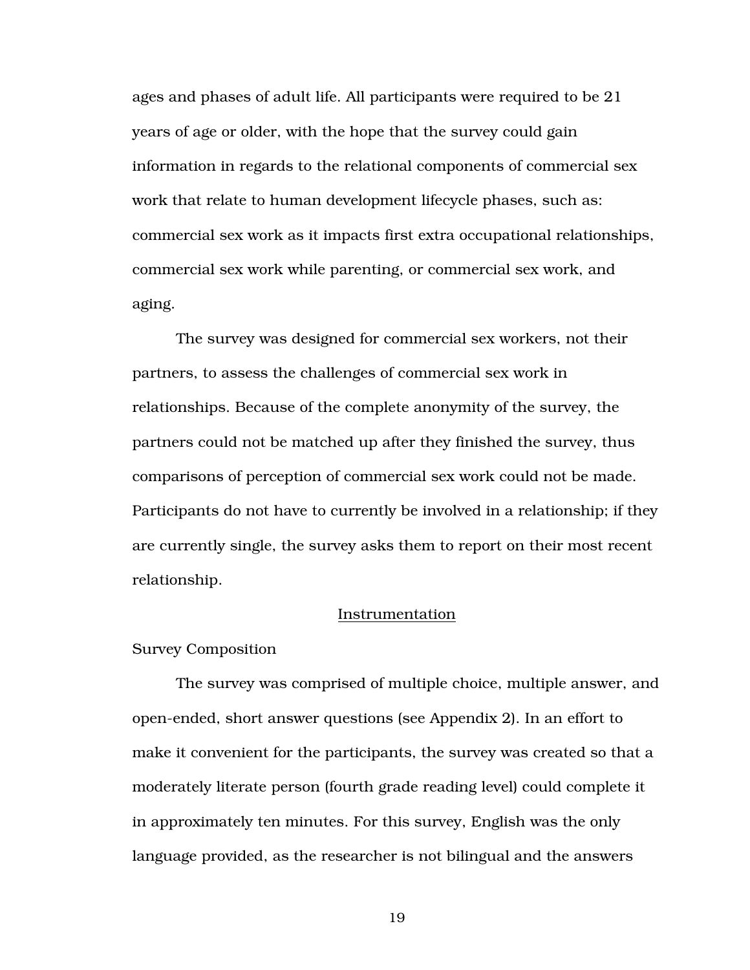ages and phases of adult life. All participants were required to be 21 years of age or older, with the hope that the survey could gain information in regards to the relational components of commercial sex work that relate to human development lifecycle phases, such as: commercial sex work as it impacts first extra occupational relationships, commercial sex work while parenting, or commercial sex work, and aging.

The survey was designed for commercial sex workers, not their partners, to assess the challenges of commercial sex work in relationships. Because of the complete anonymity of the survey, the partners could not be matched up after they finished the survey, thus comparisons of perception of commercial sex work could not be made. Participants do not have to currently be involved in a relationship; if they are currently single, the survey asks them to report on their most recent relationship.

#### Instrumentation

#### Survey Composition

The survey was comprised of multiple choice, multiple answer, and open-ended, short answer questions (see Appendix 2). In an effort to make it convenient for the participants, the survey was created so that a moderately literate person (fourth grade reading level) could complete it in approximately ten minutes. For this survey, English was the only language provided, as the researcher is not bilingual and the answers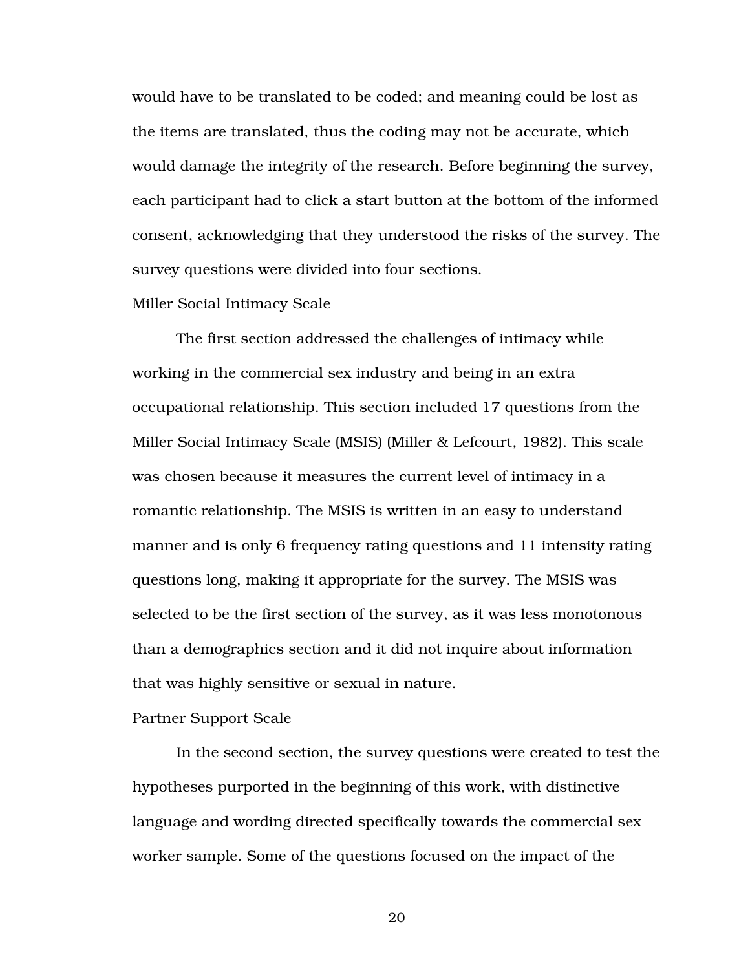would have to be translated to be coded; and meaning could be lost as the items are translated, thus the coding may not be accurate, which would damage the integrity of the research. Before beginning the survey, each participant had to click a start button at the bottom of the informed consent, acknowledging that they understood the risks of the survey. The survey questions were divided into four sections.

#### Miller Social Intimacy Scale

The first section addressed the challenges of intimacy while working in the commercial sex industry and being in an extra occupational relationship. This section included 17 questions from the Miller Social Intimacy Scale (MSIS) (Miller & Lefcourt, 1982). This scale was chosen because it measures the current level of intimacy in a romantic relationship. The MSIS is written in an easy to understand manner and is only 6 frequency rating questions and 11 intensity rating questions long, making it appropriate for the survey. The MSIS was selected to be the first section of the survey, as it was less monotonous than a demographics section and it did not inquire about information that was highly sensitive or sexual in nature.

#### Partner Support Scale

In the second section, the survey questions were created to test the hypotheses purported in the beginning of this work, with distinctive language and wording directed specifically towards the commercial sex worker sample. Some of the questions focused on the impact of the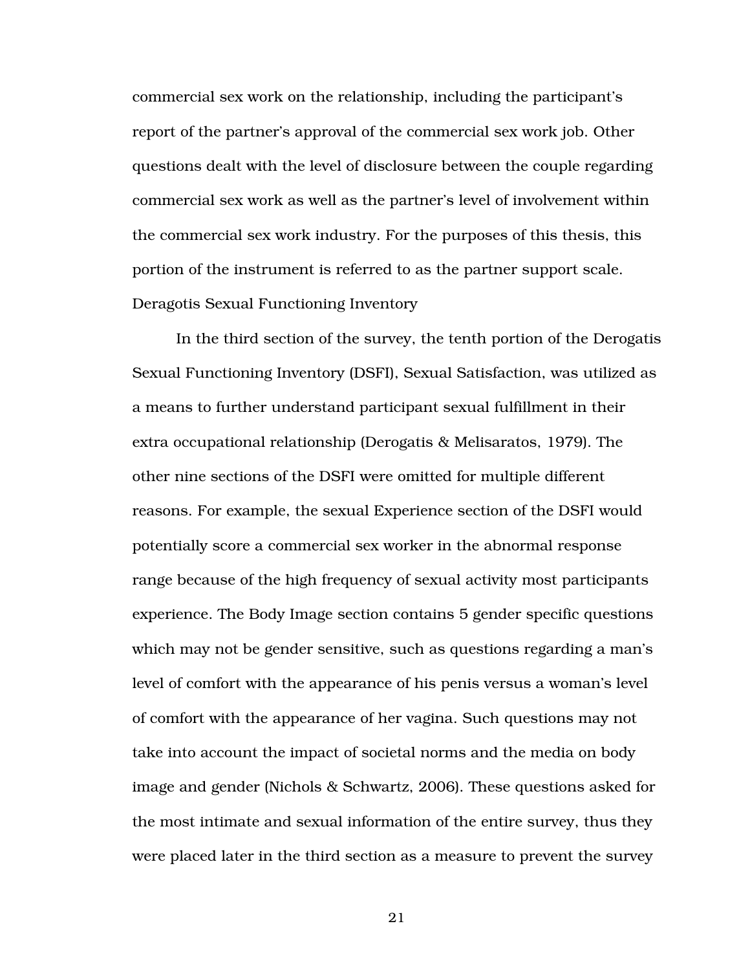commercial sex work on the relationship, including the participant's report of the partner's approval of the commercial sex work job. Other questions dealt with the level of disclosure between the couple regarding commercial sex work as well as the partner's level of involvement within the commercial sex work industry. For the purposes of this thesis, this portion of the instrument is referred to as the partner support scale. Deragotis Sexual Functioning Inventory

In the third section of the survey, the tenth portion of the Derogatis Sexual Functioning Inventory (DSFI), Sexual Satisfaction, was utilized as a means to further understand participant sexual fulfillment in their extra occupational relationship (Derogatis & Melisaratos, 1979). The other nine sections of the DSFI were omitted for multiple different reasons. For example, the sexual Experience section of the DSFI would potentially score a commercial sex worker in the abnormal response range because of the high frequency of sexual activity most participants experience. The Body Image section contains 5 gender specific questions which may not be gender sensitive, such as questions regarding a man's level of comfort with the appearance of his penis versus a woman's level of comfort with the appearance of her vagina. Such questions may not take into account the impact of societal norms and the media on body image and gender (Nichols & Schwartz, 2006). These questions asked for the most intimate and sexual information of the entire survey, thus they were placed later in the third section as a measure to prevent the survey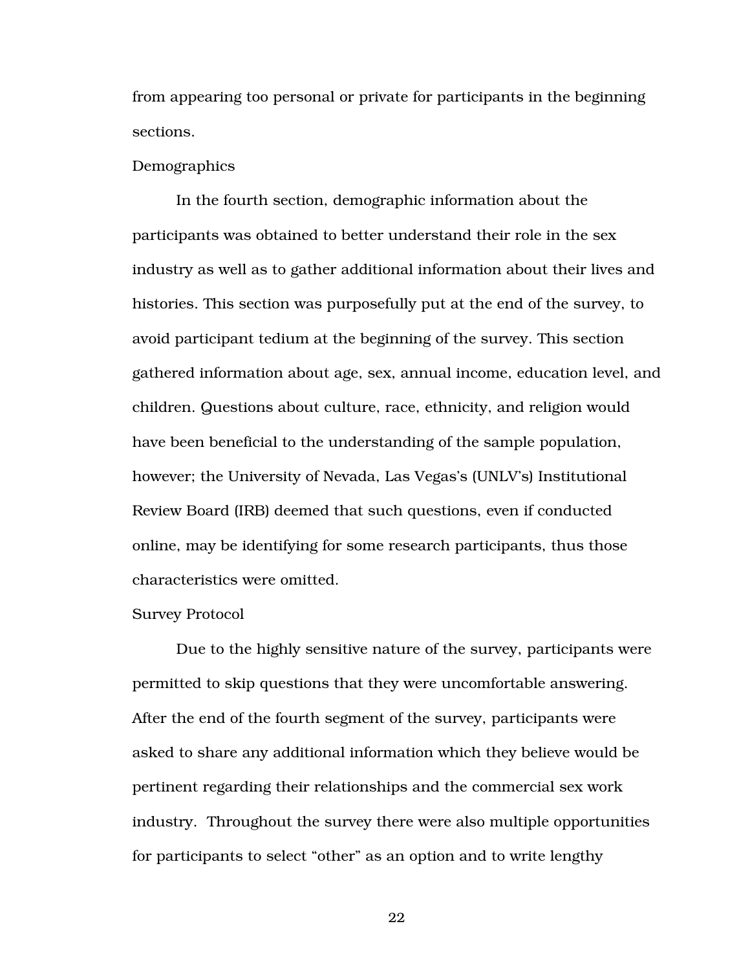from appearing too personal or private for participants in the beginning sections.

#### Demographics

In the fourth section, demographic information about the participants was obtained to better understand their role in the sex industry as well as to gather additional information about their lives and histories. This section was purposefully put at the end of the survey, to avoid participant tedium at the beginning of the survey. This section gathered information about age, sex, annual income, education level, and children. Questions about culture, race, ethnicity, and religion would have been beneficial to the understanding of the sample population, however; the University of Nevada, Las Vegas's (UNLV's) Institutional Review Board (IRB) deemed that such questions, even if conducted online, may be identifying for some research participants, thus those characteristics were omitted.

#### Survey Protocol

Due to the highly sensitive nature of the survey, participants were permitted to skip questions that they were uncomfortable answering. After the end of the fourth segment of the survey, participants were asked to share any additional information which they believe would be pertinent regarding their relationships and the commercial sex work industry. Throughout the survey there were also multiple opportunities for participants to select "other" as an option and to write lengthy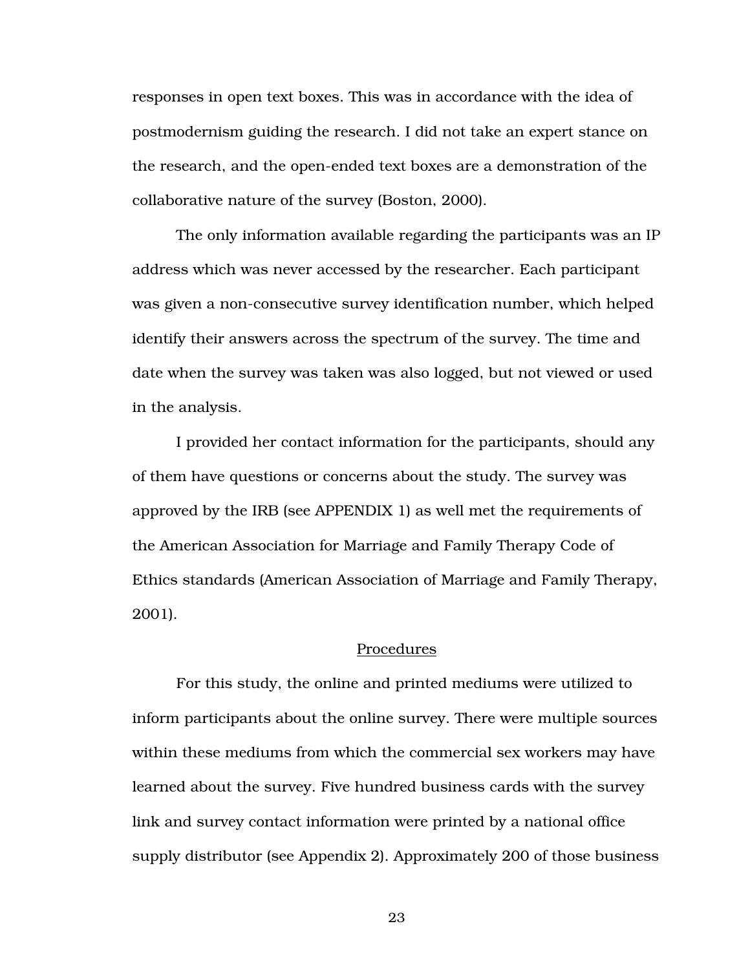responses in open text boxes. This was in accordance with the idea of postmodernism guiding the research. I did not take an expert stance on the research, and the open-ended text boxes are a demonstration of the collaborative nature of the survey (Boston, 2000).

The only information available regarding the participants was an IP address which was never accessed by the researcher. Each participant was given a non-consecutive survey identification number, which helped identify their answers across the spectrum of the survey. The time and date when the survey was taken was also logged, but not viewed or used in the analysis.

I provided her contact information for the participants, should any of them have questions or concerns about the study. The survey was approved by the IRB (see APPENDIX 1) as well met the requirements of the American Association for Marriage and Family Therapy Code of Ethics standards (American Association of Marriage and Family Therapy, 2001).

#### Procedures

For this study, the online and printed mediums were utilized to inform participants about the online survey. There were multiple sources within these mediums from which the commercial sex workers may have learned about the survey. Five hundred business cards with the survey link and survey contact information were printed by a national office supply distributor (see Appendix 2). Approximately 200 of those business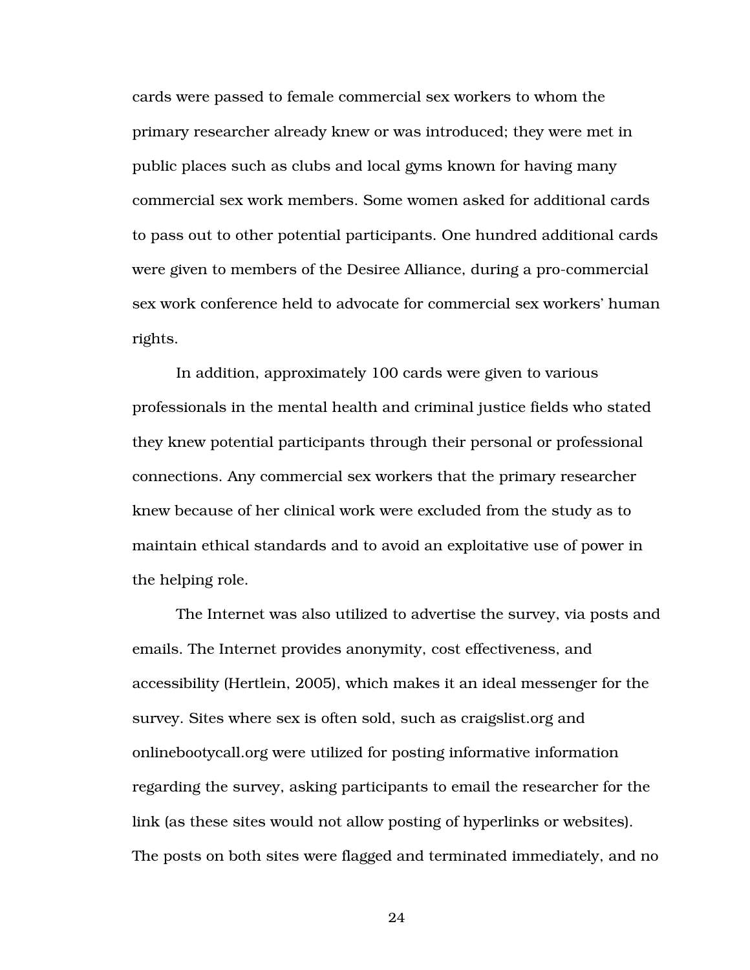cards were passed to female commercial sex workers to whom the primary researcher already knew or was introduced; they were met in public places such as clubs and local gyms known for having many commercial sex work members. Some women asked for additional cards to pass out to other potential participants. One hundred additional cards were given to members of the Desiree Alliance, during a pro-commercial sex work conference held to advocate for commercial sex workers' human rights.

In addition, approximately 100 cards were given to various professionals in the mental health and criminal justice fields who stated they knew potential participants through their personal or professional connections. Any commercial sex workers that the primary researcher knew because of her clinical work were excluded from the study as to maintain ethical standards and to avoid an exploitative use of power in the helping role.

The Internet was also utilized to advertise the survey, via posts and emails. The Internet provides anonymity, cost effectiveness, and accessibility (Hertlein, 2005), which makes it an ideal messenger for the survey. Sites where sex is often sold, such as craigslist.org and onlinebootycall.org were utilized for posting informative information regarding the survey, asking participants to email the researcher for the link (as these sites would not allow posting of hyperlinks or websites). The posts on both sites were flagged and terminated immediately, and no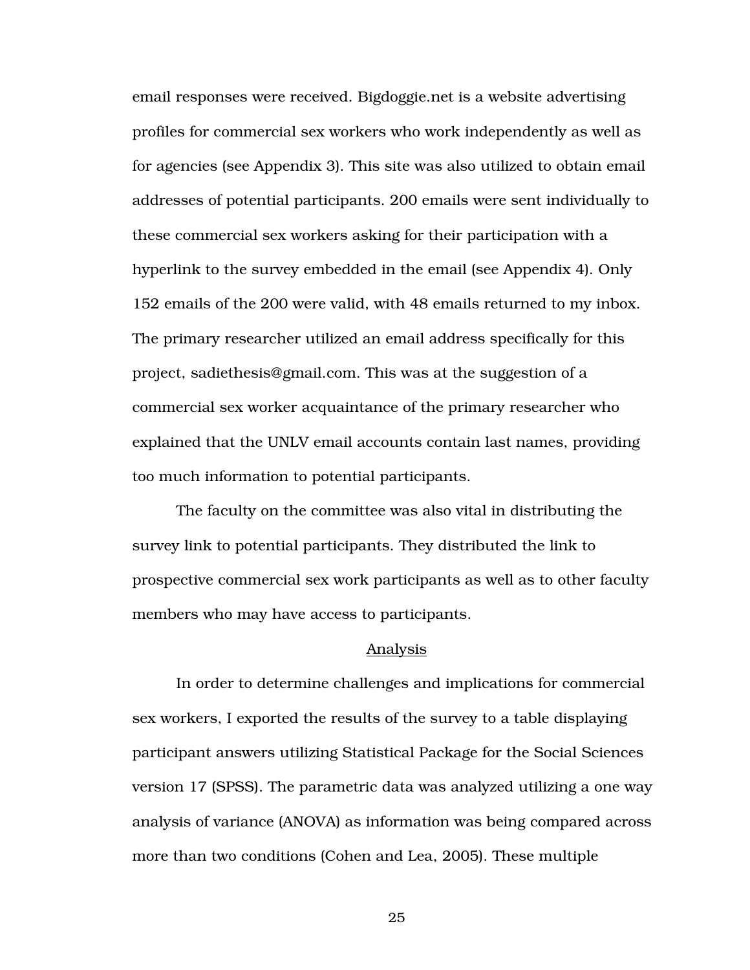email responses were received. Bigdoggie.net is a website advertising profiles for commercial sex workers who work independently as well as for agencies (see Appendix 3). This site was also utilized to obtain email addresses of potential participants. 200 emails were sent individually to these commercial sex workers asking for their participation with a hyperlink to the survey embedded in the email (see Appendix 4). Only 152 emails of the 200 were valid, with 48 emails returned to my inbox. The primary researcher utilized an email address specifically for this project, sadiethesis@gmail.com. This was at the suggestion of a commercial sex worker acquaintance of the primary researcher who explained that the UNLV email accounts contain last names, providing too much information to potential participants.

The faculty on the committee was also vital in distributing the survey link to potential participants. They distributed the link to prospective commercial sex work participants as well as to other faculty members who may have access to participants.

#### Analysis

 In order to determine challenges and implications for commercial sex workers, I exported the results of the survey to a table displaying participant answers utilizing Statistical Package for the Social Sciences version 17 (SPSS). The parametric data was analyzed utilizing a one way analysis of variance (ANOVA) as information was being compared across more than two conditions (Cohen and Lea, 2005). These multiple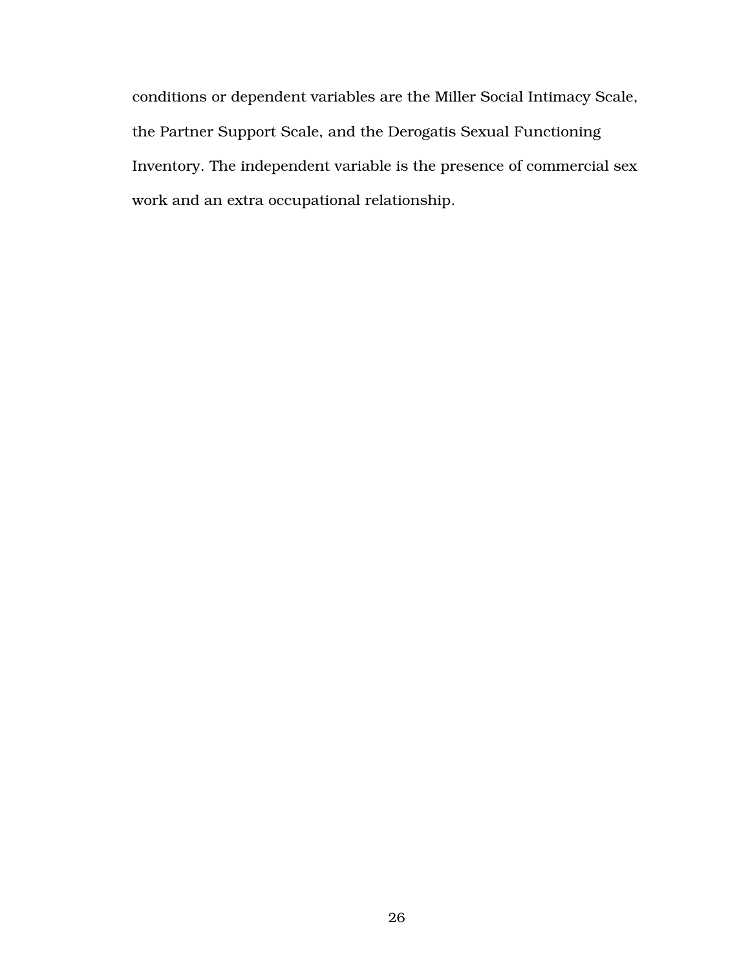conditions or dependent variables are the Miller Social Intimacy Scale, the Partner Support Scale, and the Derogatis Sexual Functioning Inventory. The independent variable is the presence of commercial sex work and an extra occupational relationship.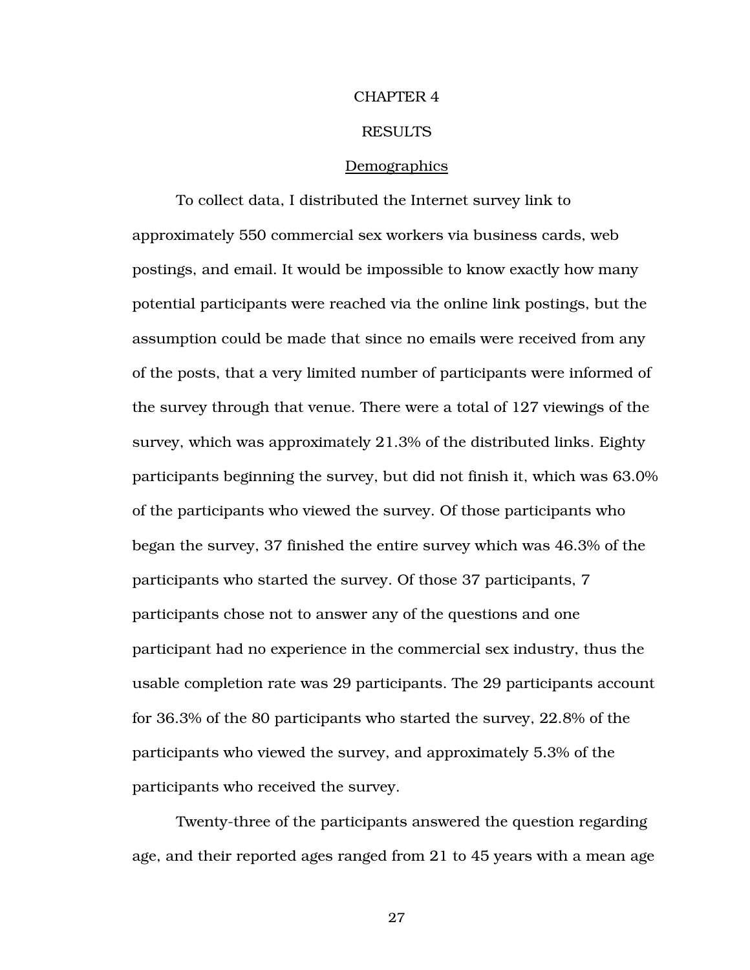#### CHAPTER 4

#### RESULTS

#### Demographics

 To collect data, I distributed the Internet survey link to approximately 550 commercial sex workers via business cards, web postings, and email. It would be impossible to know exactly how many potential participants were reached via the online link postings, but the assumption could be made that since no emails were received from any of the posts, that a very limited number of participants were informed of the survey through that venue. There were a total of 127 viewings of the survey, which was approximately 21.3% of the distributed links. Eighty participants beginning the survey, but did not finish it, which was 63.0% of the participants who viewed the survey. Of those participants who began the survey, 37 finished the entire survey which was 46.3% of the participants who started the survey. Of those 37 participants, 7 participants chose not to answer any of the questions and one participant had no experience in the commercial sex industry, thus the usable completion rate was 29 participants. The 29 participants account for 36.3% of the 80 participants who started the survey, 22.8% of the participants who viewed the survey, and approximately 5.3% of the participants who received the survey.

 Twenty-three of the participants answered the question regarding age, and their reported ages ranged from 21 to 45 years with a mean age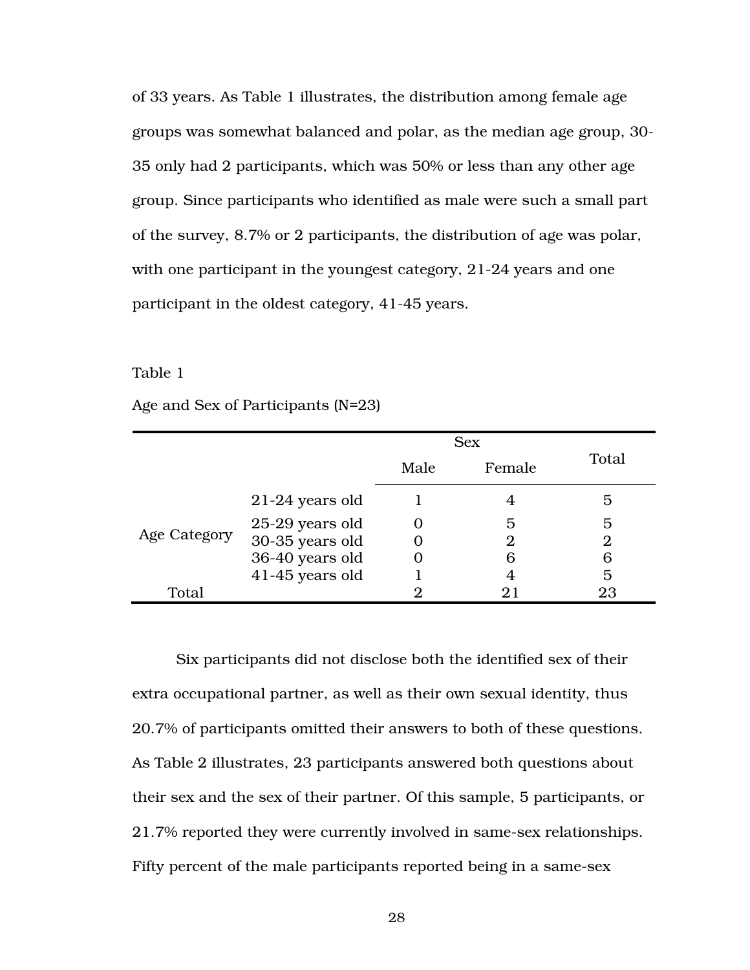of 33 years. As Table 1 illustrates, the distribution among female age groups was somewhat balanced and polar, as the median age group, 30- 35 only had 2 participants, which was 50% or less than any other age group. Since participants who identified as male were such a small part of the survey, 8.7% or 2 participants, the distribution of age was polar, with one participant in the youngest category, 21-24 years and one participant in the oldest category, 41-45 years.

Table 1

Age and Sex of Participants (N=23)

|              |                   | <b>Sex</b> |        |                |
|--------------|-------------------|------------|--------|----------------|
|              |                   | Male       | Female | Total          |
|              | $21-24$ years old |            |        | 5              |
|              | 25-29 years old   |            | 5      | 5              |
| Age Category | 30-35 years old   |            | 2      | $\overline{2}$ |
|              | 36-40 years old   |            | 6      | 6              |
|              | 41-45 years old   |            |        | 5              |
| Total        |                   |            |        | 23             |

 Six participants did not disclose both the identified sex of their extra occupational partner, as well as their own sexual identity, thus 20.7% of participants omitted their answers to both of these questions. As Table 2 illustrates, 23 participants answered both questions about their sex and the sex of their partner. Of this sample, 5 participants, or 21.7% reported they were currently involved in same-sex relationships. Fifty percent of the male participants reported being in a same-sex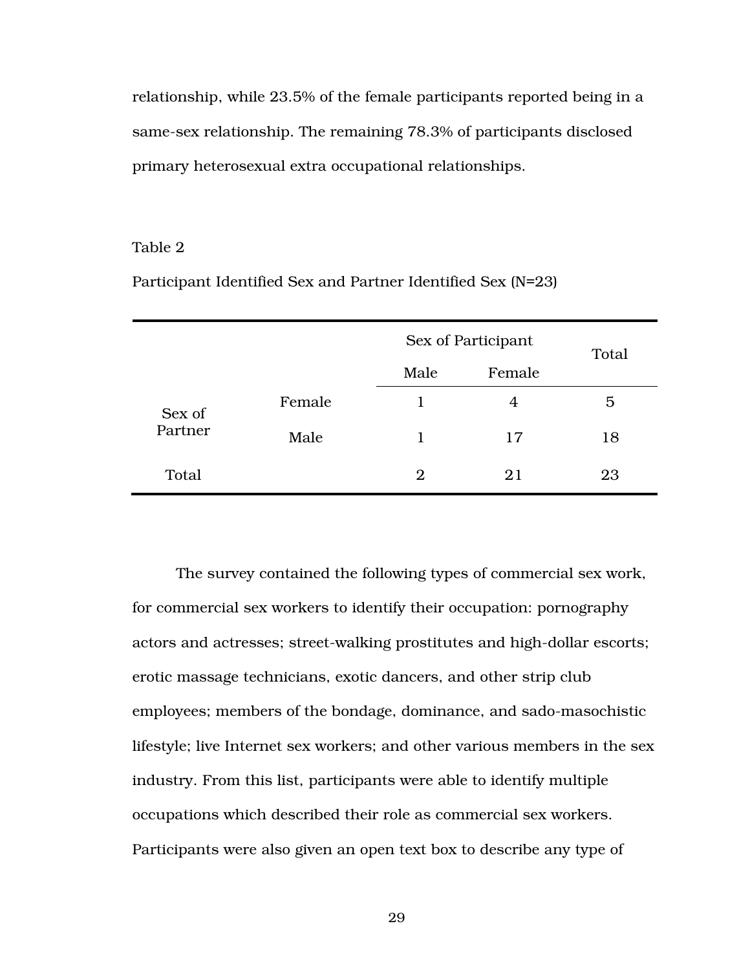relationship, while 23.5% of the female participants reported being in a same-sex relationship. The remaining 78.3% of participants disclosed primary heterosexual extra occupational relationships.

### Table 2

|         |        |                | Sex of Participant |       |  |  |
|---------|--------|----------------|--------------------|-------|--|--|
|         |        | Male           | Female             | Total |  |  |
| Sex of  | Female |                | 4                  | 5     |  |  |
| Partner | Male   |                | 17                 | 18    |  |  |
| Total   |        | $\overline{2}$ | 21                 | 23    |  |  |

Participant Identified Sex and Partner Identified Sex (N=23)

The survey contained the following types of commercial sex work, for commercial sex workers to identify their occupation: pornography actors and actresses; street-walking prostitutes and high-dollar escorts; erotic massage technicians, exotic dancers, and other strip club employees; members of the bondage, dominance, and sado-masochistic lifestyle; live Internet sex workers; and other various members in the sex industry. From this list, participants were able to identify multiple occupations which described their role as commercial sex workers. Participants were also given an open text box to describe any type of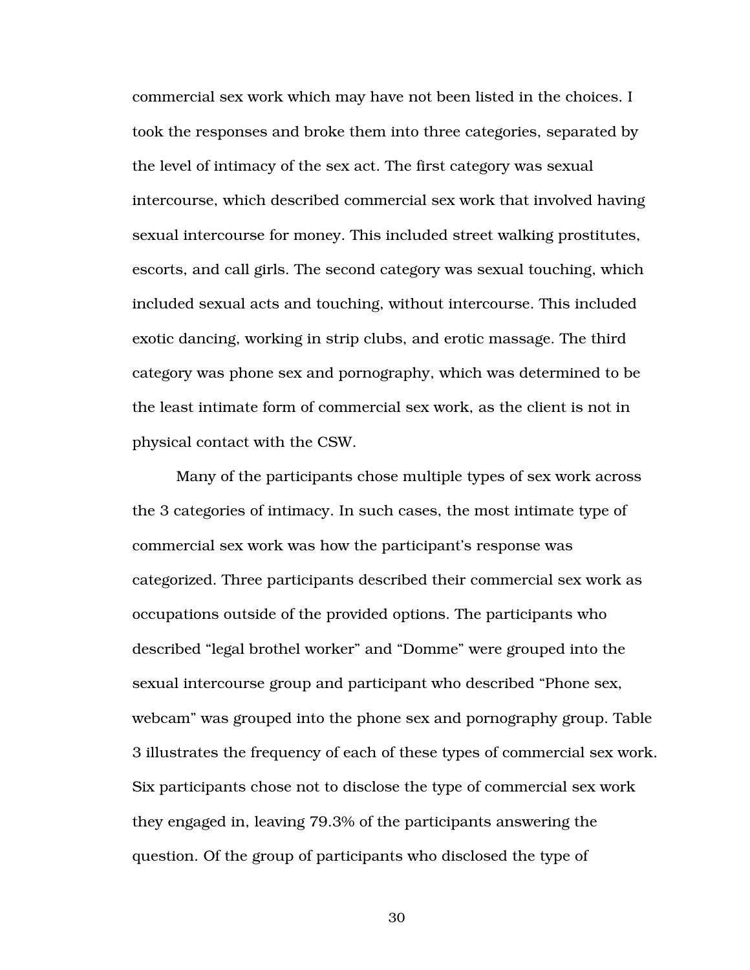commercial sex work which may have not been listed in the choices. I took the responses and broke them into three categories, separated by the level of intimacy of the sex act. The first category was sexual intercourse, which described commercial sex work that involved having sexual intercourse for money. This included street walking prostitutes, escorts, and call girls. The second category was sexual touching, which included sexual acts and touching, without intercourse. This included exotic dancing, working in strip clubs, and erotic massage. The third category was phone sex and pornography, which was determined to be the least intimate form of commercial sex work, as the client is not in physical contact with the CSW.

 Many of the participants chose multiple types of sex work across the 3 categories of intimacy. In such cases, the most intimate type of commercial sex work was how the participant's response was categorized. Three participants described their commercial sex work as occupations outside of the provided options. The participants who described "legal brothel worker" and "Domme" were grouped into the sexual intercourse group and participant who described "Phone sex, webcam" was grouped into the phone sex and pornography group. Table 3 illustrates the frequency of each of these types of commercial sex work. Six participants chose not to disclose the type of commercial sex work they engaged in, leaving 79.3% of the participants answering the question. Of the group of participants who disclosed the type of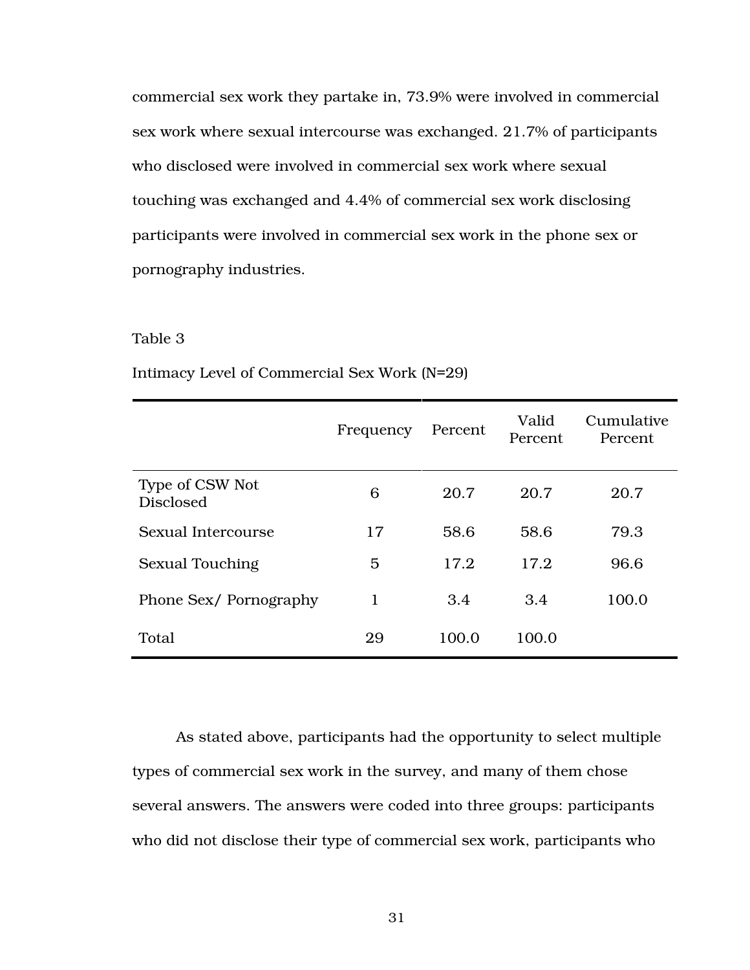commercial sex work they partake in, 73.9% were involved in commercial sex work where sexual intercourse was exchanged. 21.7% of participants who disclosed were involved in commercial sex work where sexual touching was exchanged and 4.4% of commercial sex work disclosing participants were involved in commercial sex work in the phone sex or pornography industries.

#### Table 3

|                                     | Frequency | Percent | Valid<br>Percent | Cumulative<br>Percent |
|-------------------------------------|-----------|---------|------------------|-----------------------|
| Type of CSW Not<br><b>Disclosed</b> | 6         | 20.7    | 20.7             | 20.7                  |
| Sexual Intercourse                  | 17        | 58.6    | 58.6             | 79.3                  |
| <b>Sexual Touching</b>              | 5         | 17.2    | 17.2             | 96.6                  |
| Phone Sex/Pornography               | 1         | 3.4     | 3.4              | 100.0                 |
| Total                               | 29        | 100.0   | 100.0            |                       |

Intimacy Level of Commercial Sex Work (N=29)

 As stated above, participants had the opportunity to select multiple types of commercial sex work in the survey, and many of them chose several answers. The answers were coded into three groups: participants who did not disclose their type of commercial sex work, participants who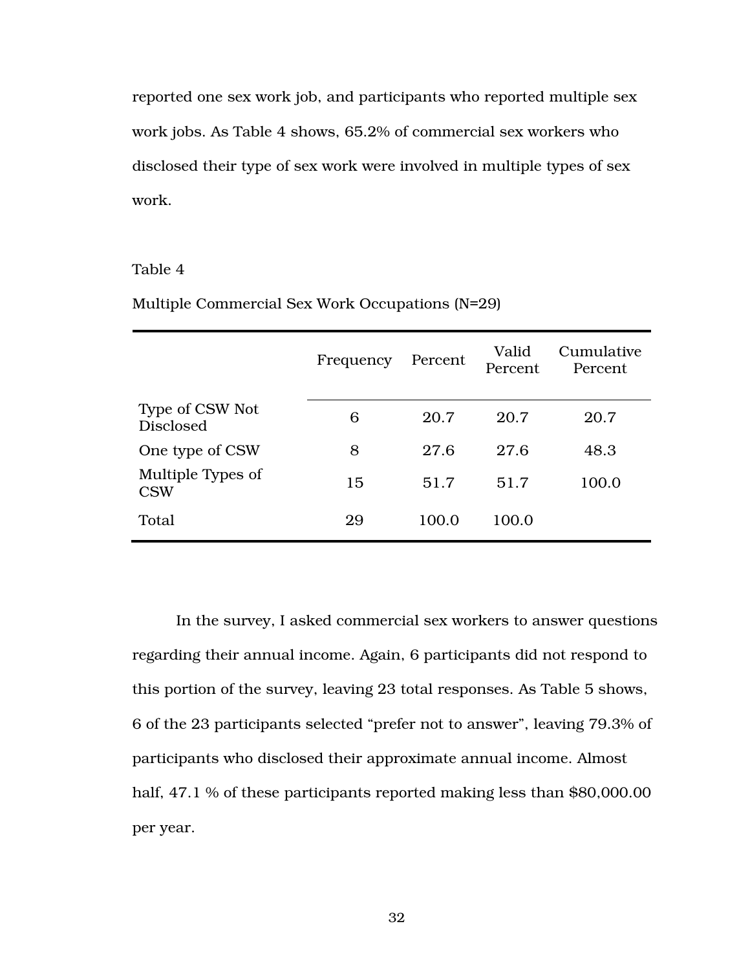reported one sex work job, and participants who reported multiple sex work jobs. As Table 4 shows, 65.2% of commercial sex workers who disclosed their type of sex work were involved in multiple types of sex work.

## Table 4

|                                     | Frequency | Percent | Valid<br>Percent | Cumulative<br>Percent |
|-------------------------------------|-----------|---------|------------------|-----------------------|
| Type of CSW Not<br><b>Disclosed</b> | 6         | 20.7    | 20.7             | 20.7                  |
| One type of CSW                     | 8         | 27.6    | 27.6             | 48.3                  |
| Multiple Types of<br><b>CSW</b>     | 15        | 51.7    | 51.7             | 100.0                 |
| Total                               | 29        | 100.0   | 100.0            |                       |

Multiple Commercial Sex Work Occupations (N=29)

In the survey, I asked commercial sex workers to answer questions regarding their annual income. Again, 6 participants did not respond to this portion of the survey, leaving 23 total responses. As Table 5 shows, 6 of the 23 participants selected "prefer not to answer", leaving 79.3% of participants who disclosed their approximate annual income. Almost half, 47.1 % of these participants reported making less than \$80,000.00 per year.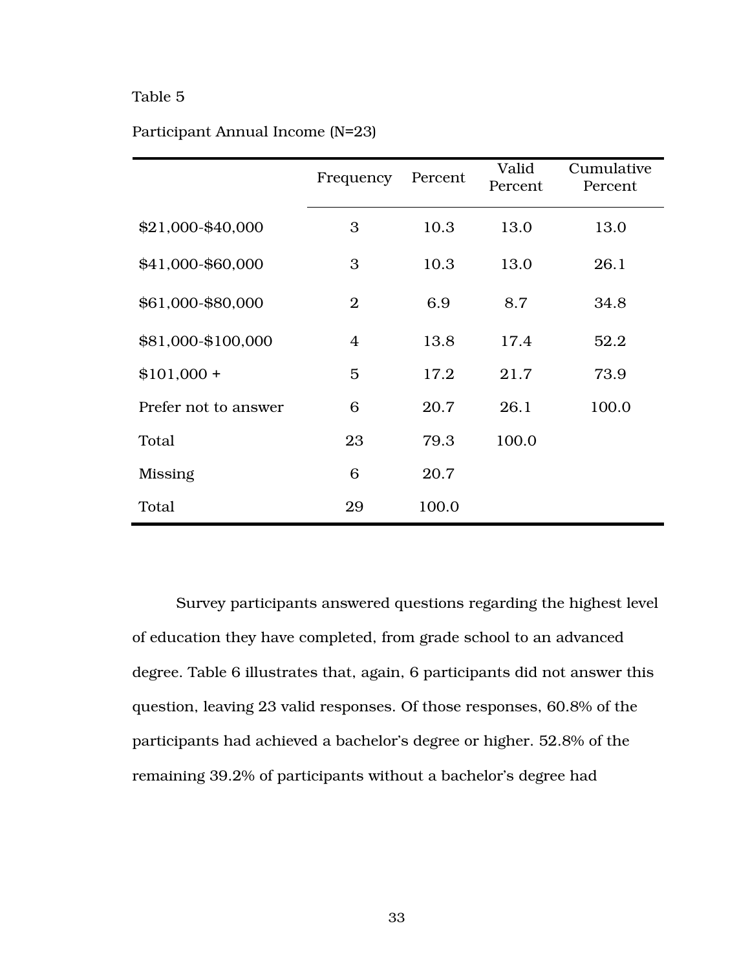| Participant Annual Income (N=23) |  |  |
|----------------------------------|--|--|
|----------------------------------|--|--|

|                      | Frequency      | Percent | Valid<br>Percent | Cumulative<br>Percent |
|----------------------|----------------|---------|------------------|-----------------------|
| \$21,000-\$40,000    | 3              | 10.3    | 13.0             | 13.0                  |
| \$41,000-\$60,000    | 3              | 10.3    | 13.0             | 26.1                  |
| \$61,000-\$80,000    | $\overline{2}$ | 6.9     | 8.7              | 34.8                  |
| \$81,000-\$100,000   | 4              | 13.8    | 17.4             | 52.2                  |
| $$101,000 +$         | 5              | 17.2    | 21.7             | 73.9                  |
| Prefer not to answer | 6              | 20.7    | 26.1             | 100.0                 |
| Total                | 23             | 79.3    | 100.0            |                       |
| Missing              | 6              | 20.7    |                  |                       |
| Total                | 29             | 100.0   |                  |                       |

 Survey participants answered questions regarding the highest level of education they have completed, from grade school to an advanced degree. Table 6 illustrates that, again, 6 participants did not answer this question, leaving 23 valid responses. Of those responses, 60.8% of the participants had achieved a bachelor's degree or higher. 52.8% of the remaining 39.2% of participants without a bachelor's degree had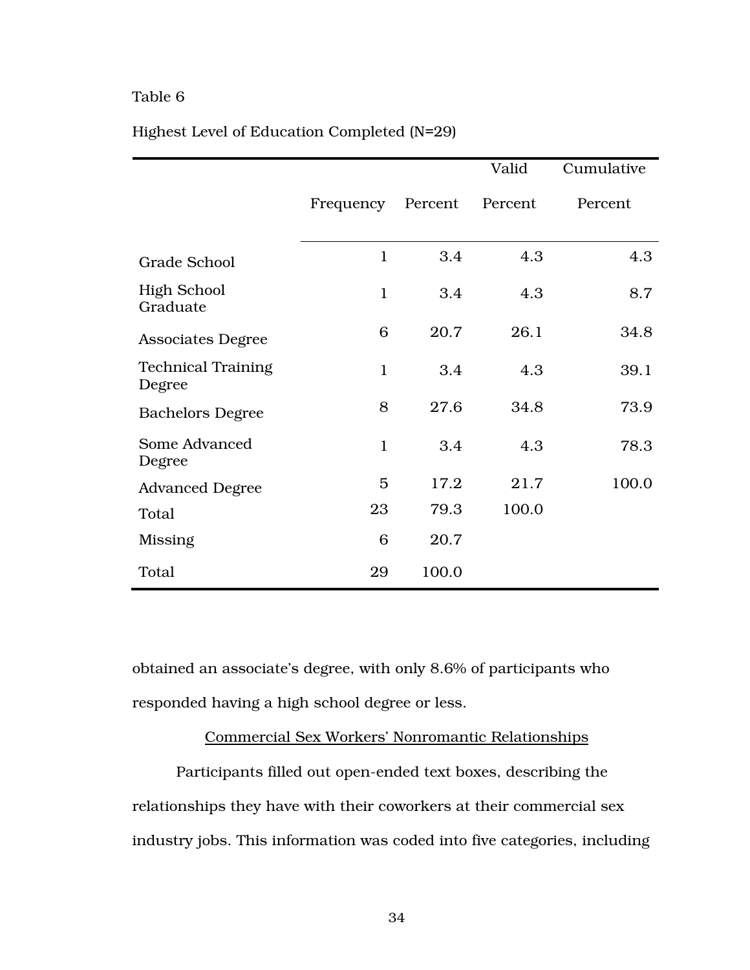|                                     |              |         | Valid   | Cumulative |
|-------------------------------------|--------------|---------|---------|------------|
|                                     | Frequency    | Percent | Percent | Percent    |
| <b>Grade School</b>                 | $\mathbf{1}$ | 3.4     | 4.3     | 4.3        |
| <b>High School</b><br>Graduate      | $\mathbf{1}$ | 3.4     | 4.3     | 8.7        |
| <b>Associates Degree</b>            | 6            | 20.7    | 26.1    | 34.8       |
| <b>Technical Training</b><br>Degree | $\mathbf{1}$ | 3.4     | 4.3     | 39.1       |
| <b>Bachelors Degree</b>             | 8            | 27.6    | 34.8    | 73.9       |
| Some Advanced<br>Degree             | $\mathbf{1}$ | 3.4     | 4.3     | 78.3       |
| <b>Advanced Degree</b>              | 5            | 17.2    | 21.7    | 100.0      |
| Total                               | 23           | 79.3    | 100.0   |            |
| Missing                             | 6            | 20.7    |         |            |
| Total                               | 29           | 100.0   |         |            |

# Highest Level of Education Completed (N=29)

obtained an associate's degree, with only 8.6% of participants who responded having a high school degree or less.

# Commercial Sex Workers' Nonromantic Relationships

Participants filled out open-ended text boxes, describing the relationships they have with their coworkers at their commercial sex industry jobs. This information was coded into five categories, including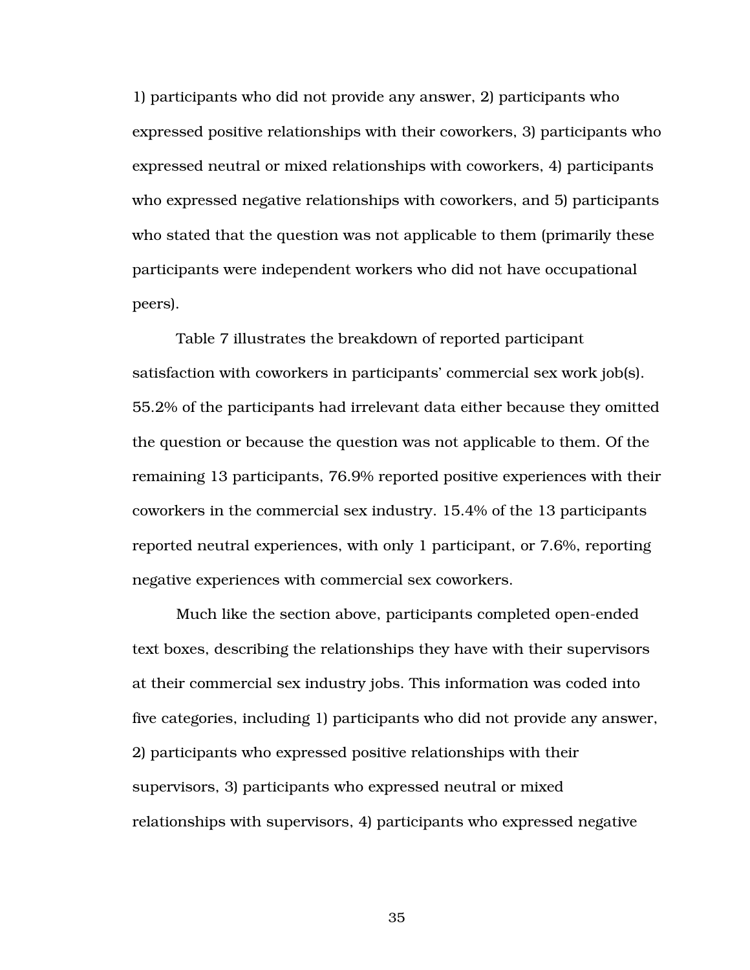1) participants who did not provide any answer, 2) participants who expressed positive relationships with their coworkers, 3) participants who expressed neutral or mixed relationships with coworkers, 4) participants who expressed negative relationships with coworkers, and 5) participants who stated that the question was not applicable to them (primarily these participants were independent workers who did not have occupational peers).

Table 7 illustrates the breakdown of reported participant satisfaction with coworkers in participants' commercial sex work job(s). 55.2% of the participants had irrelevant data either because they omitted the question or because the question was not applicable to them. Of the remaining 13 participants, 76.9% reported positive experiences with their coworkers in the commercial sex industry. 15.4% of the 13 participants reported neutral experiences, with only 1 participant, or 7.6%, reporting negative experiences with commercial sex coworkers.

Much like the section above, participants completed open-ended text boxes, describing the relationships they have with their supervisors at their commercial sex industry jobs. This information was coded into five categories, including 1) participants who did not provide any answer, 2) participants who expressed positive relationships with their supervisors, 3) participants who expressed neutral or mixed relationships with supervisors, 4) participants who expressed negative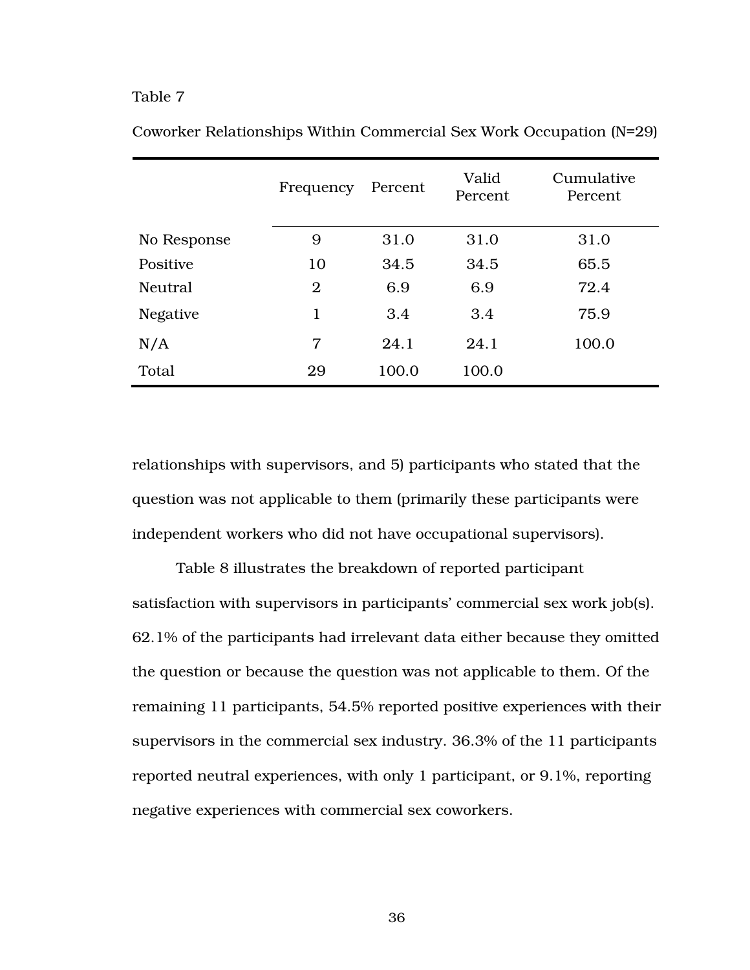|                 | Frequency      | Percent | Valid<br>Percent | Cumulative<br>Percent |
|-----------------|----------------|---------|------------------|-----------------------|
| No Response     | 9              | 31.0    | 31.0             | 31.0                  |
| Positive        | 10             | 34.5    | 34.5             | 65.5                  |
| <b>Neutral</b>  | $\overline{2}$ | 6.9     | 6.9              | 72.4                  |
| <b>Negative</b> | 1              | 3.4     | 3.4              | 75.9                  |
| N/A             | $\overline{7}$ | 24.1    | 24.1             | 100.0                 |
| Total           | 29             | 100.0   | 100.0            |                       |

Coworker Relationships Within Commercial Sex Work Occupation (N=29)

relationships with supervisors, and 5) participants who stated that the question was not applicable to them (primarily these participants were independent workers who did not have occupational supervisors).

Table 8 illustrates the breakdown of reported participant satisfaction with supervisors in participants' commercial sex work job(s). 62.1% of the participants had irrelevant data either because they omitted the question or because the question was not applicable to them. Of the remaining 11 participants, 54.5% reported positive experiences with their supervisors in the commercial sex industry. 36.3% of the 11 participants reported neutral experiences, with only 1 participant, or 9.1%, reporting negative experiences with commercial sex coworkers.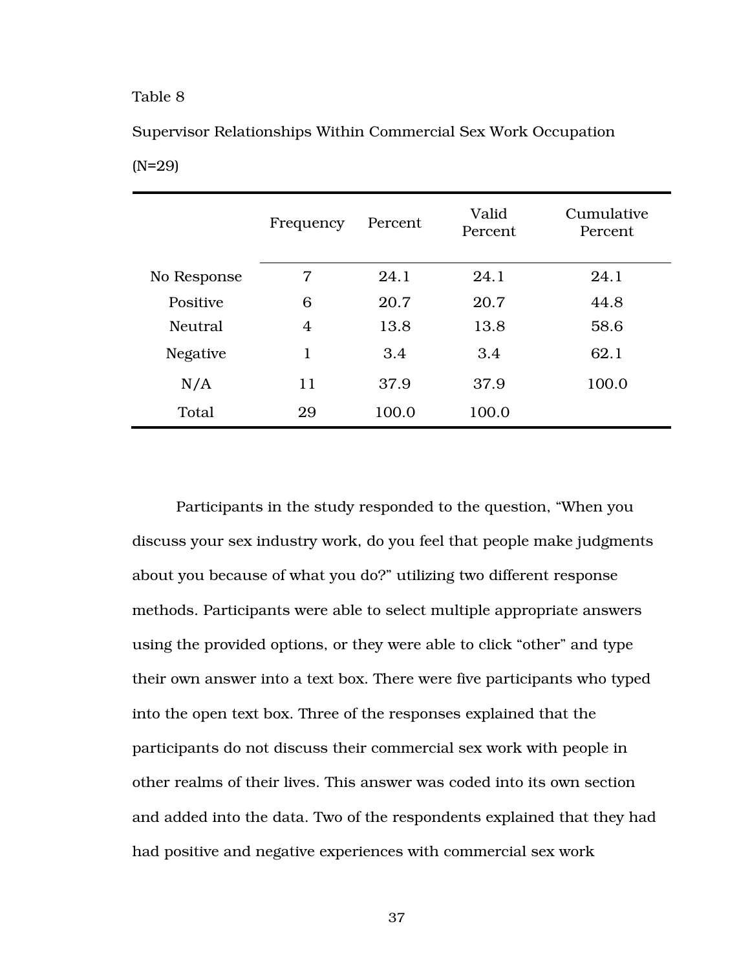(N=29)

|                 | Frequency | Percent | Valid<br>Percent | Cumulative<br>Percent |
|-----------------|-----------|---------|------------------|-----------------------|
| No Response     | 7         | 24.1    | 24.1             | 24.1                  |
| Positive        | 6         | 20.7    | 20.7             | 44.8                  |
| Neutral         | 4         | 13.8    | 13.8             | 58.6                  |
| <b>Negative</b> | 1         | 3.4     | 3.4              | 62.1                  |
| N/A             | 11        | 37.9    | 37.9             | 100.0                 |
| Total           | 29        | 100.0   | 100.0            |                       |

Supervisor Relationships Within Commercial Sex Work Occupation

Participants in the study responded to the question, "When you discuss your sex industry work, do you feel that people make judgments about you because of what you do?" utilizing two different response methods. Participants were able to select multiple appropriate answers using the provided options, or they were able to click "other" and type their own answer into a text box. There were five participants who typed into the open text box. Three of the responses explained that the participants do not discuss their commercial sex work with people in other realms of their lives. This answer was coded into its own section and added into the data. Two of the respondents explained that they had had positive and negative experiences with commercial sex work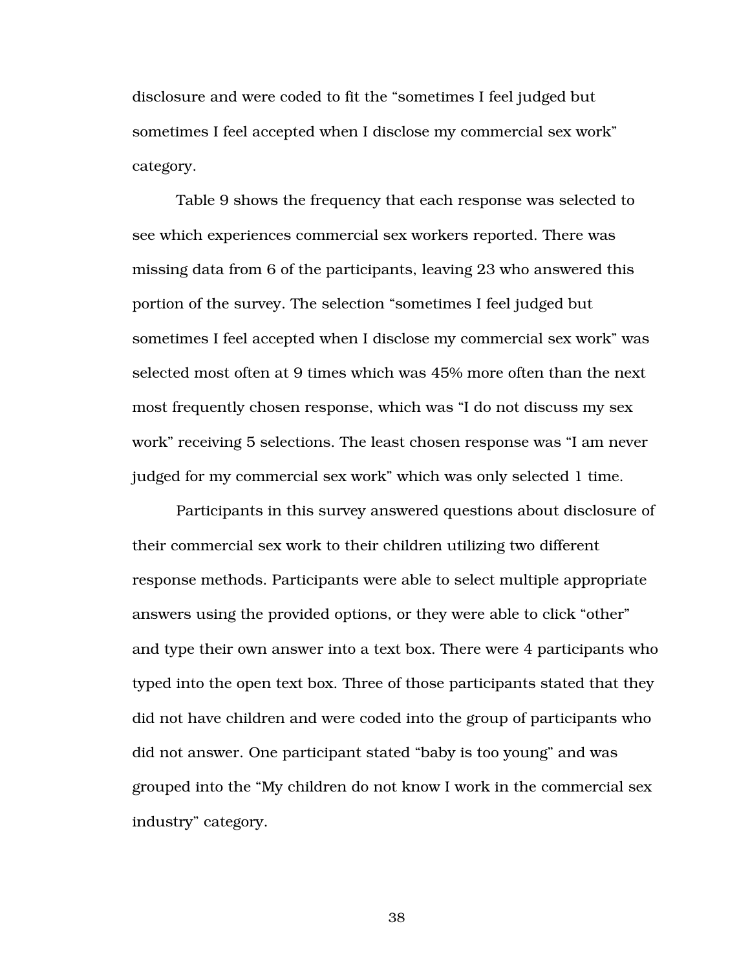disclosure and were coded to fit the "sometimes I feel judged but sometimes I feel accepted when I disclose my commercial sex work" category.

Table 9 shows the frequency that each response was selected to see which experiences commercial sex workers reported. There was missing data from 6 of the participants, leaving 23 who answered this portion of the survey. The selection "sometimes I feel judged but sometimes I feel accepted when I disclose my commercial sex work" was selected most often at 9 times which was 45% more often than the next most frequently chosen response, which was "I do not discuss my sex work" receiving 5 selections. The least chosen response was "I am never judged for my commercial sex work" which was only selected 1 time.

Participants in this survey answered questions about disclosure of their commercial sex work to their children utilizing two different response methods. Participants were able to select multiple appropriate answers using the provided options, or they were able to click "other" and type their own answer into a text box. There were 4 participants who typed into the open text box. Three of those participants stated that they did not have children and were coded into the group of participants who did not answer. One participant stated "baby is too young" and was grouped into the "My children do not know I work in the commercial sex industry" category.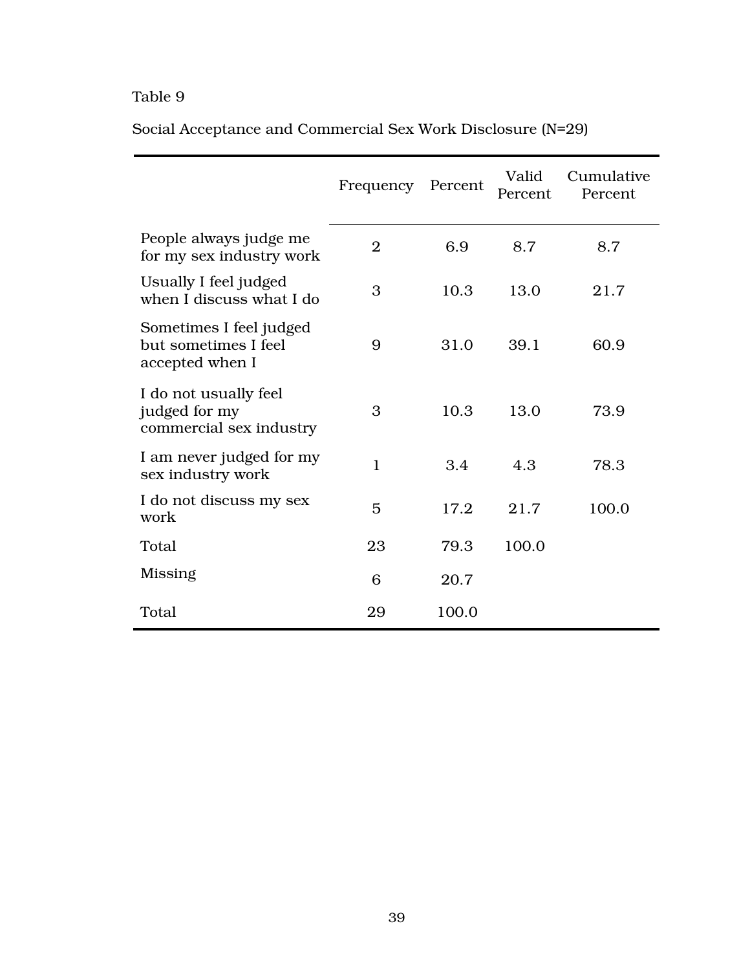|                                                                    | Frequency      | Percent | Valid<br>Percent | Cumulative<br>Percent |
|--------------------------------------------------------------------|----------------|---------|------------------|-----------------------|
| People always judge me<br>for my sex industry work                 | $\overline{2}$ | 6.9     | 8.7              | 8.7                   |
| Usually I feel judged<br>when I discuss what I do                  | 3              | 10.3    | 13.0             | 21.7                  |
| Sometimes I feel judged<br>but sometimes I feel<br>accepted when I | 9              | 31.0    | 39.1             | 60.9                  |
| I do not usually feel<br>judged for my<br>commercial sex industry  | 3              | 10.3    | 13.0             | 73.9                  |
| I am never judged for my<br>sex industry work                      | $\mathbf{1}$   | 3.4     | 4.3              | 78.3                  |
| I do not discuss my sex<br>work                                    | 5              | 17.2    | 21.7             | 100.0                 |
| Total                                                              | 23             | 79.3    | 100.0            |                       |
| Missing                                                            | 6              | 20.7    |                  |                       |
| Total                                                              | 29             | 100.0   |                  |                       |

Social Acceptance and Commercial Sex Work Disclosure (N=29)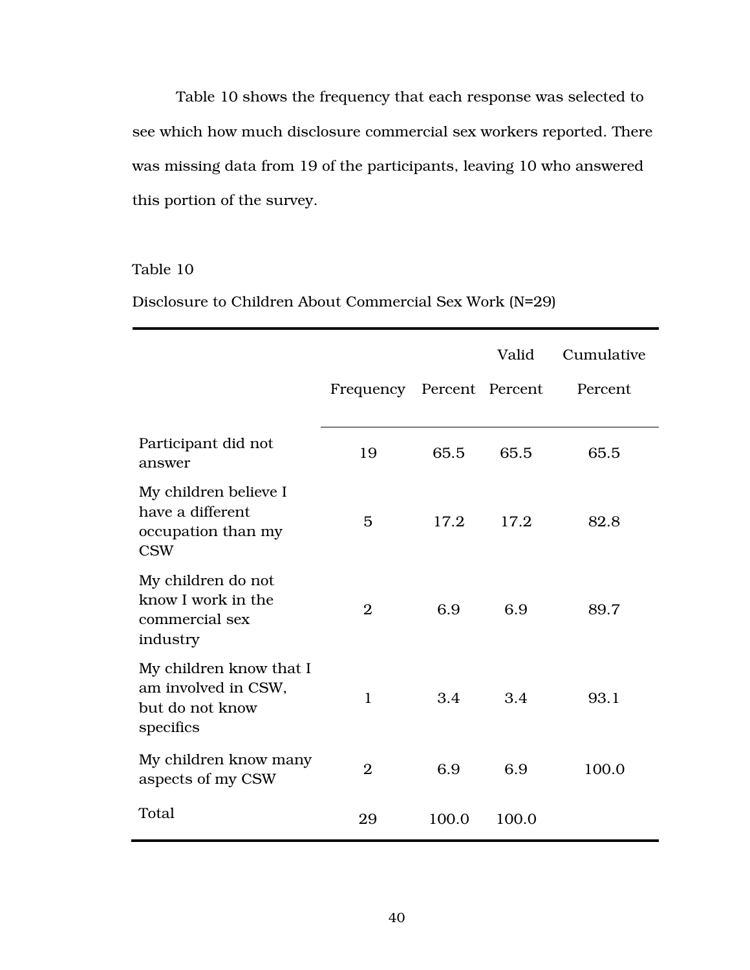Table 10 shows the frequency that each response was selected to see which how much disclosure commercial sex workers reported. There was missing data from 19 of the participants, leaving 10 who answered this portion of the survey.

## Table 10

Disclosure to Children About Commercial Sex Work (N=29)

|                                                                                |                           |       | Valid | Cumulative |
|--------------------------------------------------------------------------------|---------------------------|-------|-------|------------|
|                                                                                | Frequency Percent Percent |       |       | Percent    |
| Participant did not<br>answer                                                  | 19                        | 65.5  | 65.5  | 65.5       |
| My children believe I<br>have a different<br>occupation than my<br><b>CSW</b>  | 5                         | 17.2  | 17.2  | 82.8       |
| My children do not<br>know I work in the<br>commercial sex<br>industry         | $\overline{2}$            | 6.9   | 6.9   | 89.7       |
| My children know that I<br>am involved in CSW,<br>but do not know<br>specifics | $\mathbf{1}$              | 3.4   | 3.4   | 93.1       |
| My children know many<br>aspects of my CSW                                     | $\overline{2}$            | 6.9   | 6.9   | 100.0      |
| Total                                                                          | 29                        | 100.0 | 100.0 |            |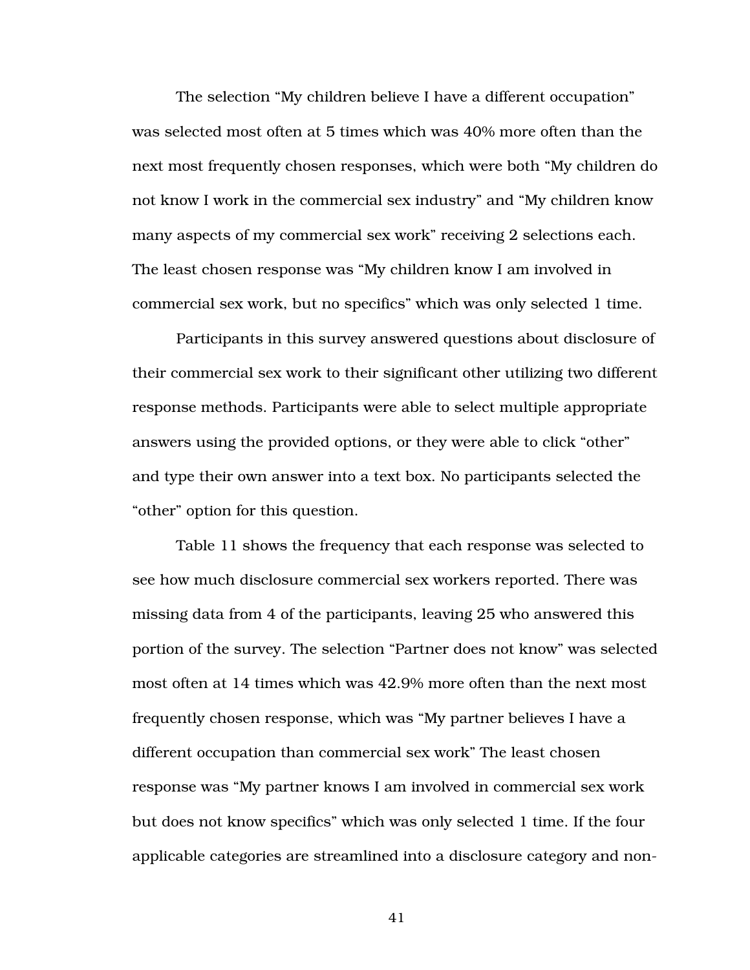The selection "My children believe I have a different occupation" was selected most often at 5 times which was 40% more often than the next most frequently chosen responses, which were both "My children do not know I work in the commercial sex industry" and "My children know many aspects of my commercial sex work" receiving 2 selections each. The least chosen response was "My children know I am involved in commercial sex work, but no specifics" which was only selected 1 time.

Participants in this survey answered questions about disclosure of their commercial sex work to their significant other utilizing two different response methods. Participants were able to select multiple appropriate answers using the provided options, or they were able to click "other" and type their own answer into a text box. No participants selected the "other" option for this question.

Table 11 shows the frequency that each response was selected to see how much disclosure commercial sex workers reported. There was missing data from 4 of the participants, leaving 25 who answered this portion of the survey. The selection "Partner does not know" was selected most often at 14 times which was 42.9% more often than the next most frequently chosen response, which was "My partner believes I have a different occupation than commercial sex work" The least chosen response was "My partner knows I am involved in commercial sex work but does not know specifics" which was only selected 1 time. If the four applicable categories are streamlined into a disclosure category and non-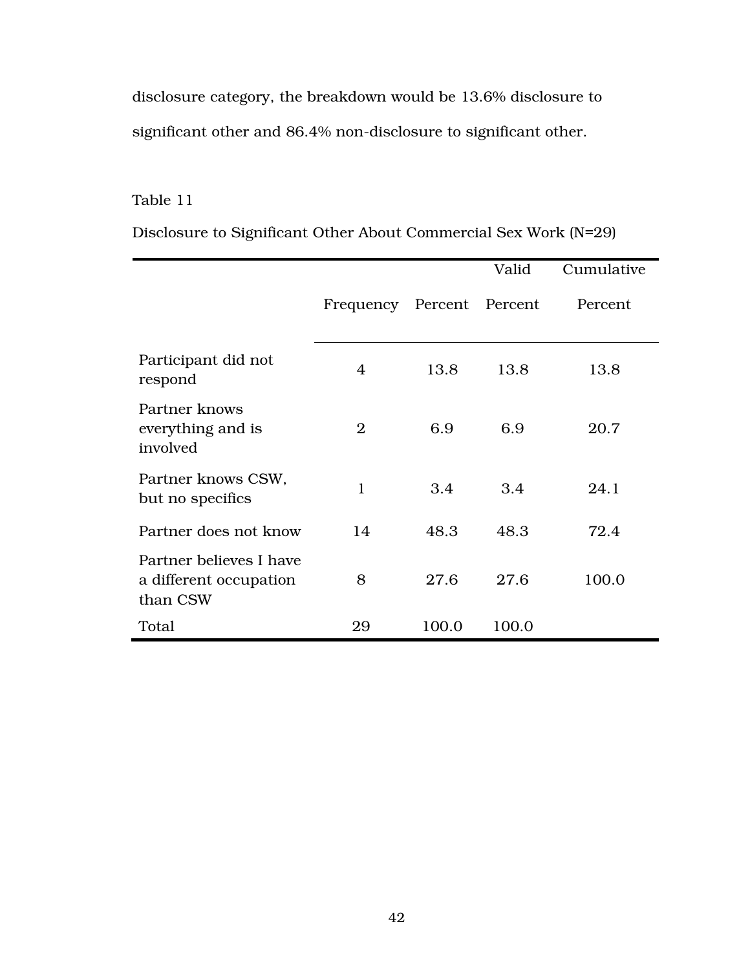disclosure category, the breakdown would be 13.6% disclosure to significant other and 86.4% non-disclosure to significant other.

# Table 11

|                                                               |                           |       | Valid | Cumulative |
|---------------------------------------------------------------|---------------------------|-------|-------|------------|
|                                                               | Frequency Percent Percent |       |       | Percent    |
| Participant did not<br>respond                                | 4                         | 13.8  | 13.8  | 13.8       |
| Partner knows<br>everything and is<br>involved                | $\mathfrak{D}$            | 6.9   | 6.9   | 20.7       |
| Partner knows CSW,<br>but no specifics                        | $\mathbf{1}$              | 3.4   | 3.4   | 24.1       |
| Partner does not know                                         | 14                        | 48.3  | 48.3  | 72.4       |
| Partner believes I have<br>a different occupation<br>than CSW | 8                         | 27.6  | 27.6  | 100.0      |
| Total                                                         | 29                        | 100.0 | 100.0 |            |

Disclosure to Significant Other About Commercial Sex Work (N=29)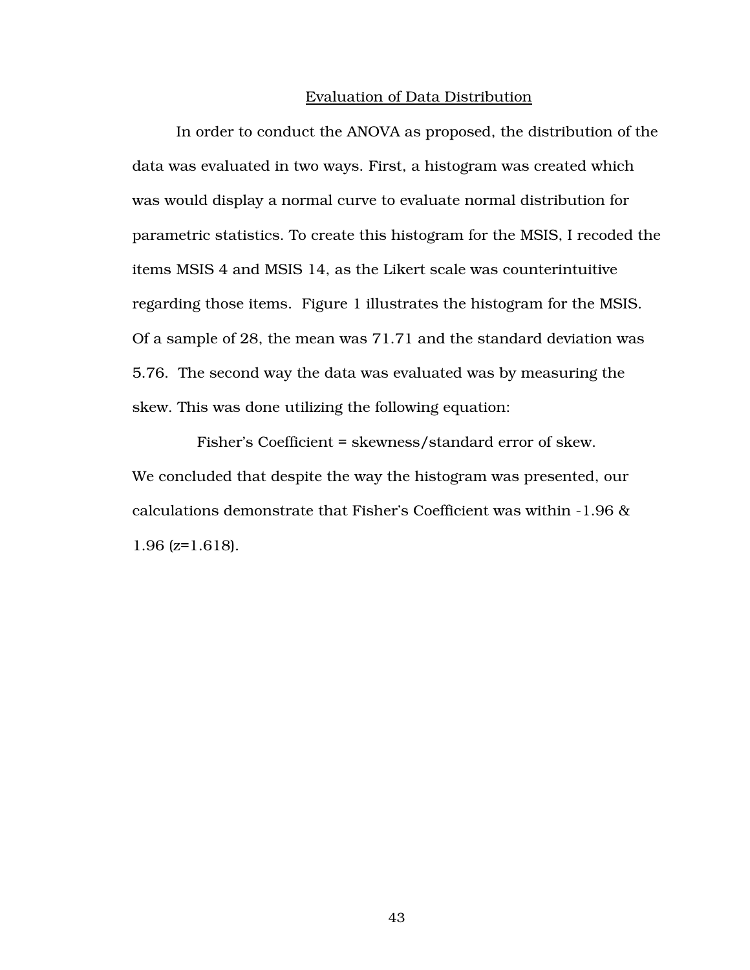#### Evaluation of Data Distribution

In order to conduct the ANOVA as proposed, the distribution of the data was evaluated in two ways. First, a histogram was created which was would display a normal curve to evaluate normal distribution for parametric statistics. To create this histogram for the MSIS, I recoded the items MSIS 4 and MSIS 14, as the Likert scale was counterintuitive regarding those items. Figure 1 illustrates the histogram for the MSIS. Of a sample of 28, the mean was 71.71 and the standard deviation was 5.76. The second way the data was evaluated was by measuring the skew. This was done utilizing the following equation:

Fisher's Coefficient = skewness/standard error of skew. We concluded that despite the way the histogram was presented, our calculations demonstrate that Fisher's Coefficient was within -1.96 & 1.96 (z=1.618).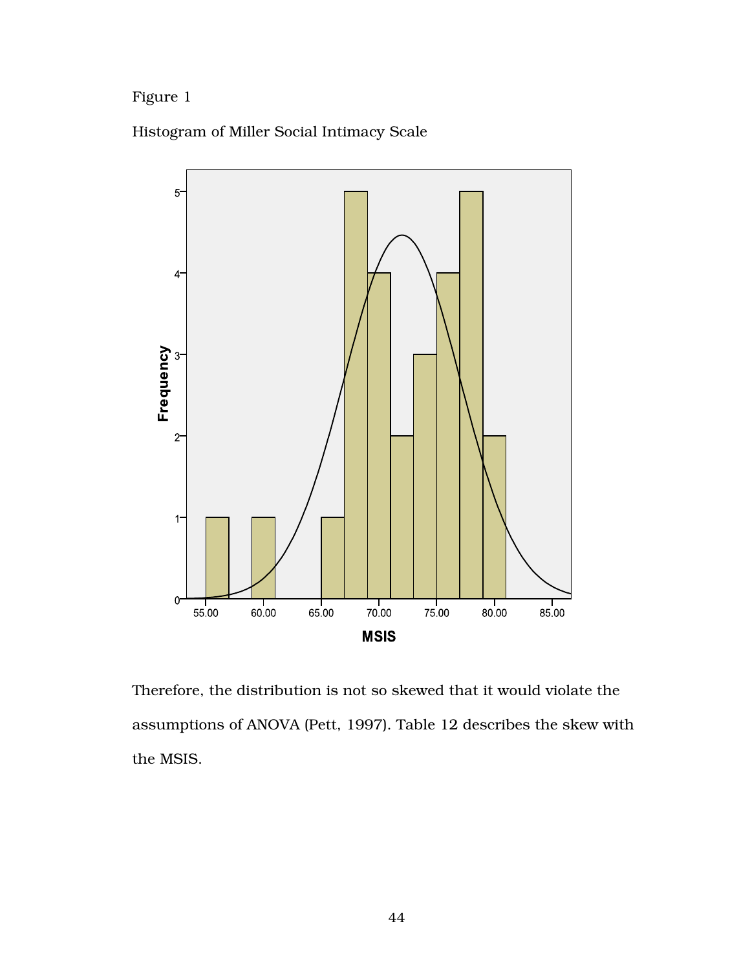# Figure 1





Therefore, the distribution is not so skewed that it would violate the assumptions of ANOVA (Pett, 1997). Table 12 describes the skew with the MSIS.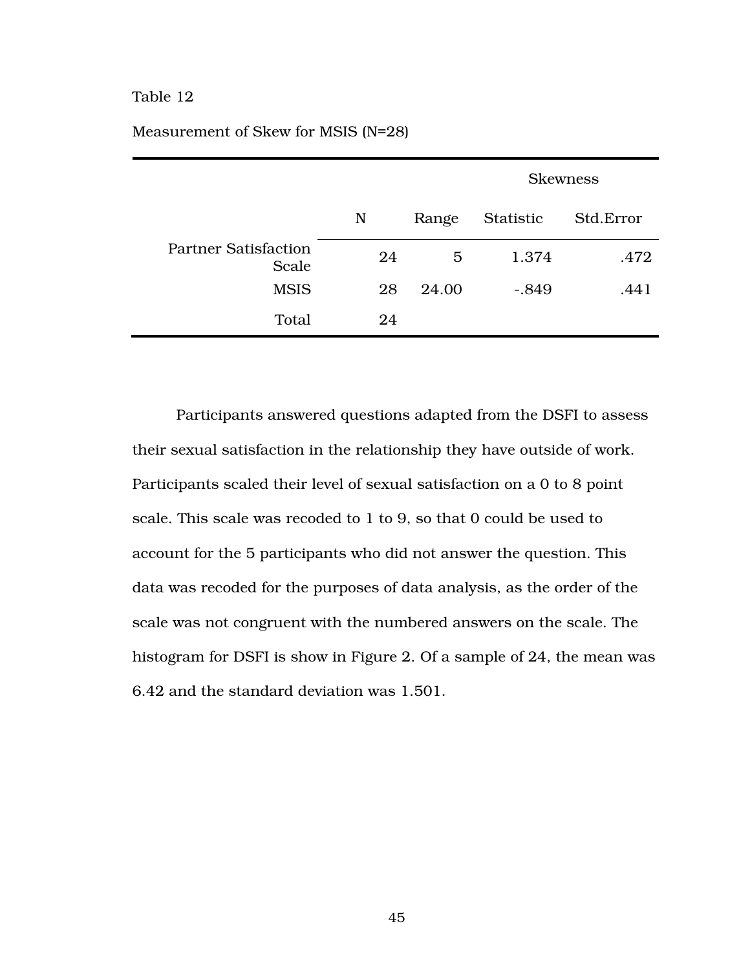|                                      |    |       | <b>Skewness</b> |           |
|--------------------------------------|----|-------|-----------------|-----------|
|                                      | N  | Range | Statistic       | Std.Error |
| <b>Partner Satisfaction</b><br>Scale | 24 | 5     | 1.374           | .472      |
| <b>MSIS</b>                          | 28 | 24.00 | $-.849$         | .441      |
| Total                                | 24 |       |                 |           |

## Measurement of Skew for MSIS (N=28)

Participants answered questions adapted from the DSFI to assess their sexual satisfaction in the relationship they have outside of work. Participants scaled their level of sexual satisfaction on a 0 to 8 point scale. This scale was recoded to 1 to 9, so that 0 could be used to account for the 5 participants who did not answer the question. This data was recoded for the purposes of data analysis, as the order of the scale was not congruent with the numbered answers on the scale. The histogram for DSFI is show in Figure 2. Of a sample of 24, the mean was 6.42 and the standard deviation was 1.501.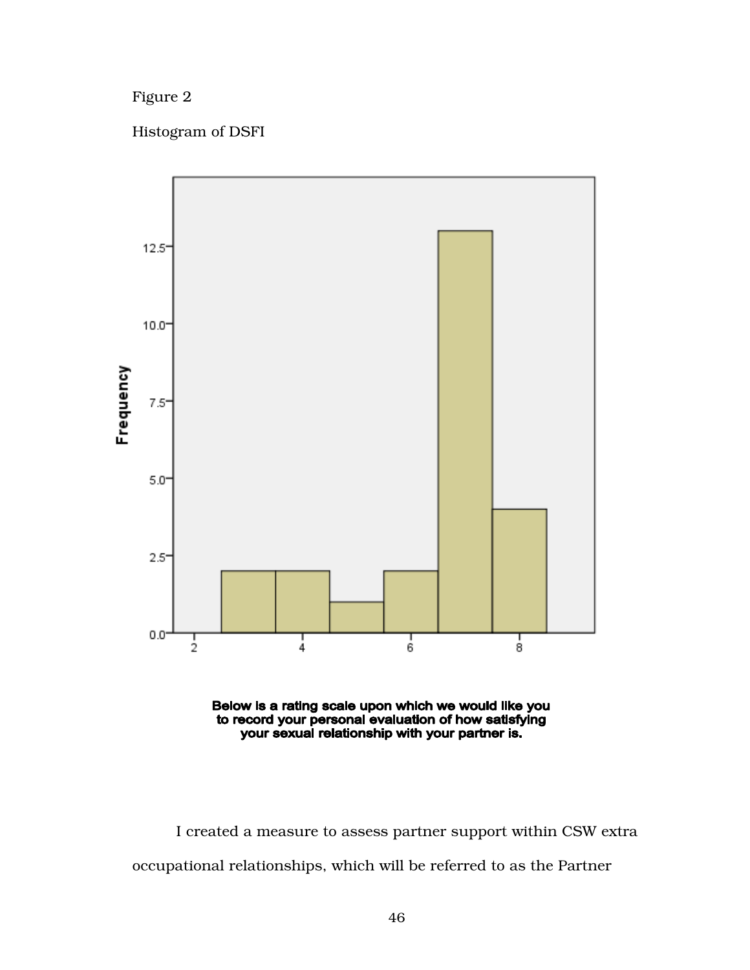Figure 2

Histogram of DSFI





I created a measure to assess partner support within CSW extra occupational relationships, which will be referred to as the Partner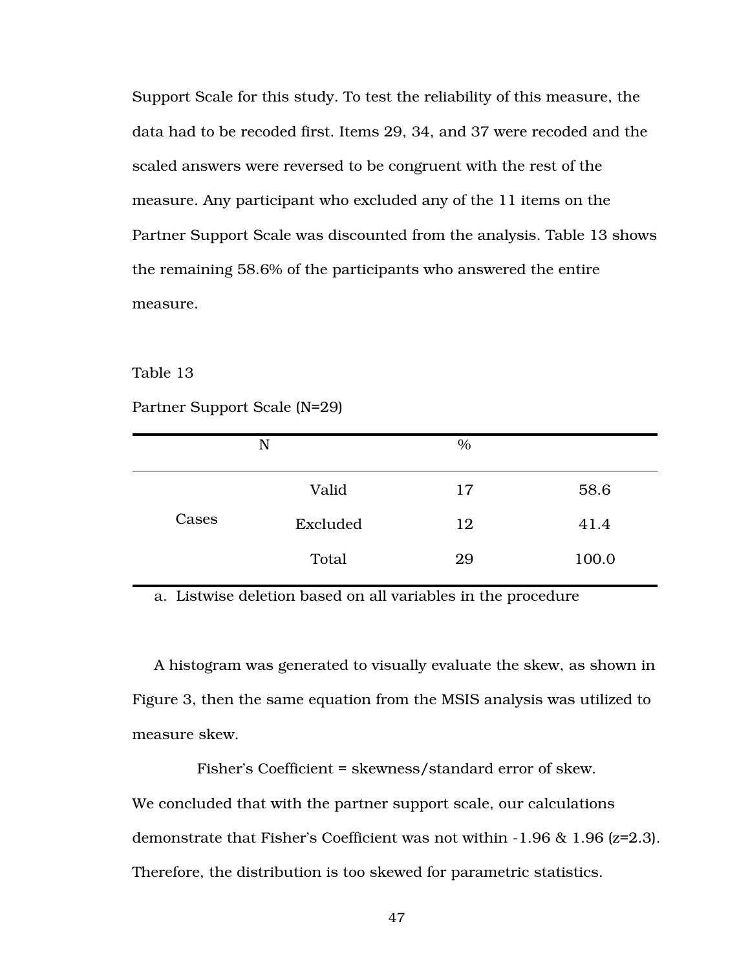Support Scale for this study. To test the reliability of this measure, the data had to be recoded first. Items 29, 34, and 37 were recoded and the scaled answers were reversed to be congruent with the rest of the measure. Any participant who excluded any of the 11 items on the Partner Support Scale was discounted from the analysis. Table 13 shows the remaining 58.6% of the participants who answered the entire measure.

Table 13

Partner Support Scale (N=29)

|       | N        | $\%$ |       |
|-------|----------|------|-------|
|       | Valid    | 17   | 58.6  |
| Cases | Excluded | 12   | 41.4  |
|       | Total    | 29   | 100.0 |

a. Listwise deletion based on all variables in the procedure

A histogram was generated to visually evaluate the skew, as shown in Figure 3, then the same equation from the MSIS analysis was utilized to measure skew.

Fisher's Coefficient = skewness/standard error of skew. We concluded that with the partner support scale, our calculations demonstrate that Fisher's Coefficient was not within -1.96 & 1.96 (z=2.3). Therefore, the distribution is too skewed for parametric statistics.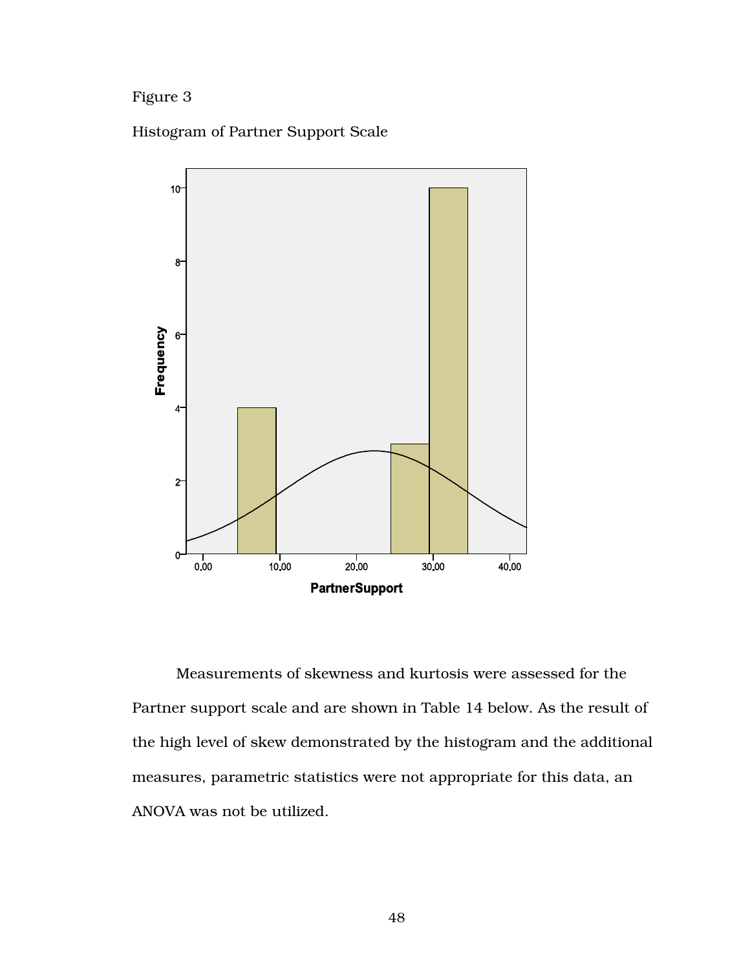# Figure 3

Histogram of Partner Support Scale



Measurements of skewness and kurtosis were assessed for the Partner support scale and are shown in Table 14 below. As the result of the high level of skew demonstrated by the histogram and the additional measures, parametric statistics were not appropriate for this data, an ANOVA was not be utilized.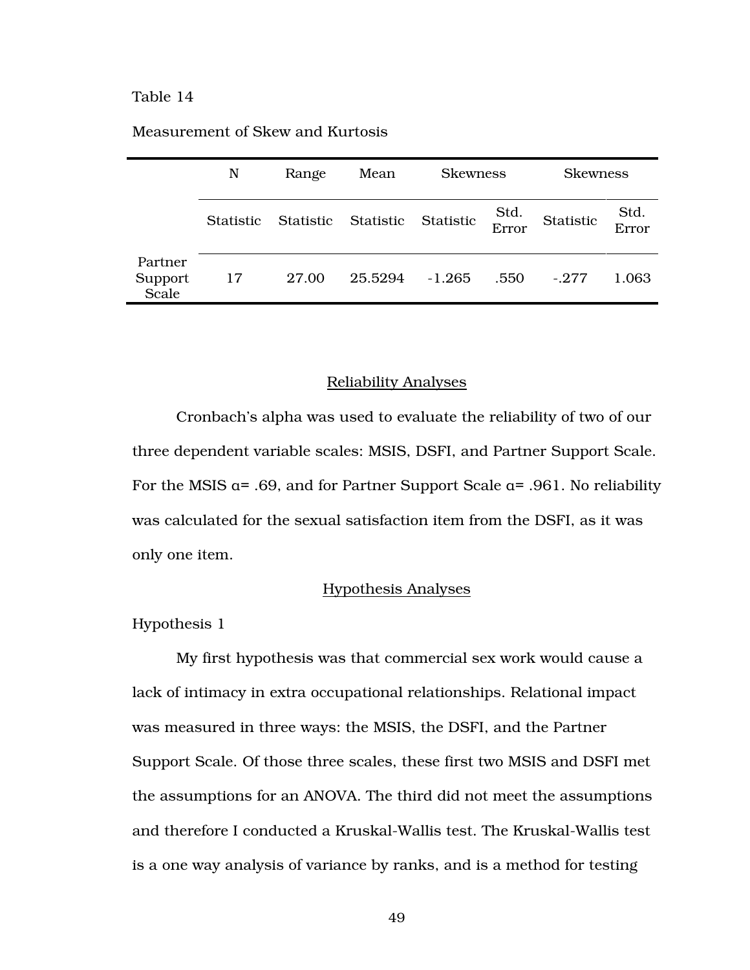|                             | N         | Range     | Mean      | <b>Skewness</b> |               | <b>Skewness</b> |               |
|-----------------------------|-----------|-----------|-----------|-----------------|---------------|-----------------|---------------|
|                             | Statistic | Statistic | Statistic | Statistic       | Std.<br>Error | Statistic       | Std.<br>Error |
| Partner<br>Support<br>Scale | 17        | 27.00     | 25.5294   | $-1.265$        | .550          | $-277$          | 1.063         |

## Measurement of Skew and Kurtosis

#### Reliability Analyses

 Cronbach's alpha was used to evaluate the reliability of two of our three dependent variable scales: MSIS, DSFI, and Partner Support Scale. For the MSIS α= .69, and for Partner Support Scale α= .961. No reliability was calculated for the sexual satisfaction item from the DSFI, as it was only one item.

## Hypothesis Analyses

Hypothesis 1

My first hypothesis was that commercial sex work would cause a lack of intimacy in extra occupational relationships. Relational impact was measured in three ways: the MSIS, the DSFI, and the Partner Support Scale. Of those three scales, these first two MSIS and DSFI met the assumptions for an ANOVA. The third did not meet the assumptions and therefore I conducted a Kruskal-Wallis test. The Kruskal-Wallis test is a one way analysis of variance by ranks, and is a method for testing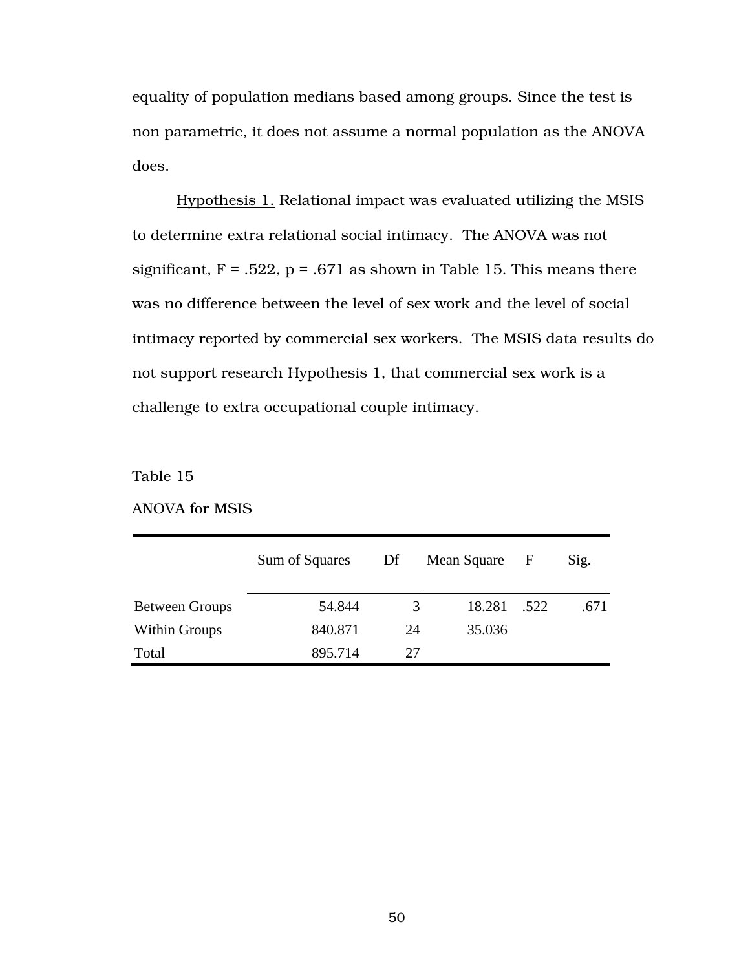equality of population medians based among groups. Since the test is non parametric, it does not assume a normal population as the ANOVA does.

Hypothesis 1. Relational impact was evaluated utilizing the MSIS to determine extra relational social intimacy. The ANOVA was not significant,  $F = .522$ ,  $p = .671$  as shown in Table 15. This means there was no difference between the level of sex work and the level of social intimacy reported by commercial sex workers. The MSIS data results do not support research Hypothesis 1, that commercial sex work is a challenge to extra occupational couple intimacy.

Table 15

|                       | Sum of Squares | Df | Mean Square | F    | Sig. |
|-----------------------|----------------|----|-------------|------|------|
| <b>Between Groups</b> | 54.844         | 3  | 18.281      | .522 | .671 |
| <b>Within Groups</b>  | 840.871        | 24 | 35.036      |      |      |
| Total                 | 895.714        | 27 |             |      |      |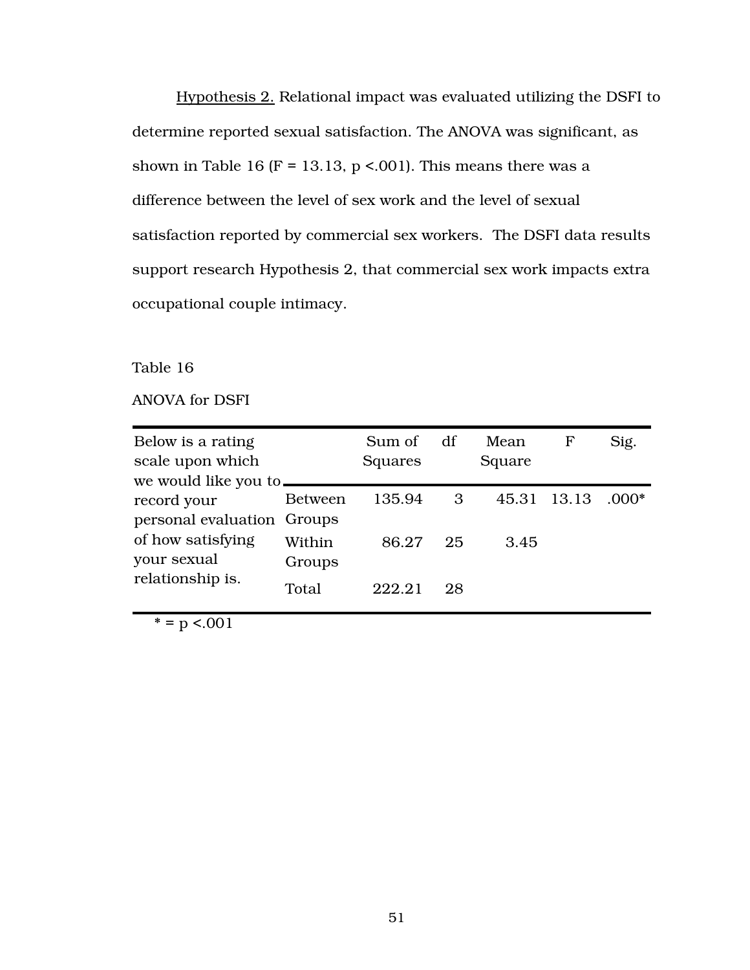Hypothesis 2. Relational impact was evaluated utilizing the DSFI to determine reported sexual satisfaction. The ANOVA was significant, as shown in Table 16 (F = 13.13, p < 001). This means there was a difference between the level of sex work and the level of sexual satisfaction reported by commercial sex workers. The DSFI data results support research Hypothesis 2, that commercial sex work impacts extra occupational couple intimacy.

Table 16

ANOVA for DSFI

| Below is a rating<br>scale upon which<br>we would like you to. |                  | Sum of<br>Squares | df | Mean<br>Square | $\mathbf F$ | Sig.    |
|----------------------------------------------------------------|------------------|-------------------|----|----------------|-------------|---------|
| record your<br>personal evaluation Groups                      | <b>Between</b>   | 135.94            | 3  | 45.31 13.13    |             | $.000*$ |
| of how satisfying<br>your sexual                               | Within<br>Groups | 86.27             | 25 | 3.45           |             |         |
| relationship is.                                               | Total            | 222.21            | 28 |                |             |         |

 $* = p < .001$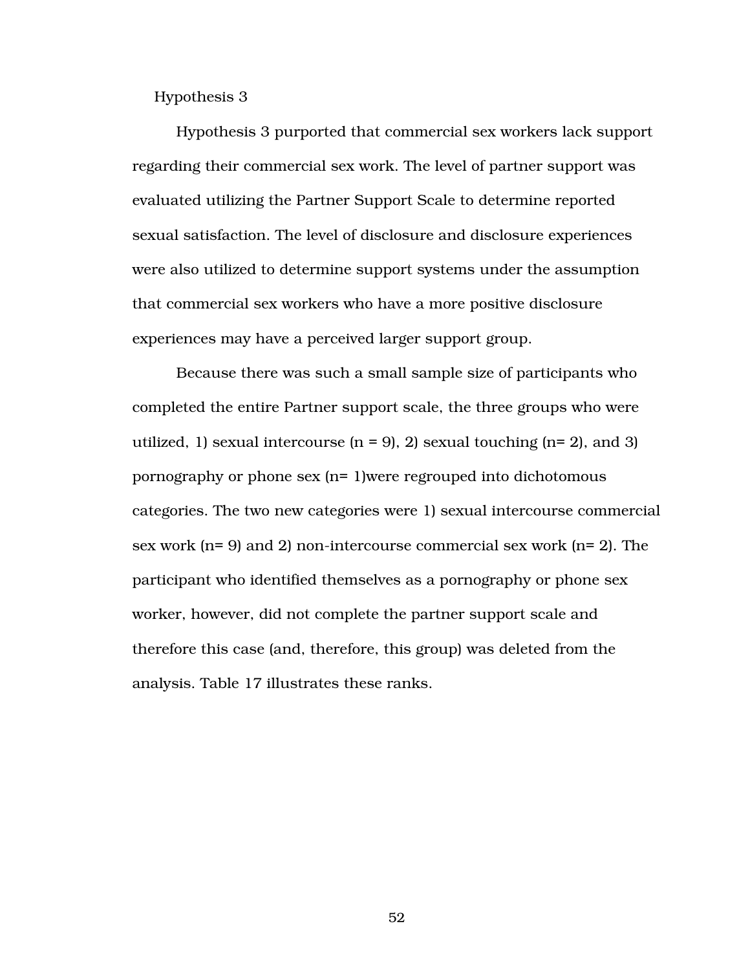Hypothesis 3

 Hypothesis 3 purported that commercial sex workers lack support regarding their commercial sex work. The level of partner support was evaluated utilizing the Partner Support Scale to determine reported sexual satisfaction. The level of disclosure and disclosure experiences were also utilized to determine support systems under the assumption that commercial sex workers who have a more positive disclosure experiences may have a perceived larger support group.

Because there was such a small sample size of participants who completed the entire Partner support scale, the three groups who were utilized, 1) sexual intercourse  $(n = 9)$ , 2) sexual touching  $(n = 2)$ , and 3) pornography or phone sex (n= 1)were regrouped into dichotomous categories. The two new categories were 1) sexual intercourse commercial sex work (n= 9) and 2) non-intercourse commercial sex work (n= 2). The participant who identified themselves as a pornography or phone sex worker, however, did not complete the partner support scale and therefore this case (and, therefore, this group) was deleted from the analysis. Table 17 illustrates these ranks.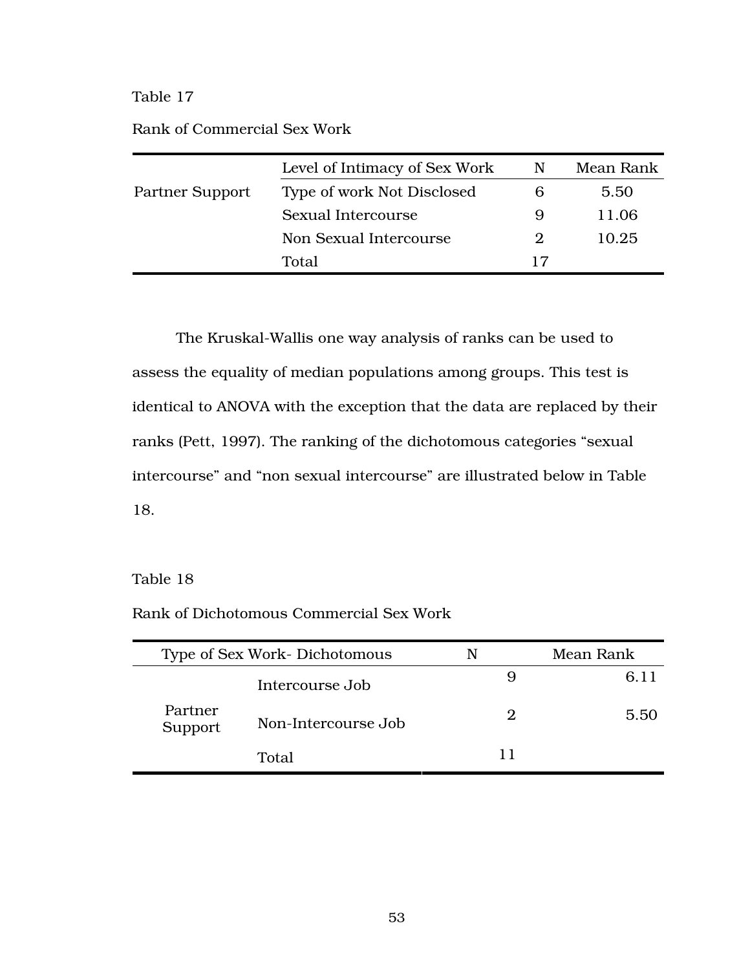|                 | Level of Intimacy of Sex Work | N | Mean Rank |
|-----------------|-------------------------------|---|-----------|
| Partner Support | Type of work Not Disclosed    |   | 5.50      |
|                 | Sexual Intercourse            | 9 | 11.06     |
|                 | Non Sexual Intercourse        |   | 10.25     |
|                 | Total                         |   |           |

The Kruskal-Wallis one way analysis of ranks can be used to assess the equality of median populations among groups. This test is identical to ANOVA with the exception that the data are replaced by their ranks (Pett, 1997). The ranking of the dichotomous categories "sexual intercourse" and "non sexual intercourse" are illustrated below in Table 18.

## Table 18

Rank of Dichotomous Commercial Sex Work

| Type of Sex Work-Dichotomous |                     | N  | Mean Rank |
|------------------------------|---------------------|----|-----------|
|                              | Intercourse Job     | 9  | 6.11      |
| Partner<br>Support           | Non-Intercourse Job | 2  | 5.50      |
|                              | Total               | וו |           |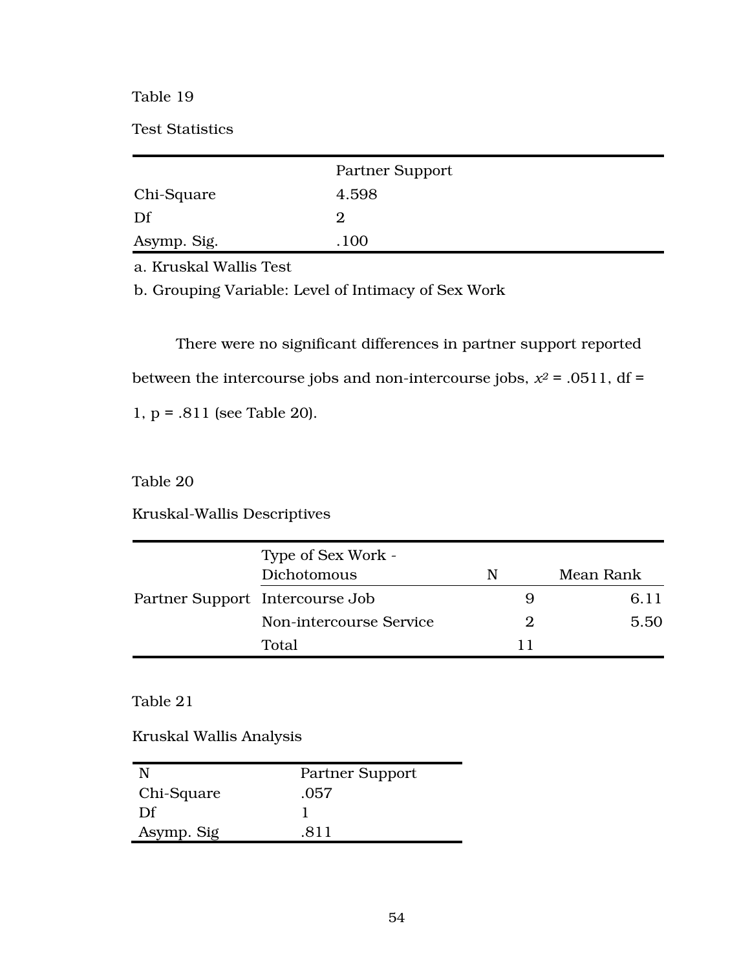Test Statistics

|             | Partner Support |  |
|-------------|-----------------|--|
| Chi-Square  | 4.598           |  |
| Df          | 2               |  |
| Asymp. Sig. | .100            |  |

a. Kruskal Wallis Test

b. Grouping Variable: Level of Intimacy of Sex Work

There were no significant differences in partner support reported between the intercourse jobs and non-intercourse jobs,  $x^2$  = .0511, df = 1, p = .811 (see Table 20).

Table 20

Kruskal-Wallis Descriptives

|                                 | Type of Sex Work -<br>Dichotomous | N                     | Mean Rank |
|---------------------------------|-----------------------------------|-----------------------|-----------|
| Partner Support Intercourse Job |                                   | 9                     | 6.11      |
|                                 | Non-intercourse Service           | $\mathcal{D}_{\cdot}$ | 5.50      |
|                                 | Total                             |                       |           |

Table 21

Kruskal Wallis Analysis

|            | Partner Support |
|------------|-----------------|
| Chi-Square | .057            |
| Df         |                 |
| Asymp. Sig | 811             |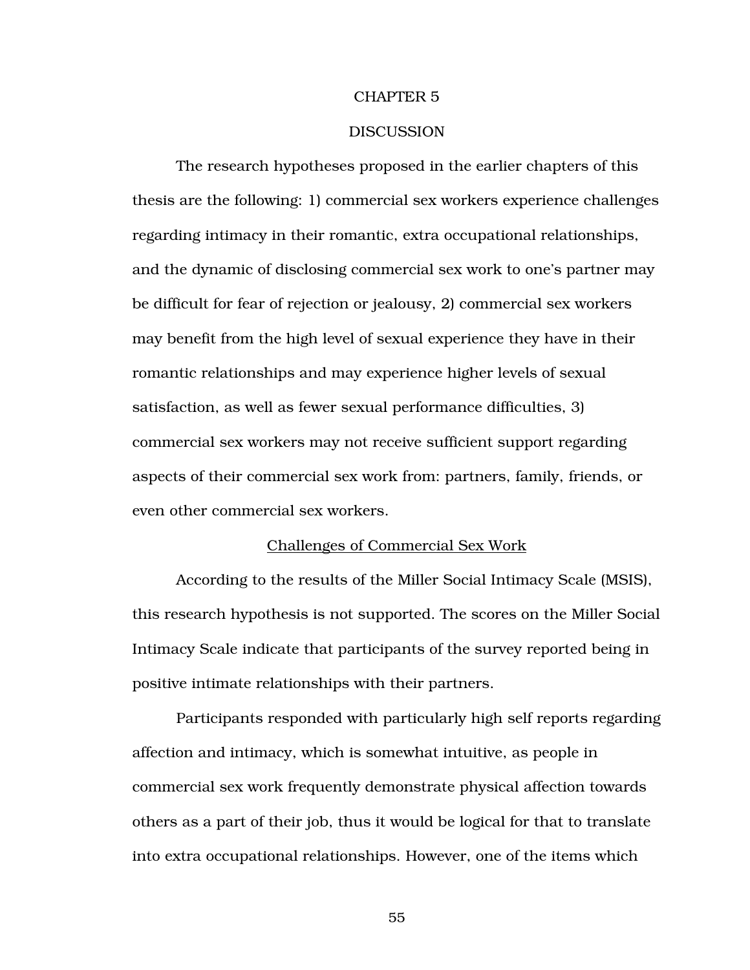#### CHAPTER 5

#### **DISCUSSION**

 The research hypotheses proposed in the earlier chapters of this thesis are the following: 1) commercial sex workers experience challenges regarding intimacy in their romantic, extra occupational relationships, and the dynamic of disclosing commercial sex work to one's partner may be difficult for fear of rejection or jealousy, 2) commercial sex workers may benefit from the high level of sexual experience they have in their romantic relationships and may experience higher levels of sexual satisfaction, as well as fewer sexual performance difficulties, 3) commercial sex workers may not receive sufficient support regarding aspects of their commercial sex work from: partners, family, friends, or even other commercial sex workers.

## Challenges of Commercial Sex Work

According to the results of the Miller Social Intimacy Scale (MSIS), this research hypothesis is not supported. The scores on the Miller Social Intimacy Scale indicate that participants of the survey reported being in positive intimate relationships with their partners.

Participants responded with particularly high self reports regarding affection and intimacy, which is somewhat intuitive, as people in commercial sex work frequently demonstrate physical affection towards others as a part of their job, thus it would be logical for that to translate into extra occupational relationships. However, one of the items which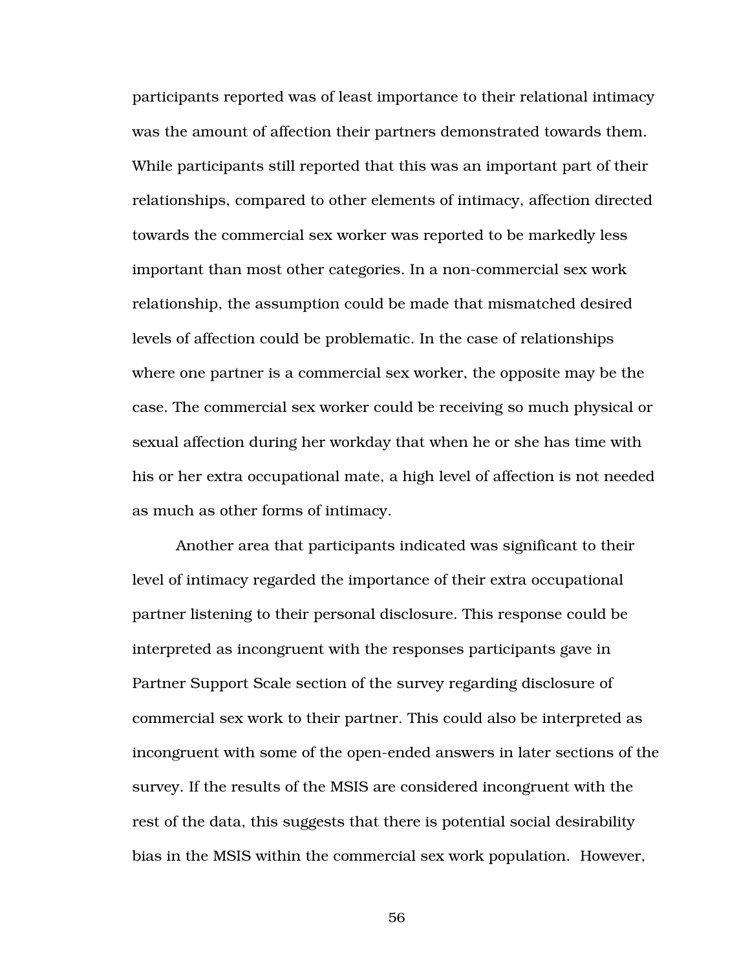participants reported was of least importance to their relational intimacy was the amount of affection their partners demonstrated towards them. While participants still reported that this was an important part of their relationships, compared to other elements of intimacy, affection directed towards the commercial sex worker was reported to be markedly less important than most other categories. In a non-commercial sex work relationship, the assumption could be made that mismatched desired levels of affection could be problematic. In the case of relationships where one partner is a commercial sex worker, the opposite may be the case. The commercial sex worker could be receiving so much physical or sexual affection during her workday that when he or she has time with his or her extra occupational mate, a high level of affection is not needed as much as other forms of intimacy.

Another area that participants indicated was significant to their level of intimacy regarded the importance of their extra occupational partner listening to their personal disclosure. This response could be interpreted as incongruent with the responses participants gave in Partner Support Scale section of the survey regarding disclosure of commercial sex work to their partner. This could also be interpreted as incongruent with some of the open-ended answers in later sections of the survey. If the results of the MSIS are considered incongruent with the rest of the data, this suggests that there is potential social desirability bias in the MSIS within the commercial sex work population. However,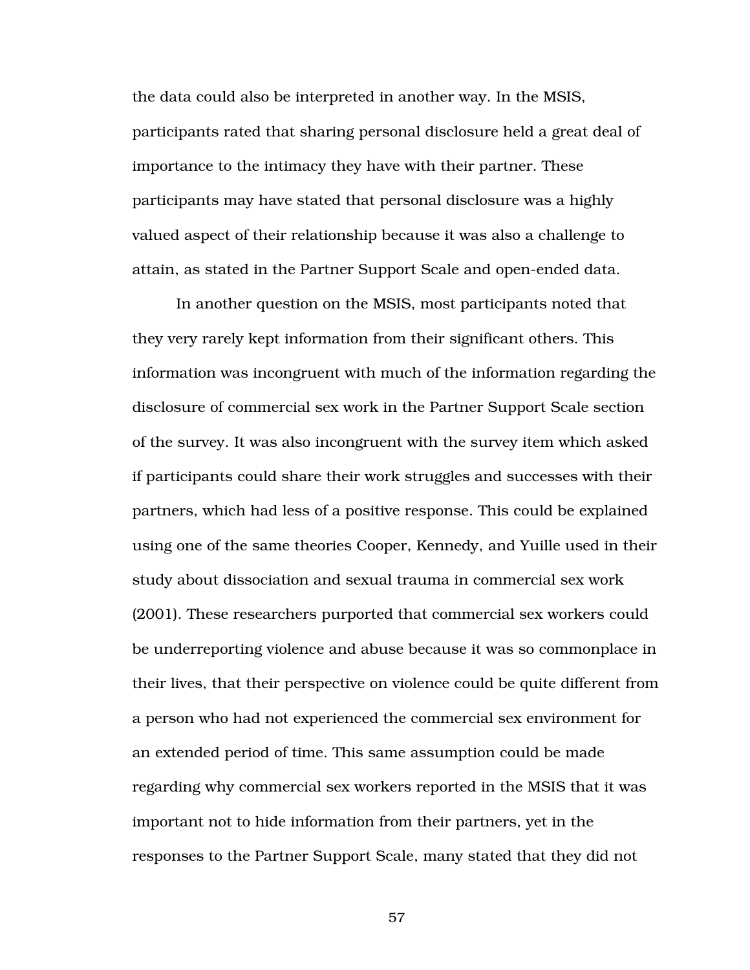the data could also be interpreted in another way. In the MSIS, participants rated that sharing personal disclosure held a great deal of importance to the intimacy they have with their partner. These participants may have stated that personal disclosure was a highly valued aspect of their relationship because it was also a challenge to attain, as stated in the Partner Support Scale and open-ended data.

In another question on the MSIS, most participants noted that they very rarely kept information from their significant others. This information was incongruent with much of the information regarding the disclosure of commercial sex work in the Partner Support Scale section of the survey. It was also incongruent with the survey item which asked if participants could share their work struggles and successes with their partners, which had less of a positive response. This could be explained using one of the same theories Cooper, Kennedy, and Yuille used in their study about dissociation and sexual trauma in commercial sex work (2001). These researchers purported that commercial sex workers could be underreporting violence and abuse because it was so commonplace in their lives, that their perspective on violence could be quite different from a person who had not experienced the commercial sex environment for an extended period of time. This same assumption could be made regarding why commercial sex workers reported in the MSIS that it was important not to hide information from their partners, yet in the responses to the Partner Support Scale, many stated that they did not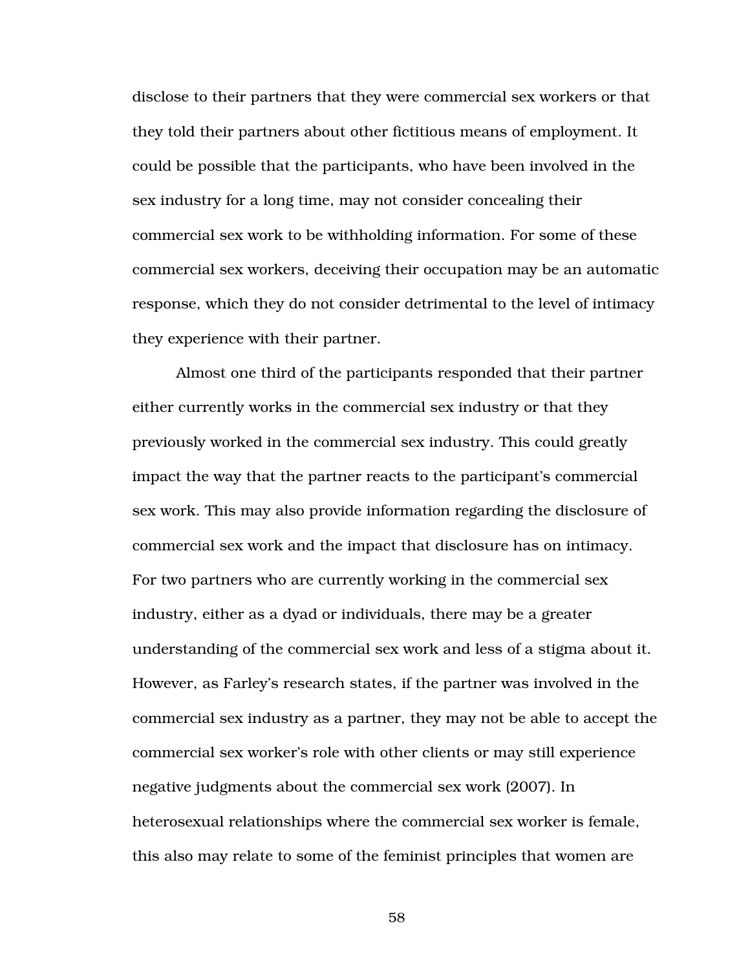disclose to their partners that they were commercial sex workers or that they told their partners about other fictitious means of employment. It could be possible that the participants, who have been involved in the sex industry for a long time, may not consider concealing their commercial sex work to be withholding information. For some of these commercial sex workers, deceiving their occupation may be an automatic response, which they do not consider detrimental to the level of intimacy they experience with their partner.

Almost one third of the participants responded that their partner either currently works in the commercial sex industry or that they previously worked in the commercial sex industry. This could greatly impact the way that the partner reacts to the participant's commercial sex work. This may also provide information regarding the disclosure of commercial sex work and the impact that disclosure has on intimacy. For two partners who are currently working in the commercial sex industry, either as a dyad or individuals, there may be a greater understanding of the commercial sex work and less of a stigma about it. However, as Farley's research states, if the partner was involved in the commercial sex industry as a partner, they may not be able to accept the commercial sex worker's role with other clients or may still experience negative judgments about the commercial sex work (2007). In heterosexual relationships where the commercial sex worker is female, this also may relate to some of the feminist principles that women are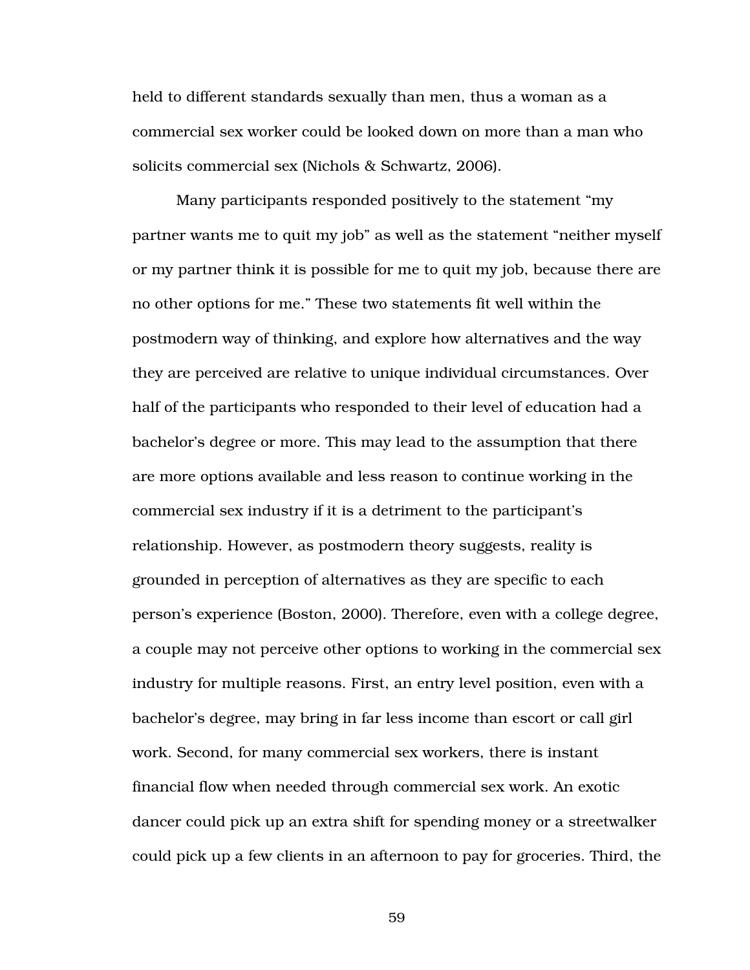held to different standards sexually than men, thus a woman as a commercial sex worker could be looked down on more than a man who solicits commercial sex (Nichols & Schwartz, 2006).

Many participants responded positively to the statement "my partner wants me to quit my job" as well as the statement "neither myself or my partner think it is possible for me to quit my job, because there are no other options for me." These two statements fit well within the postmodern way of thinking, and explore how alternatives and the way they are perceived are relative to unique individual circumstances. Over half of the participants who responded to their level of education had a bachelor's degree or more. This may lead to the assumption that there are more options available and less reason to continue working in the commercial sex industry if it is a detriment to the participant's relationship. However, as postmodern theory suggests, reality is grounded in perception of alternatives as they are specific to each person's experience (Boston, 2000). Therefore, even with a college degree, a couple may not perceive other options to working in the commercial sex industry for multiple reasons. First, an entry level position, even with a bachelor's degree, may bring in far less income than escort or call girl work. Second, for many commercial sex workers, there is instant financial flow when needed through commercial sex work. An exotic dancer could pick up an extra shift for spending money or a streetwalker could pick up a few clients in an afternoon to pay for groceries. Third, the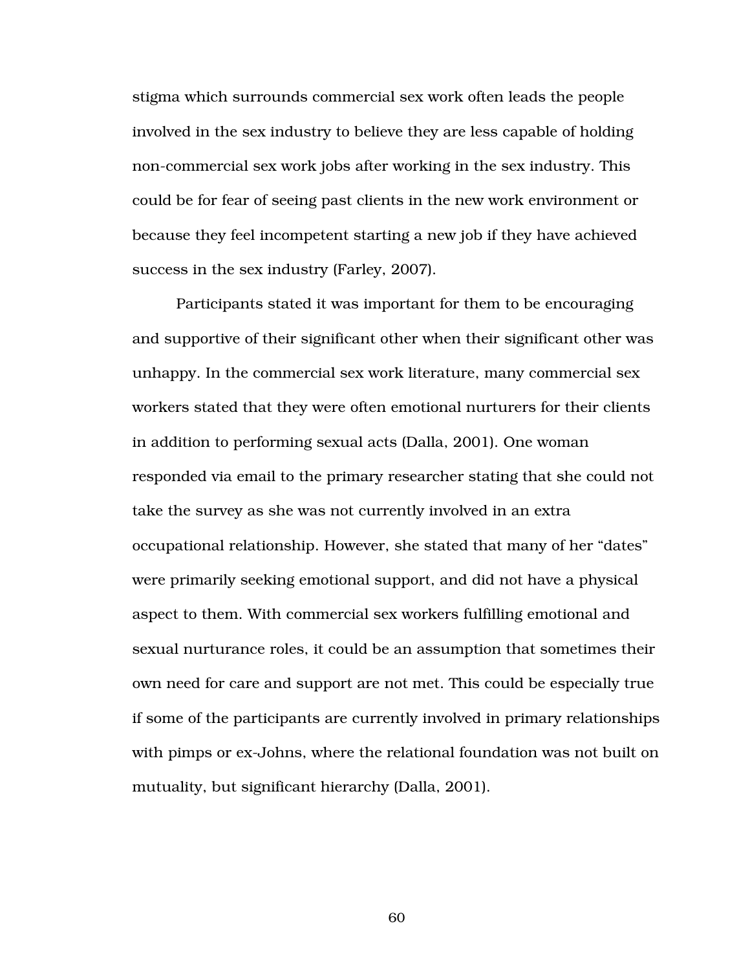stigma which surrounds commercial sex work often leads the people involved in the sex industry to believe they are less capable of holding non-commercial sex work jobs after working in the sex industry. This could be for fear of seeing past clients in the new work environment or because they feel incompetent starting a new job if they have achieved success in the sex industry (Farley, 2007).

Participants stated it was important for them to be encouraging and supportive of their significant other when their significant other was unhappy. In the commercial sex work literature, many commercial sex workers stated that they were often emotional nurturers for their clients in addition to performing sexual acts (Dalla, 2001). One woman responded via email to the primary researcher stating that she could not take the survey as she was not currently involved in an extra occupational relationship. However, she stated that many of her "dates" were primarily seeking emotional support, and did not have a physical aspect to them. With commercial sex workers fulfilling emotional and sexual nurturance roles, it could be an assumption that sometimes their own need for care and support are not met. This could be especially true if some of the participants are currently involved in primary relationships with pimps or ex-Johns, where the relational foundation was not built on mutuality, but significant hierarchy (Dalla, 2001).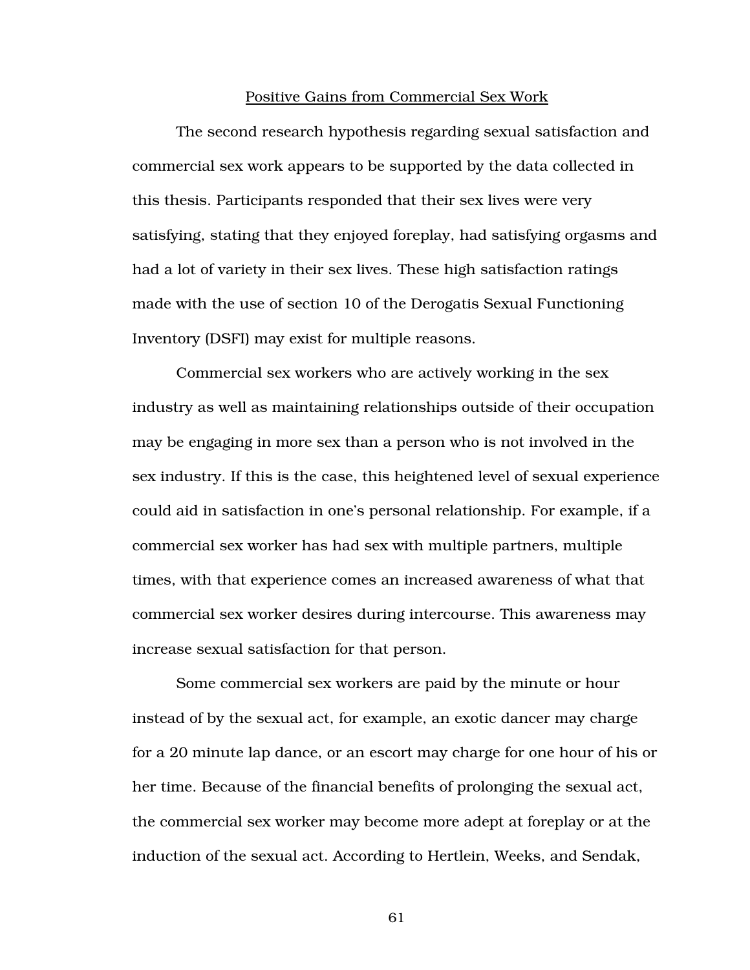#### Positive Gains from Commercial Sex Work

 The second research hypothesis regarding sexual satisfaction and commercial sex work appears to be supported by the data collected in this thesis. Participants responded that their sex lives were very satisfying, stating that they enjoyed foreplay, had satisfying orgasms and had a lot of variety in their sex lives. These high satisfaction ratings made with the use of section 10 of the Derogatis Sexual Functioning Inventory (DSFI) may exist for multiple reasons.

 Commercial sex workers who are actively working in the sex industry as well as maintaining relationships outside of their occupation may be engaging in more sex than a person who is not involved in the sex industry. If this is the case, this heightened level of sexual experience could aid in satisfaction in one's personal relationship. For example, if a commercial sex worker has had sex with multiple partners, multiple times, with that experience comes an increased awareness of what that commercial sex worker desires during intercourse. This awareness may increase sexual satisfaction for that person.

 Some commercial sex workers are paid by the minute or hour instead of by the sexual act, for example, an exotic dancer may charge for a 20 minute lap dance, or an escort may charge for one hour of his or her time. Because of the financial benefits of prolonging the sexual act, the commercial sex worker may become more adept at foreplay or at the induction of the sexual act. According to Hertlein, Weeks, and Sendak,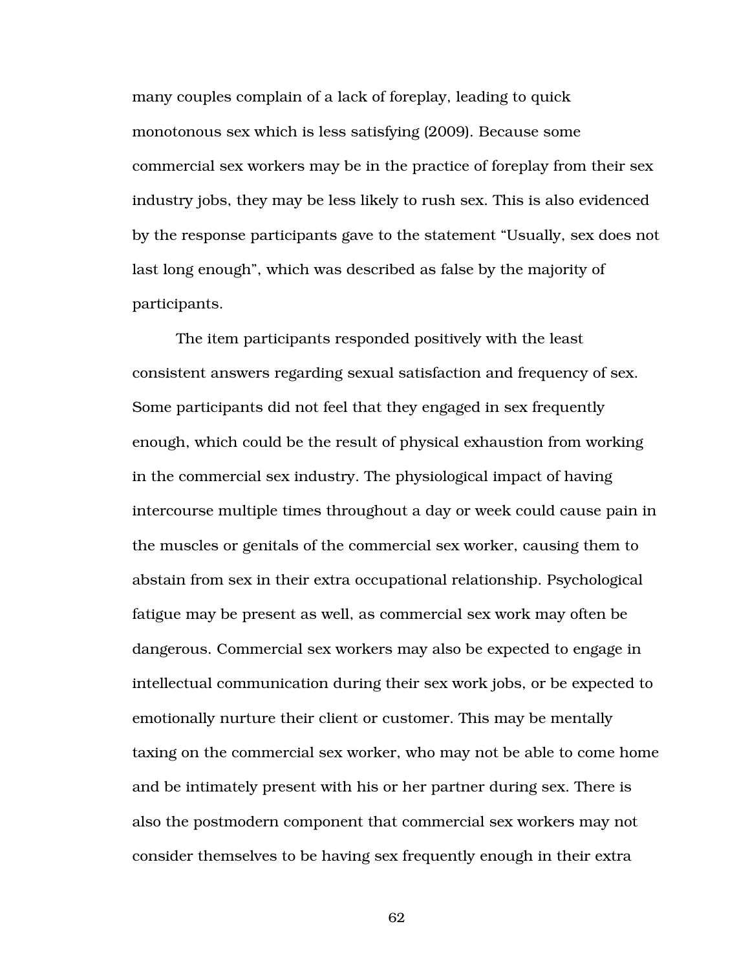many couples complain of a lack of foreplay, leading to quick monotonous sex which is less satisfying (2009). Because some commercial sex workers may be in the practice of foreplay from their sex industry jobs, they may be less likely to rush sex. This is also evidenced by the response participants gave to the statement "Usually, sex does not last long enough", which was described as false by the majority of participants.

 The item participants responded positively with the least consistent answers regarding sexual satisfaction and frequency of sex. Some participants did not feel that they engaged in sex frequently enough, which could be the result of physical exhaustion from working in the commercial sex industry. The physiological impact of having intercourse multiple times throughout a day or week could cause pain in the muscles or genitals of the commercial sex worker, causing them to abstain from sex in their extra occupational relationship. Psychological fatigue may be present as well, as commercial sex work may often be dangerous. Commercial sex workers may also be expected to engage in intellectual communication during their sex work jobs, or be expected to emotionally nurture their client or customer. This may be mentally taxing on the commercial sex worker, who may not be able to come home and be intimately present with his or her partner during sex. There is also the postmodern component that commercial sex workers may not consider themselves to be having sex frequently enough in their extra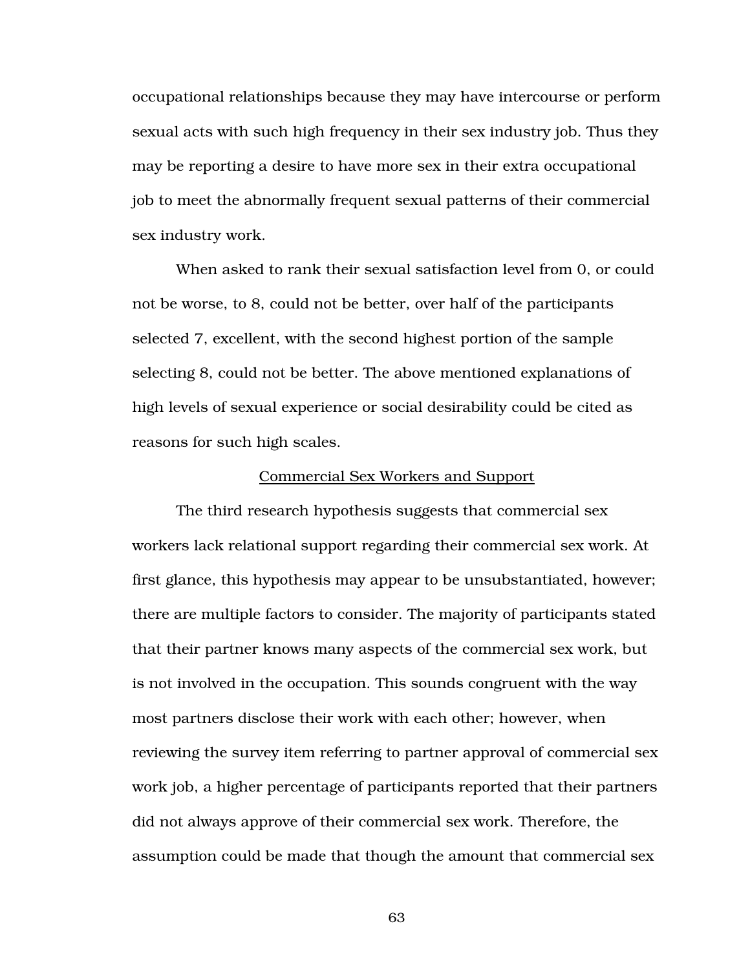occupational relationships because they may have intercourse or perform sexual acts with such high frequency in their sex industry job. Thus they may be reporting a desire to have more sex in their extra occupational job to meet the abnormally frequent sexual patterns of their commercial sex industry work.

 When asked to rank their sexual satisfaction level from 0, or could not be worse, to 8, could not be better, over half of the participants selected 7, excellent, with the second highest portion of the sample selecting 8, could not be better. The above mentioned explanations of high levels of sexual experience or social desirability could be cited as reasons for such high scales.

#### Commercial Sex Workers and Support

 The third research hypothesis suggests that commercial sex workers lack relational support regarding their commercial sex work. At first glance, this hypothesis may appear to be unsubstantiated, however; there are multiple factors to consider. The majority of participants stated that their partner knows many aspects of the commercial sex work, but is not involved in the occupation. This sounds congruent with the way most partners disclose their work with each other; however, when reviewing the survey item referring to partner approval of commercial sex work job, a higher percentage of participants reported that their partners did not always approve of their commercial sex work. Therefore, the assumption could be made that though the amount that commercial sex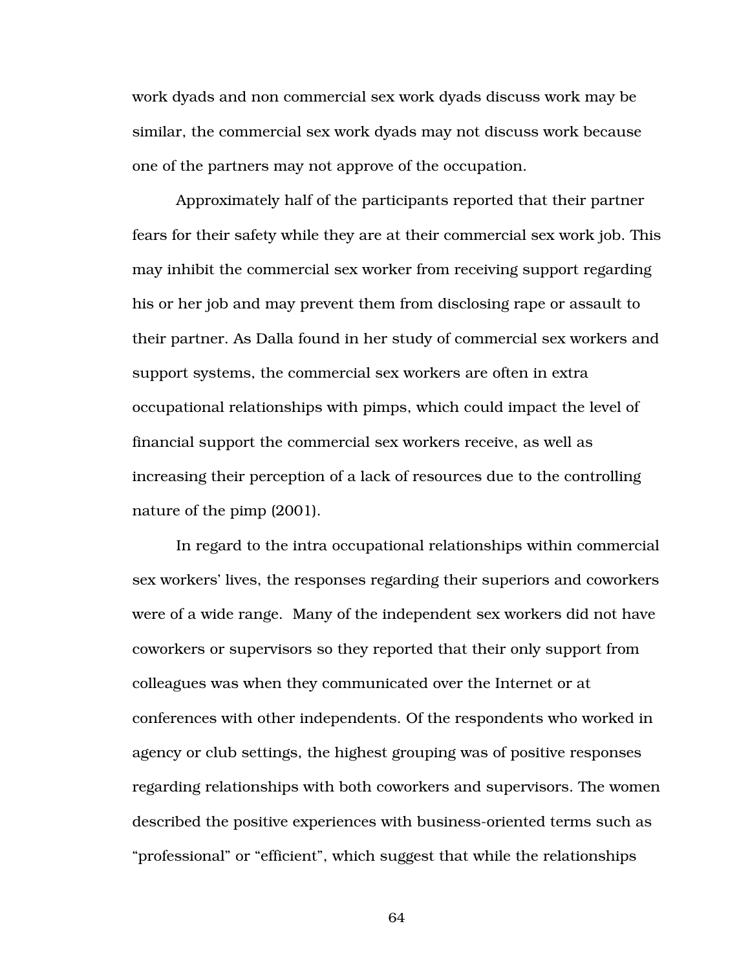work dyads and non commercial sex work dyads discuss work may be similar, the commercial sex work dyads may not discuss work because one of the partners may not approve of the occupation.

 Approximately half of the participants reported that their partner fears for their safety while they are at their commercial sex work job. This may inhibit the commercial sex worker from receiving support regarding his or her job and may prevent them from disclosing rape or assault to their partner. As Dalla found in her study of commercial sex workers and support systems, the commercial sex workers are often in extra occupational relationships with pimps, which could impact the level of financial support the commercial sex workers receive, as well as increasing their perception of a lack of resources due to the controlling nature of the pimp (2001).

 In regard to the intra occupational relationships within commercial sex workers' lives, the responses regarding their superiors and coworkers were of a wide range. Many of the independent sex workers did not have coworkers or supervisors so they reported that their only support from colleagues was when they communicated over the Internet or at conferences with other independents. Of the respondents who worked in agency or club settings, the highest grouping was of positive responses regarding relationships with both coworkers and supervisors. The women described the positive experiences with business-oriented terms such as "professional" or "efficient", which suggest that while the relationships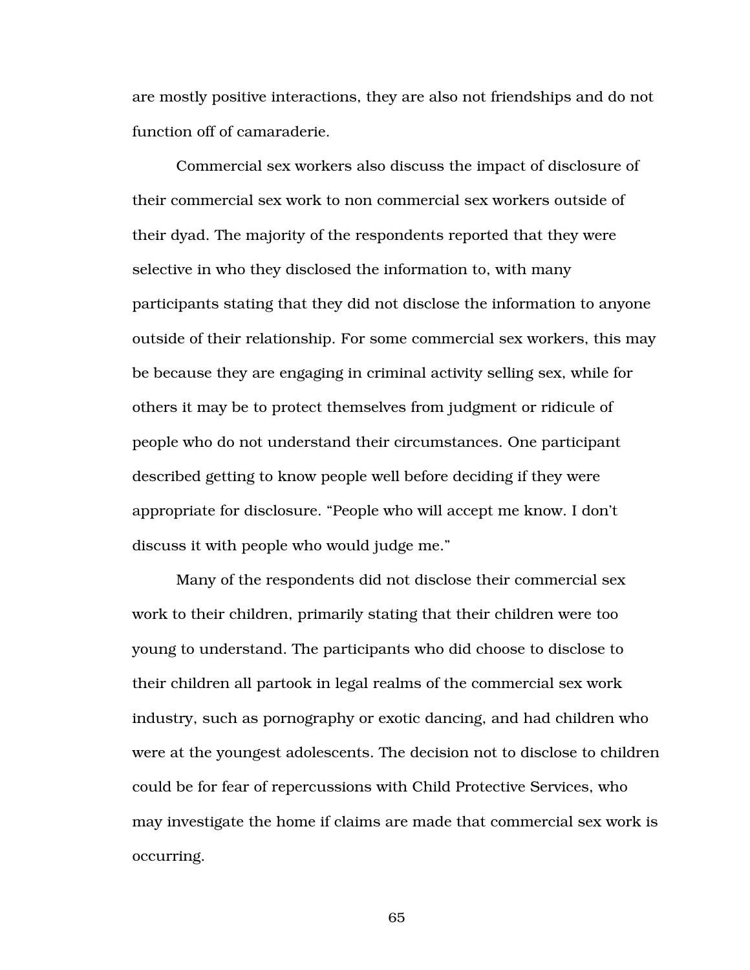are mostly positive interactions, they are also not friendships and do not function off of camaraderie.

 Commercial sex workers also discuss the impact of disclosure of their commercial sex work to non commercial sex workers outside of their dyad. The majority of the respondents reported that they were selective in who they disclosed the information to, with many participants stating that they did not disclose the information to anyone outside of their relationship. For some commercial sex workers, this may be because they are engaging in criminal activity selling sex, while for others it may be to protect themselves from judgment or ridicule of people who do not understand their circumstances. One participant described getting to know people well before deciding if they were appropriate for disclosure. "People who will accept me know. I don't discuss it with people who would judge me."

Many of the respondents did not disclose their commercial sex work to their children, primarily stating that their children were too young to understand. The participants who did choose to disclose to their children all partook in legal realms of the commercial sex work industry, such as pornography or exotic dancing, and had children who were at the youngest adolescents. The decision not to disclose to children could be for fear of repercussions with Child Protective Services, who may investigate the home if claims are made that commercial sex work is occurring.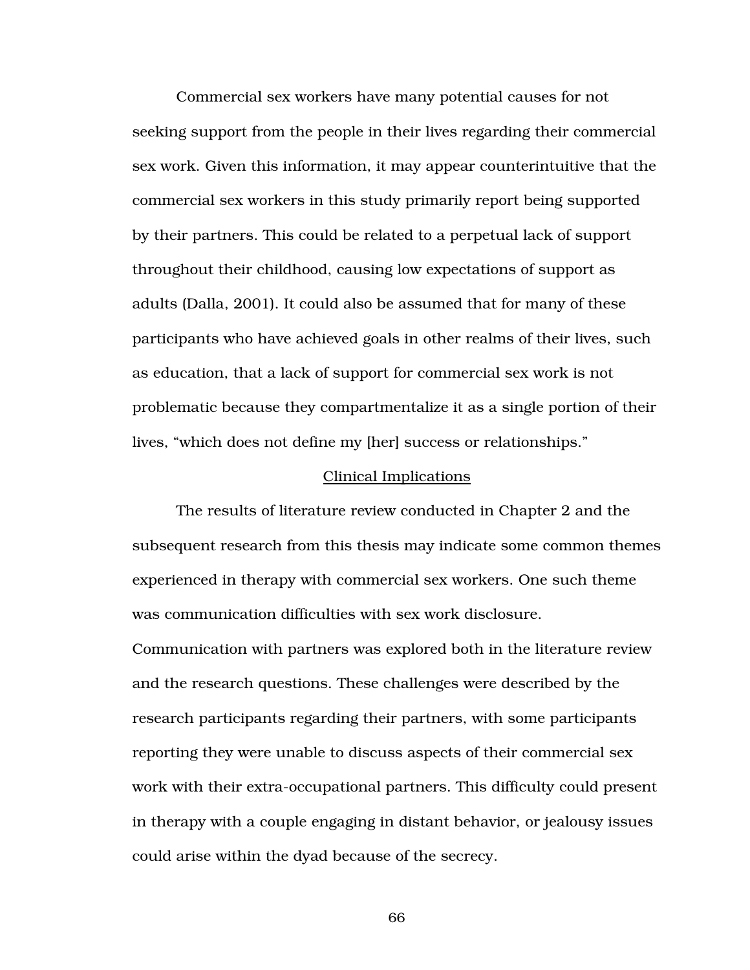Commercial sex workers have many potential causes for not seeking support from the people in their lives regarding their commercial sex work. Given this information, it may appear counterintuitive that the commercial sex workers in this study primarily report being supported by their partners. This could be related to a perpetual lack of support throughout their childhood, causing low expectations of support as adults (Dalla, 2001). It could also be assumed that for many of these participants who have achieved goals in other realms of their lives, such as education, that a lack of support for commercial sex work is not problematic because they compartmentalize it as a single portion of their lives, "which does not define my [her] success or relationships."

#### Clinical Implications

 The results of literature review conducted in Chapter 2 and the subsequent research from this thesis may indicate some common themes experienced in therapy with commercial sex workers. One such theme was communication difficulties with sex work disclosure. Communication with partners was explored both in the literature review and the research questions. These challenges were described by the research participants regarding their partners, with some participants reporting they were unable to discuss aspects of their commercial sex work with their extra-occupational partners. This difficulty could present in therapy with a couple engaging in distant behavior, or jealousy issues could arise within the dyad because of the secrecy.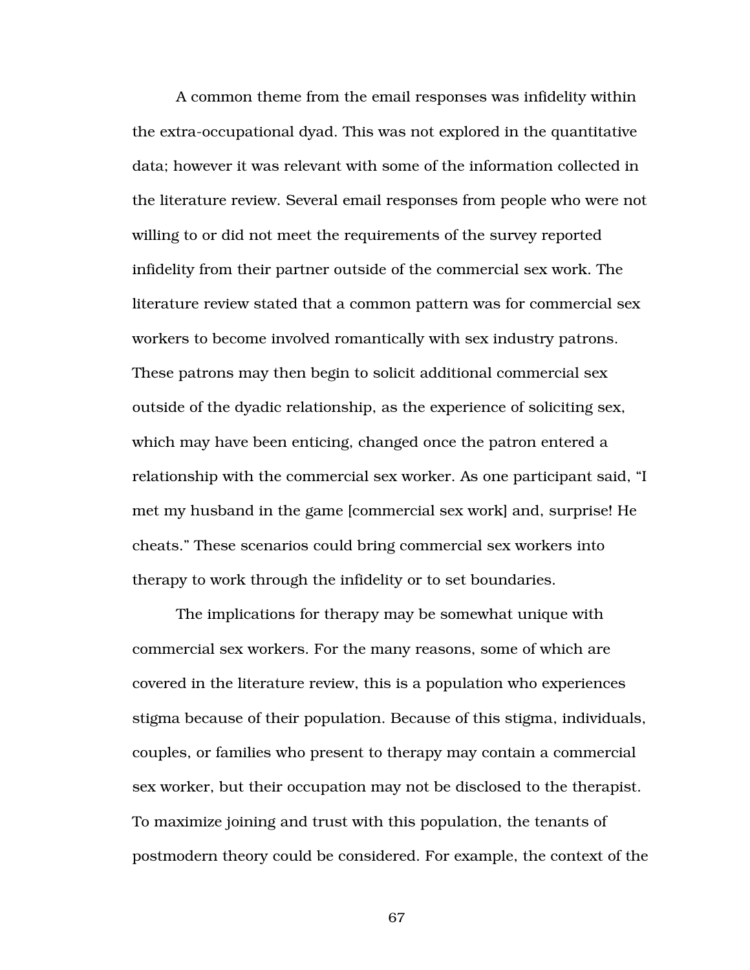A common theme from the email responses was infidelity within the extra-occupational dyad. This was not explored in the quantitative data; however it was relevant with some of the information collected in the literature review. Several email responses from people who were not willing to or did not meet the requirements of the survey reported infidelity from their partner outside of the commercial sex work. The literature review stated that a common pattern was for commercial sex workers to become involved romantically with sex industry patrons. These patrons may then begin to solicit additional commercial sex outside of the dyadic relationship, as the experience of soliciting sex, which may have been enticing, changed once the patron entered a relationship with the commercial sex worker. As one participant said, "I met my husband in the game [commercial sex work] and, surprise! He cheats." These scenarios could bring commercial sex workers into therapy to work through the infidelity or to set boundaries.

 The implications for therapy may be somewhat unique with commercial sex workers. For the many reasons, some of which are covered in the literature review, this is a population who experiences stigma because of their population. Because of this stigma, individuals, couples, or families who present to therapy may contain a commercial sex worker, but their occupation may not be disclosed to the therapist. To maximize joining and trust with this population, the tenants of postmodern theory could be considered. For example, the context of the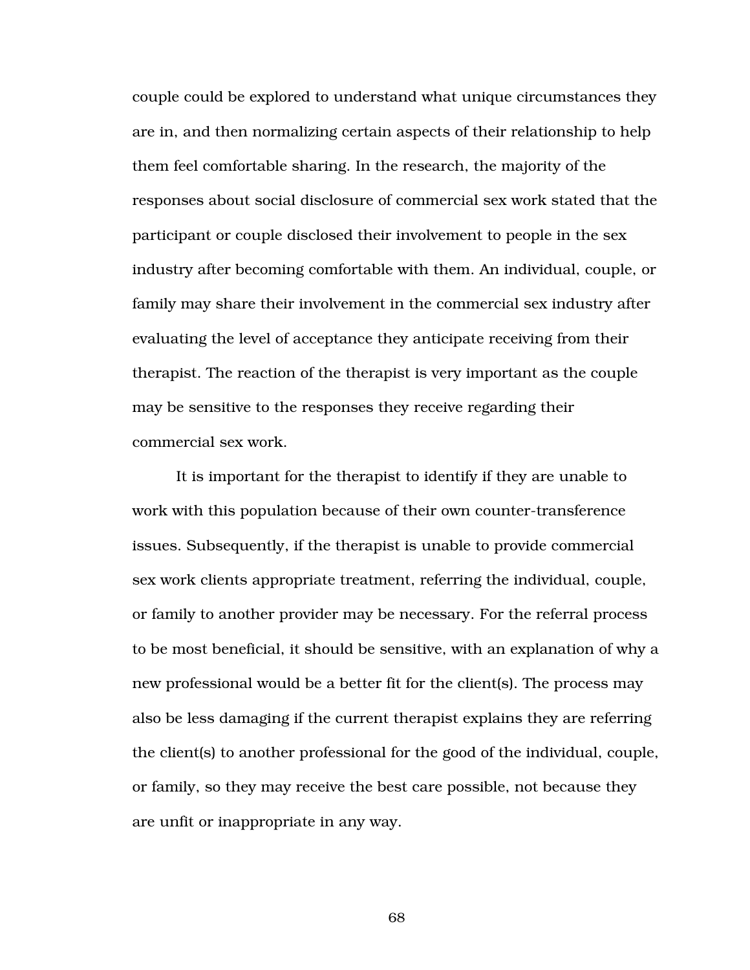couple could be explored to understand what unique circumstances they are in, and then normalizing certain aspects of their relationship to help them feel comfortable sharing. In the research, the majority of the responses about social disclosure of commercial sex work stated that the participant or couple disclosed their involvement to people in the sex industry after becoming comfortable with them. An individual, couple, or family may share their involvement in the commercial sex industry after evaluating the level of acceptance they anticipate receiving from their therapist. The reaction of the therapist is very important as the couple may be sensitive to the responses they receive regarding their commercial sex work.

It is important for the therapist to identify if they are unable to work with this population because of their own counter-transference issues. Subsequently, if the therapist is unable to provide commercial sex work clients appropriate treatment, referring the individual, couple, or family to another provider may be necessary. For the referral process to be most beneficial, it should be sensitive, with an explanation of why a new professional would be a better fit for the client(s). The process may also be less damaging if the current therapist explains they are referring the client(s) to another professional for the good of the individual, couple, or family, so they may receive the best care possible, not because they are unfit or inappropriate in any way.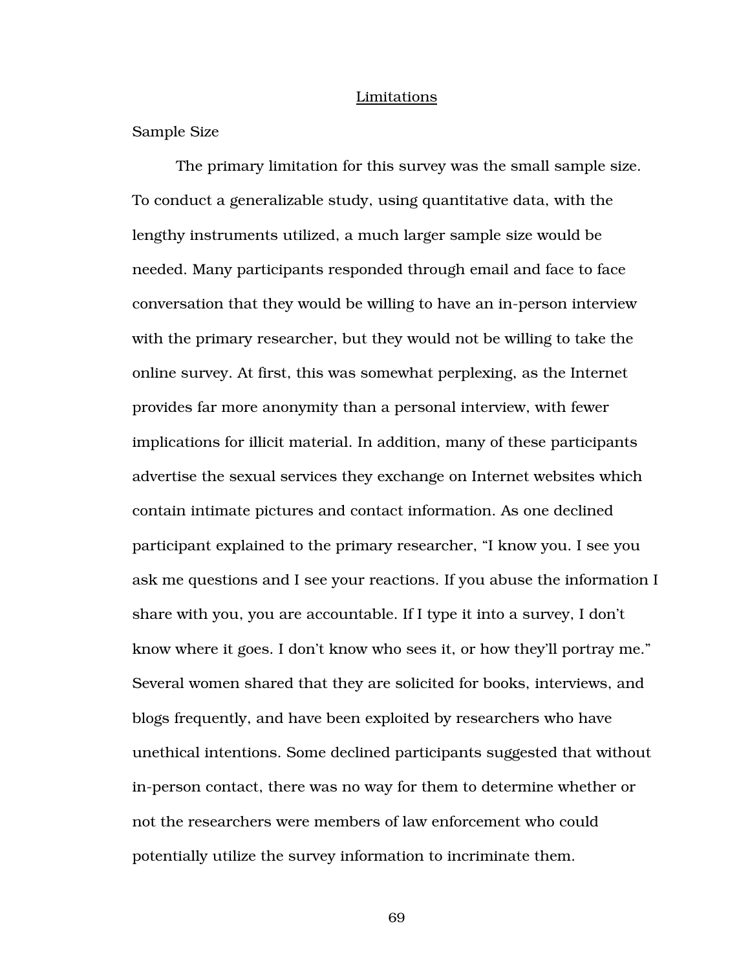#### Limitations

Sample Size

The primary limitation for this survey was the small sample size. To conduct a generalizable study, using quantitative data, with the lengthy instruments utilized, a much larger sample size would be needed. Many participants responded through email and face to face conversation that they would be willing to have an in-person interview with the primary researcher, but they would not be willing to take the online survey. At first, this was somewhat perplexing, as the Internet provides far more anonymity than a personal interview, with fewer implications for illicit material. In addition, many of these participants advertise the sexual services they exchange on Internet websites which contain intimate pictures and contact information. As one declined participant explained to the primary researcher, "I know you. I see you ask me questions and I see your reactions. If you abuse the information I share with you, you are accountable. If I type it into a survey, I don't know where it goes. I don't know who sees it, or how they'll portray me." Several women shared that they are solicited for books, interviews, and blogs frequently, and have been exploited by researchers who have unethical intentions. Some declined participants suggested that without in-person contact, there was no way for them to determine whether or not the researchers were members of law enforcement who could potentially utilize the survey information to incriminate them.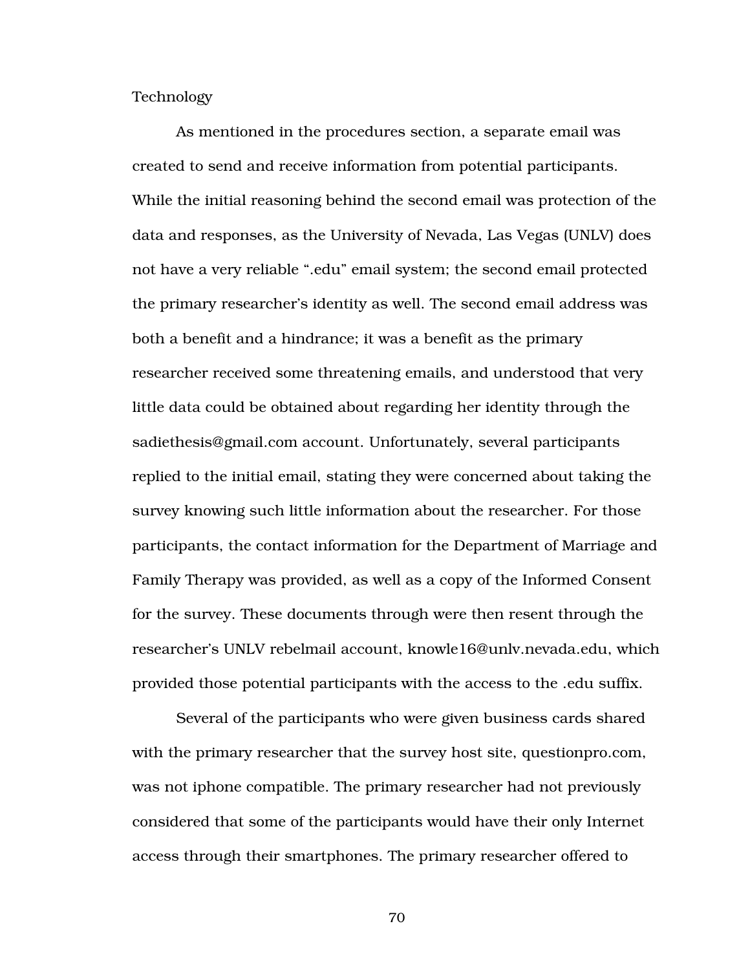Technology

As mentioned in the procedures section, a separate email was created to send and receive information from potential participants. While the initial reasoning behind the second email was protection of the data and responses, as the University of Nevada, Las Vegas (UNLV) does not have a very reliable ".edu" email system; the second email protected the primary researcher's identity as well. The second email address was both a benefit and a hindrance; it was a benefit as the primary researcher received some threatening emails, and understood that very little data could be obtained about regarding her identity through the sadiethesis@gmail.com account. Unfortunately, several participants replied to the initial email, stating they were concerned about taking the survey knowing such little information about the researcher. For those participants, the contact information for the Department of Marriage and Family Therapy was provided, as well as a copy of the Informed Consent for the survey. These documents through were then resent through the researcher's UNLV rebelmail account, knowle16@unlv.nevada.edu, which provided those potential participants with the access to the .edu suffix.

 Several of the participants who were given business cards shared with the primary researcher that the survey host site, questionpro.com, was not iphone compatible. The primary researcher had not previously considered that some of the participants would have their only Internet access through their smartphones. The primary researcher offered to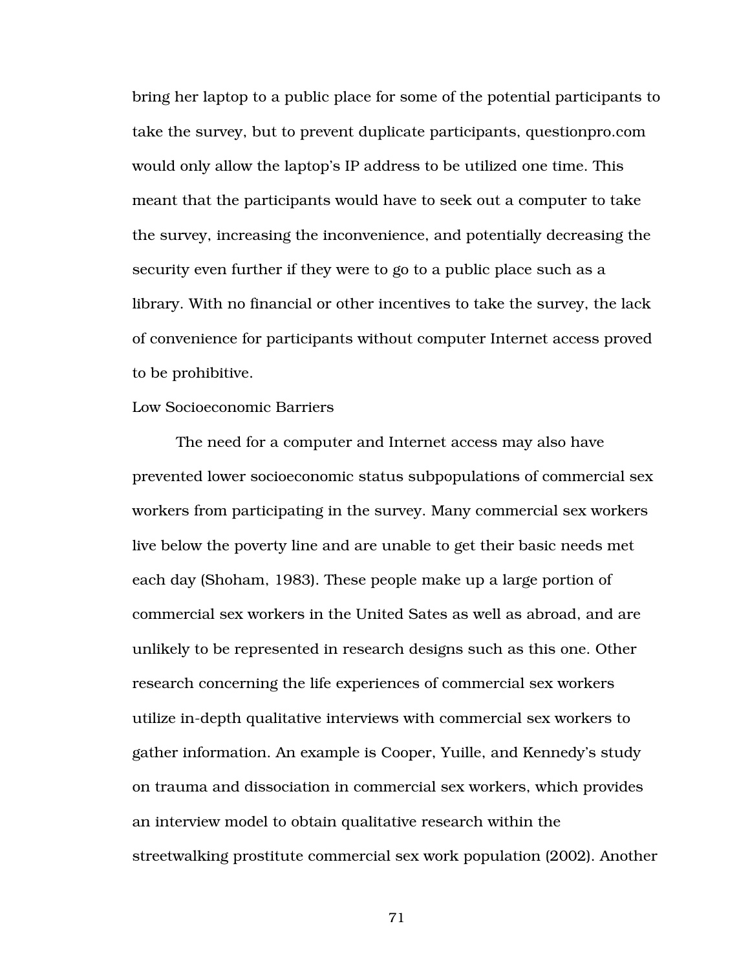bring her laptop to a public place for some of the potential participants to take the survey, but to prevent duplicate participants, questionpro.com would only allow the laptop's IP address to be utilized one time. This meant that the participants would have to seek out a computer to take the survey, increasing the inconvenience, and potentially decreasing the security even further if they were to go to a public place such as a library. With no financial or other incentives to take the survey, the lack of convenience for participants without computer Internet access proved to be prohibitive.

#### Low Socioeconomic Barriers

The need for a computer and Internet access may also have prevented lower socioeconomic status subpopulations of commercial sex workers from participating in the survey. Many commercial sex workers live below the poverty line and are unable to get their basic needs met each day (Shoham, 1983). These people make up a large portion of commercial sex workers in the United Sates as well as abroad, and are unlikely to be represented in research designs such as this one. Other research concerning the life experiences of commercial sex workers utilize in-depth qualitative interviews with commercial sex workers to gather information. An example is Cooper, Yuille, and Kennedy's study on trauma and dissociation in commercial sex workers, which provides an interview model to obtain qualitative research within the streetwalking prostitute commercial sex work population (2002). Another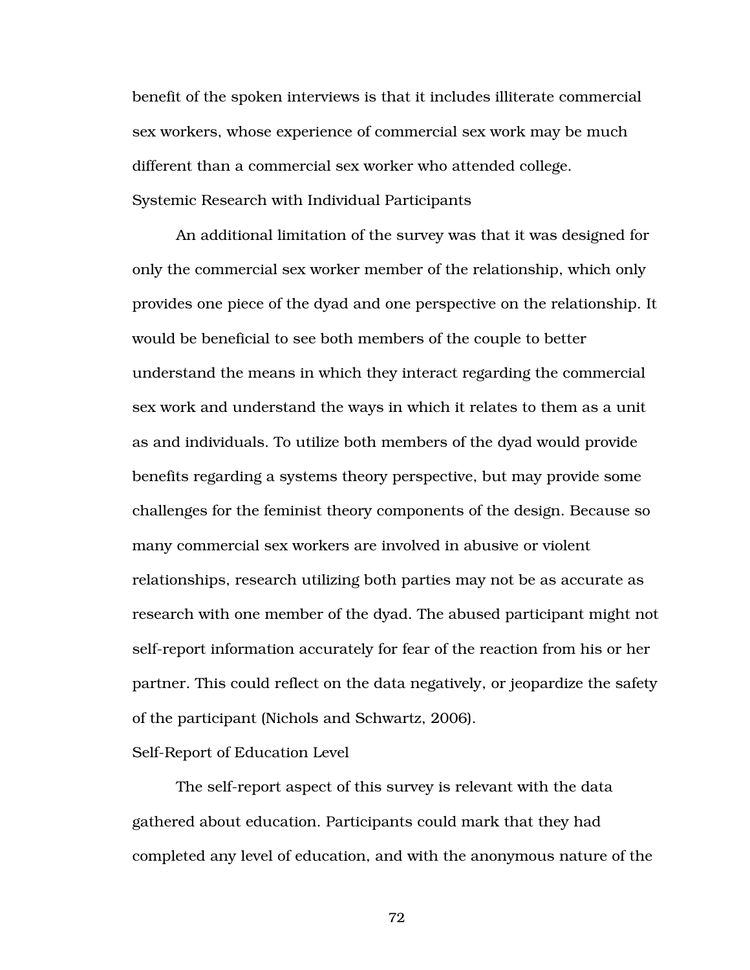benefit of the spoken interviews is that it includes illiterate commercial sex workers, whose experience of commercial sex work may be much different than a commercial sex worker who attended college. Systemic Research with Individual Participants

 An additional limitation of the survey was that it was designed for only the commercial sex worker member of the relationship, which only provides one piece of the dyad and one perspective on the relationship. It would be beneficial to see both members of the couple to better understand the means in which they interact regarding the commercial sex work and understand the ways in which it relates to them as a unit as and individuals. To utilize both members of the dyad would provide benefits regarding a systems theory perspective, but may provide some challenges for the feminist theory components of the design. Because so many commercial sex workers are involved in abusive or violent relationships, research utilizing both parties may not be as accurate as research with one member of the dyad. The abused participant might not self-report information accurately for fear of the reaction from his or her partner. This could reflect on the data negatively, or jeopardize the safety of the participant (Nichols and Schwartz, 2006).

#### Self-Report of Education Level

 The self-report aspect of this survey is relevant with the data gathered about education. Participants could mark that they had completed any level of education, and with the anonymous nature of the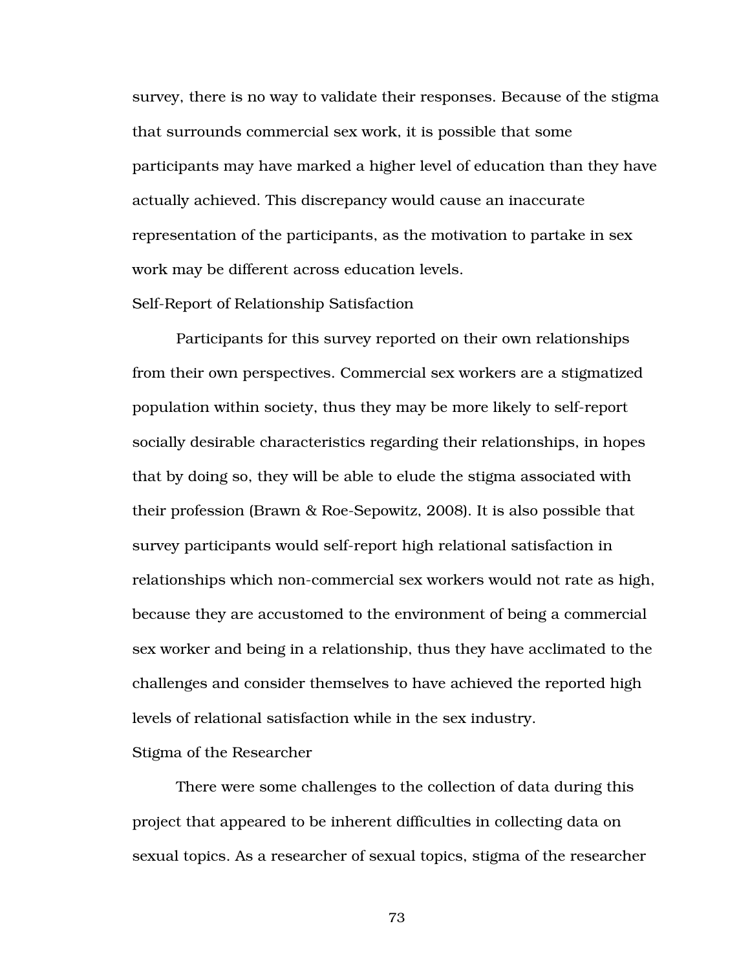survey, there is no way to validate their responses. Because of the stigma that surrounds commercial sex work, it is possible that some participants may have marked a higher level of education than they have actually achieved. This discrepancy would cause an inaccurate representation of the participants, as the motivation to partake in sex work may be different across education levels.

#### Self-Report of Relationship Satisfaction

 Participants for this survey reported on their own relationships from their own perspectives. Commercial sex workers are a stigmatized population within society, thus they may be more likely to self-report socially desirable characteristics regarding their relationships, in hopes that by doing so, they will be able to elude the stigma associated with their profession (Brawn & Roe-Sepowitz, 2008). It is also possible that survey participants would self-report high relational satisfaction in relationships which non-commercial sex workers would not rate as high, because they are accustomed to the environment of being a commercial sex worker and being in a relationship, thus they have acclimated to the challenges and consider themselves to have achieved the reported high levels of relational satisfaction while in the sex industry.

#### Stigma of the Researcher

 There were some challenges to the collection of data during this project that appeared to be inherent difficulties in collecting data on sexual topics. As a researcher of sexual topics, stigma of the researcher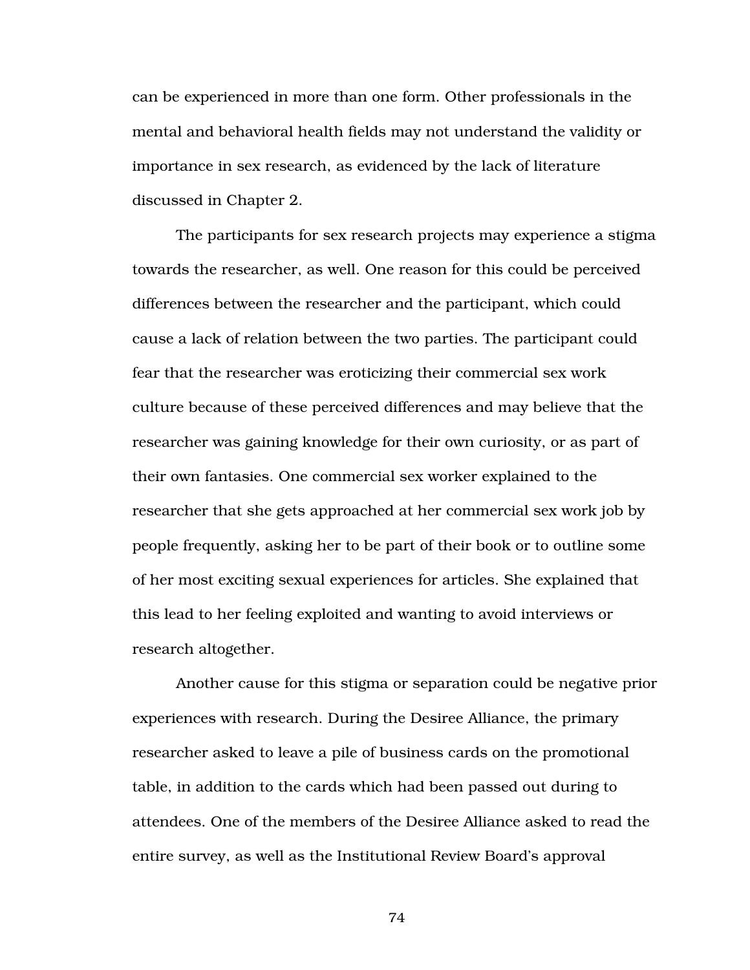can be experienced in more than one form. Other professionals in the mental and behavioral health fields may not understand the validity or importance in sex research, as evidenced by the lack of literature discussed in Chapter 2.

The participants for sex research projects may experience a stigma towards the researcher, as well. One reason for this could be perceived differences between the researcher and the participant, which could cause a lack of relation between the two parties. The participant could fear that the researcher was eroticizing their commercial sex work culture because of these perceived differences and may believe that the researcher was gaining knowledge for their own curiosity, or as part of their own fantasies. One commercial sex worker explained to the researcher that she gets approached at her commercial sex work job by people frequently, asking her to be part of their book or to outline some of her most exciting sexual experiences for articles. She explained that this lead to her feeling exploited and wanting to avoid interviews or research altogether.

Another cause for this stigma or separation could be negative prior experiences with research. During the Desiree Alliance, the primary researcher asked to leave a pile of business cards on the promotional table, in addition to the cards which had been passed out during to attendees. One of the members of the Desiree Alliance asked to read the entire survey, as well as the Institutional Review Board's approval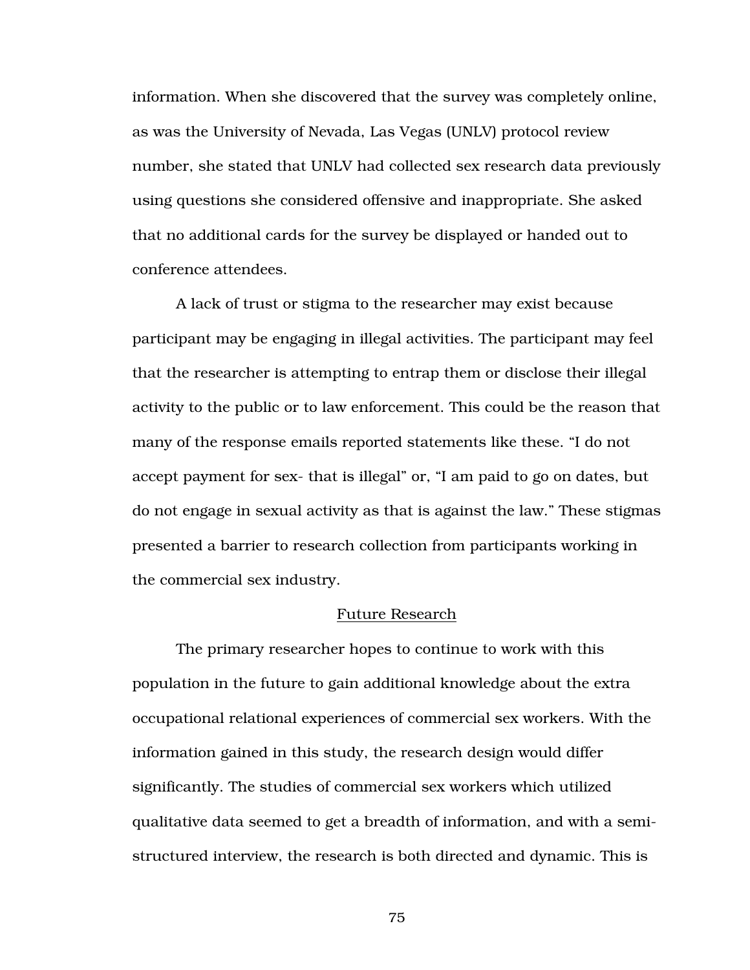information. When she discovered that the survey was completely online, as was the University of Nevada, Las Vegas (UNLV) protocol review number, she stated that UNLV had collected sex research data previously using questions she considered offensive and inappropriate. She asked that no additional cards for the survey be displayed or handed out to conference attendees.

A lack of trust or stigma to the researcher may exist because participant may be engaging in illegal activities. The participant may feel that the researcher is attempting to entrap them or disclose their illegal activity to the public or to law enforcement. This could be the reason that many of the response emails reported statements like these. "I do not accept payment for sex- that is illegal" or, "I am paid to go on dates, but do not engage in sexual activity as that is against the law." These stigmas presented a barrier to research collection from participants working in the commercial sex industry.

#### Future Research

The primary researcher hopes to continue to work with this population in the future to gain additional knowledge about the extra occupational relational experiences of commercial sex workers. With the information gained in this study, the research design would differ significantly. The studies of commercial sex workers which utilized qualitative data seemed to get a breadth of information, and with a semistructured interview, the research is both directed and dynamic. This is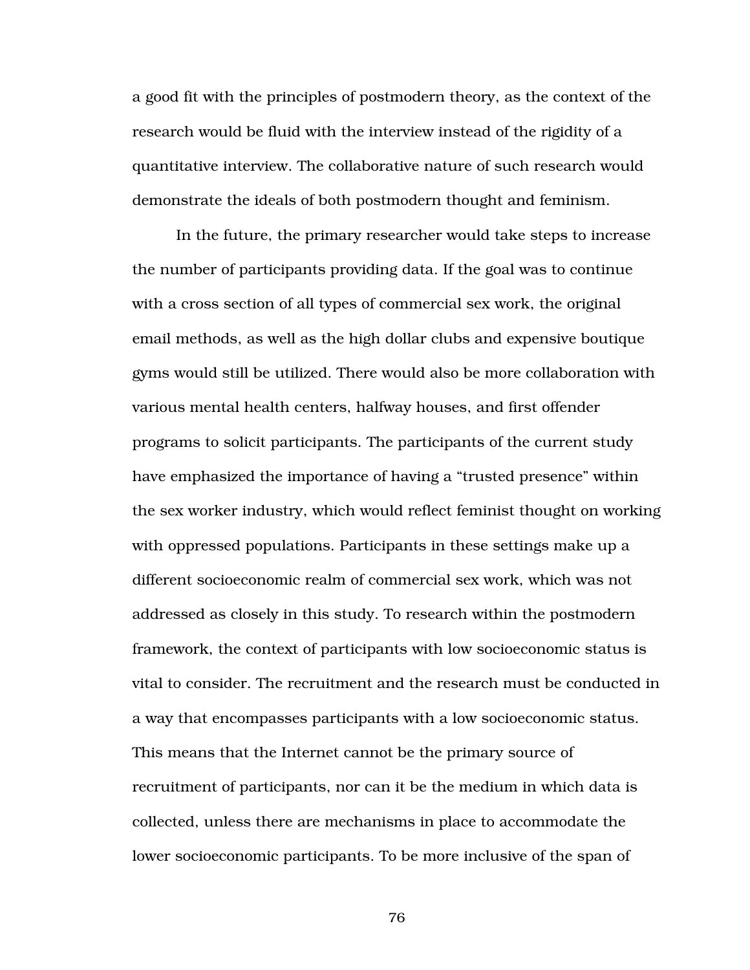a good fit with the principles of postmodern theory, as the context of the research would be fluid with the interview instead of the rigidity of a quantitative interview. The collaborative nature of such research would demonstrate the ideals of both postmodern thought and feminism.

In the future, the primary researcher would take steps to increase the number of participants providing data. If the goal was to continue with a cross section of all types of commercial sex work, the original email methods, as well as the high dollar clubs and expensive boutique gyms would still be utilized. There would also be more collaboration with various mental health centers, halfway houses, and first offender programs to solicit participants. The participants of the current study have emphasized the importance of having a "trusted presence" within the sex worker industry, which would reflect feminist thought on working with oppressed populations. Participants in these settings make up a different socioeconomic realm of commercial sex work, which was not addressed as closely in this study. To research within the postmodern framework, the context of participants with low socioeconomic status is vital to consider. The recruitment and the research must be conducted in a way that encompasses participants with a low socioeconomic status. This means that the Internet cannot be the primary source of recruitment of participants, nor can it be the medium in which data is collected, unless there are mechanisms in place to accommodate the lower socioeconomic participants. To be more inclusive of the span of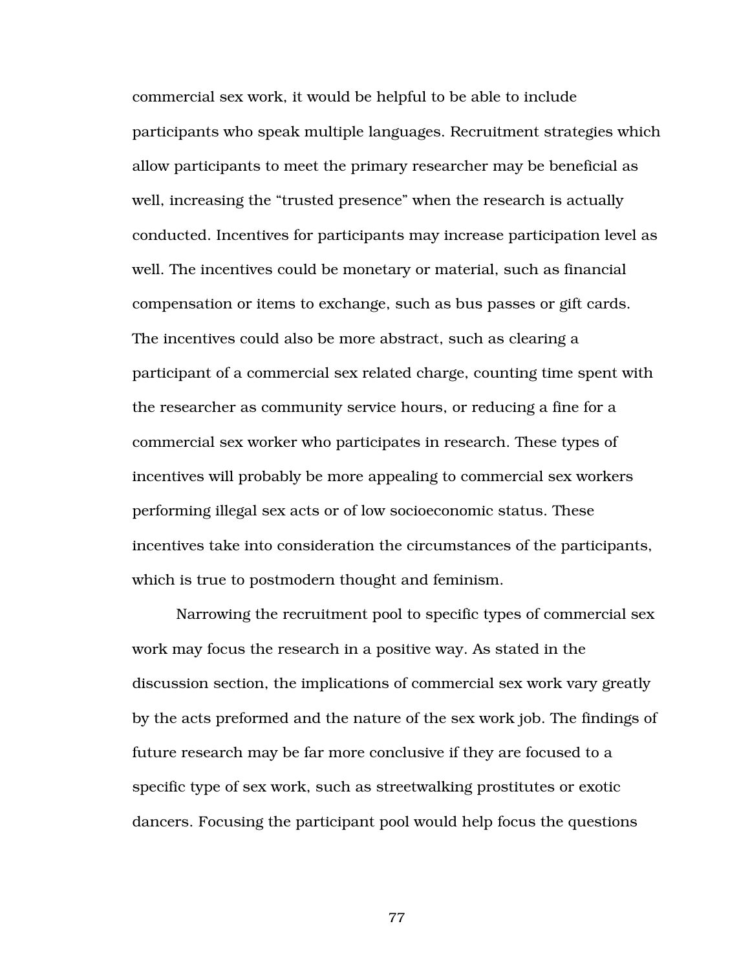commercial sex work, it would be helpful to be able to include participants who speak multiple languages. Recruitment strategies which allow participants to meet the primary researcher may be beneficial as well, increasing the "trusted presence" when the research is actually conducted. Incentives for participants may increase participation level as well. The incentives could be monetary or material, such as financial compensation or items to exchange, such as bus passes or gift cards. The incentives could also be more abstract, such as clearing a participant of a commercial sex related charge, counting time spent with the researcher as community service hours, or reducing a fine for a commercial sex worker who participates in research. These types of incentives will probably be more appealing to commercial sex workers performing illegal sex acts or of low socioeconomic status. These incentives take into consideration the circumstances of the participants, which is true to postmodern thought and feminism.

Narrowing the recruitment pool to specific types of commercial sex work may focus the research in a positive way. As stated in the discussion section, the implications of commercial sex work vary greatly by the acts preformed and the nature of the sex work job. The findings of future research may be far more conclusive if they are focused to a specific type of sex work, such as streetwalking prostitutes or exotic dancers. Focusing the participant pool would help focus the questions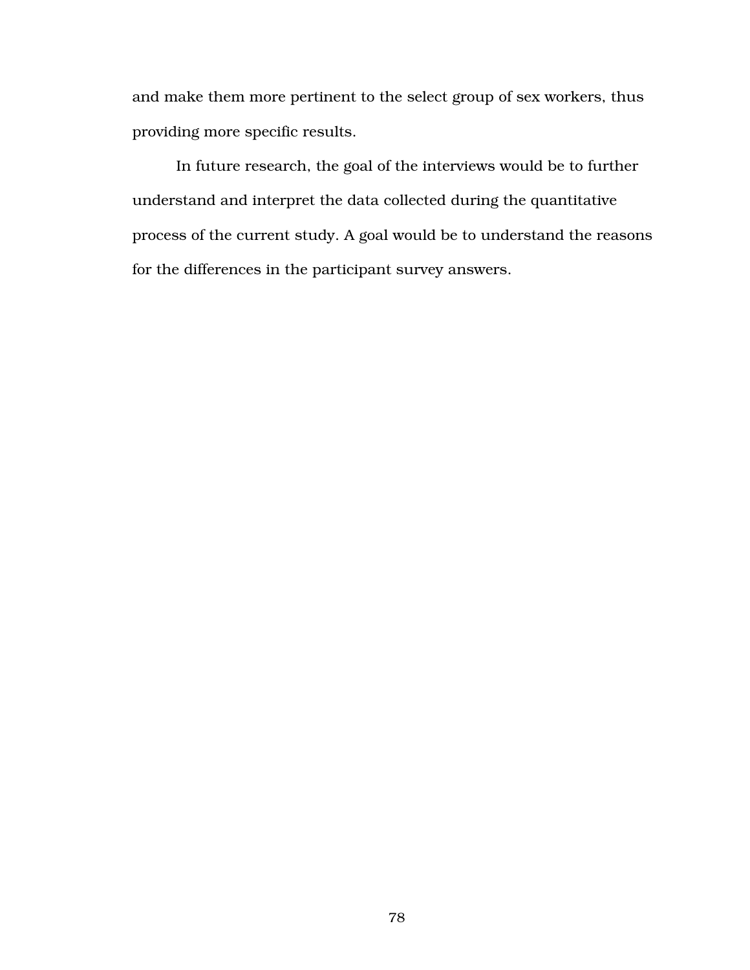and make them more pertinent to the select group of sex workers, thus providing more specific results.

 In future research, the goal of the interviews would be to further understand and interpret the data collected during the quantitative process of the current study. A goal would be to understand the reasons for the differences in the participant survey answers.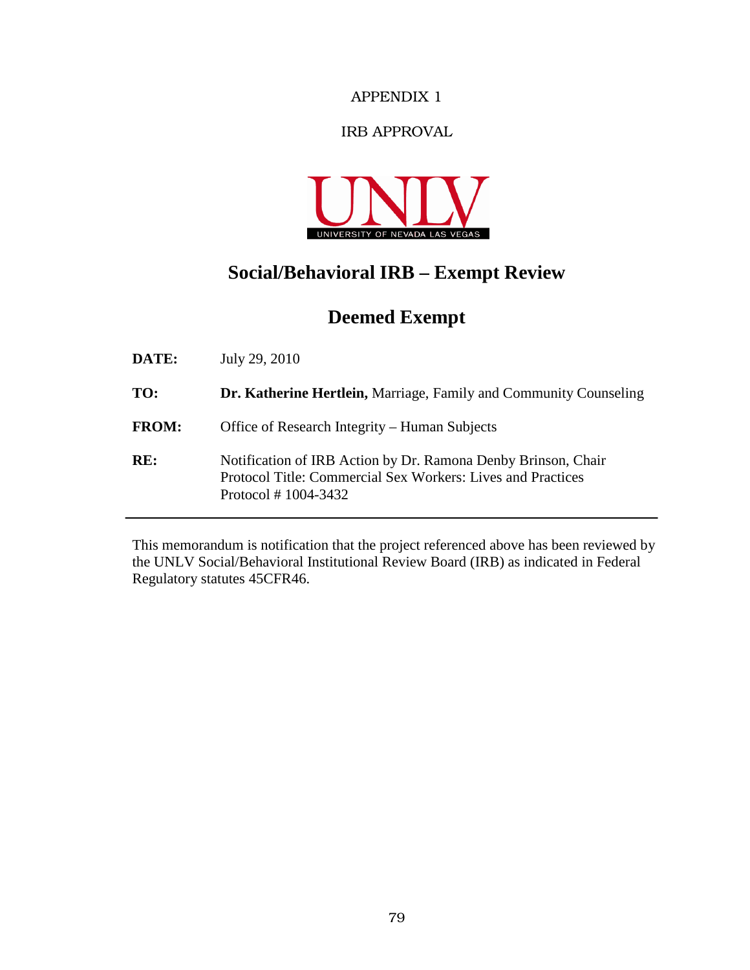### IRB APPROVAL



# **Social/Behavioral IRB – Exempt Review**

# **Deemed Exempt**

| DATE:        | July 29, 2010                                                                                                                                         |
|--------------|-------------------------------------------------------------------------------------------------------------------------------------------------------|
| TO:          | <b>Dr. Katherine Hertlein, Marriage, Family and Community Counseling</b>                                                                              |
| <b>FROM:</b> | Office of Research Integrity – Human Subjects                                                                                                         |
| RE:          | Notification of IRB Action by Dr. Ramona Denby Brinson, Chair<br>Protocol Title: Commercial Sex Workers: Lives and Practices<br>Protocol $#1004-3432$ |

This memorandum is notification that the project referenced above has been reviewed by the UNLV Social/Behavioral Institutional Review Board (IRB) as indicated in Federal Regulatory statutes 45CFR46.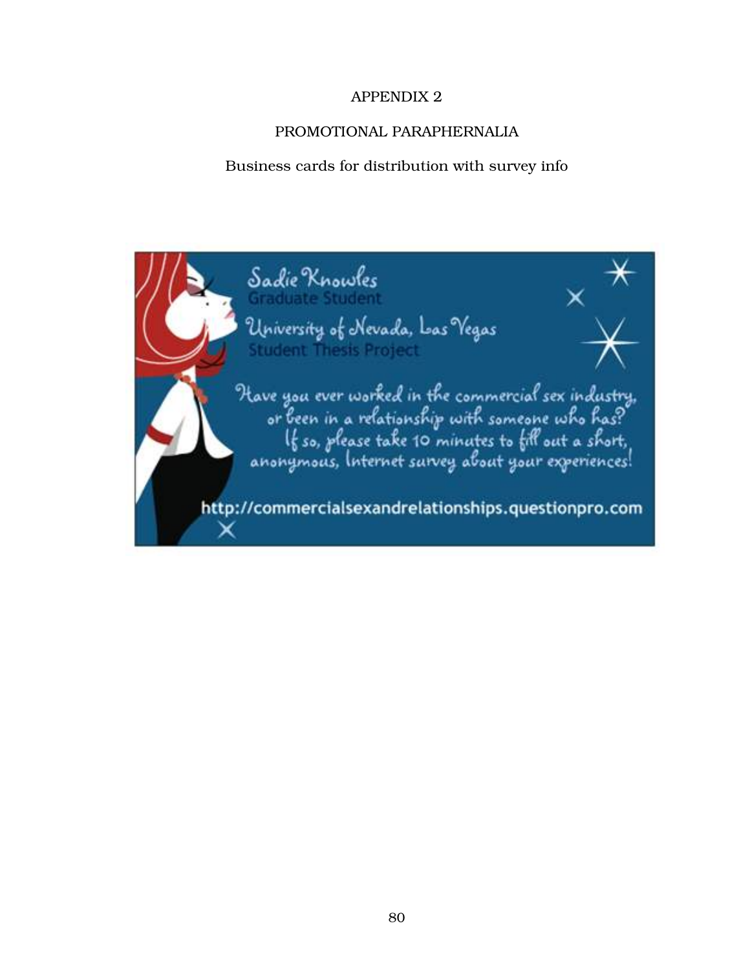# PROMOTIONAL PARAPHERNALIA

### Business cards for distribution with survey info

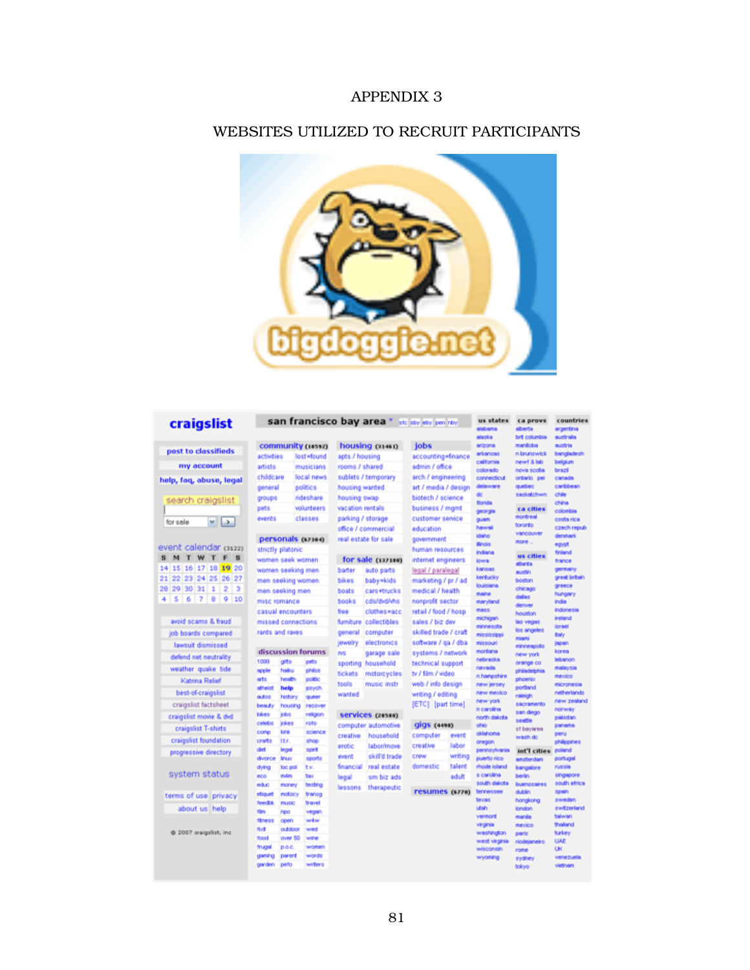#### WEBSITES UTILIZED TO RECRUIT PARTICIPANTS



#### craigslist

post to classifieds my account

help, faq, abuse, legal

search craigslist  $\sqrt{2}$ for sale

#### event calendar (3122) S M T W T F S 14 15 16 17 18 19 20 21 22 23 24 25 26 27  $\begin{array}{c|cccc}\n28 & 29 & 30 & 31 & 1 & 2 & 3 \\
\hline\n4 & 5 & 6 & 7 & 8 & 9 & 10\n\end{array}$

avoid scams & fraud job boards compared lawsuit dismissed defend net neutrality weather quake tide Katrina Relief best-of-craigsfist craigslist factsheet craigslist movie & dvd craigslist T-shirts craigslist foundation progressive directory system status terms of use privacy about us help

@ 2007 oraigilist, inc.

|                         |                    |                              |                   | san francisco bay area * stelley ety pen rby |                       |         | us states                  | ca provs                | countries            |
|-------------------------|--------------------|------------------------------|-------------------|----------------------------------------------|-----------------------|---------|----------------------------|-------------------------|----------------------|
|                         |                    |                              |                   |                                              |                       |         | sisbana                    | aberta<br>brit columbia | argentina            |
|                         | community (10592)  |                              |                   | housing (31461)                              | jobs                  |         | siscics<br>arizona         | manitoba                | australia<br>austria |
|                         |                    |                              |                   |                                              |                       |         | arkansas                   | in brunswick            | bangladesh           |
| activities              |                    | lost+found                   | apts / housing    |                                              | accounting=finance    |         | california                 | newt & lab              | belgium              |
| artists                 |                    | musicians                    | rooms / shared    |                                              | admin / office        |         | colorado                   | nova scotia             | brazil               |
| childcare               |                    | local news                   |                   | sublets / temporary                          | arch / engineering    |         | connecticut                | ortario pei             | canada               |
| general                 |                    | politics                     | housing wanted    |                                              | art / media / design  |         | delaware                   | quebec<br>sackatchwn    | caribbean<br>chile   |
| groups                  |                    | rideshare                    | housing swap      |                                              | biotech / science     |         | de<br>florida              |                         | china                |
| pets                    |                    | volunteers                   | vacation rentals  |                                              | business / mgmt       |         | georgia                    | ca cities               | colonities           |
| events                  |                    | classes                      | parking / storage |                                              | customer service      |         | guarti                     | montreal                | codta rica           |
|                         |                    |                              |                   | office / commercial                          | education             |         | hawsi                      | toronto                 | свест герыз          |
|                         | personals (67304)  |                              |                   | real estate for sale                         | government            |         | <b>idaho</b>               | vancouver<br>more       | denmark              |
|                         | strictly platonic  |                              |                   |                                              | human resources       |         | <b>Brois</b>               |                         | equal                |
|                         | women seek women   |                              |                   | for sale (137100)                            | internet engineers    |         | indana<br><b>Idwa</b>      | us cities               | feland<br>trance     |
|                         | women seeking men  |                              | bader             | auto parts                                   | legal / paralegal     |         | kansas                     | attords                 | gentany              |
|                         |                    |                              | bikes             | baby+kids                                    | marketing / pr / ad   |         | kentucky                   | austin<br>boston        | great britain        |
|                         | men seeking women  |                              |                   |                                              |                       |         | louisiene                  | chicago                 | greece               |
|                         | men seeking men    |                              | boats             | cars+trucks                                  | medical / health      |         | maine                      | dalas                   | hungary              |
|                         | misc romance       |                              | books             | cds/ded/shs                                  | nonprofit sector      |         | maryland                   | detwer                  | nda                  |
|                         | casual encounters  |                              | free              | clothes+acc                                  | retail / food / hosp  |         | mass<br>michigan           | houston                 | indonesia<br>instand |
|                         | missed connections |                              | furniture         | collectibles                                 | sales / biz dev       |         | minnescta                  | las vegas               | <b>Identified</b>    |
|                         | rants and raves    |                              | general           | computer                                     | skilled trade / craft |         | mississippi                | los angeles             | <b>Enly</b>          |
|                         |                    |                              | jewelry           | electronics                                  | software / ga / dba   |         | missouri                   | miami<br>minneapolis    | japan                |
|                         | discussion forums  |                              | <b>INS</b>        | garage sale                                  | systems / network     |         | montana                    | new york                | korea                |
| 1099                    | off:               | petts                        | sporting          | household                                    | technical support     |         | nebracks                   | crange co.              | <b>Inbanco</b>       |
| opple                   | hailru             | (PA16                        | tickets           | motorcycles                                  | tv / film / video     |         | nevada<br>n hanpshire      | philadelphia            | malaysia<br>menico   |
| orts                    | <b>hotel</b> th    | politic                      | tools             | music instr                                  | web / info design     |         | new jersey                 | phoenix                 | micronesia           |
| atheist                 | help               | <b>BEVON</b>                 | wanted            |                                              | writing / editing     |         | new mexico                 | portland                | netherlands          |
| <b>MADS</b>             | history            | queer                        |                   |                                              | [ETC] [part time]     |         | new york                   | raleigh<br>sacramento   | new zealand          |
| beauty<br>bikes         | housing<br>jobs    | recover<br>religion          |                   | services (20500)                             |                       |         | in carolina                | san diego               | <b>norway</b>        |
| celebs                  | jokes              | eofo                         |                   |                                              |                       |         | north dakota<br>ohio       | seattle                 | pokistan             |
| comp                    | kra                | science                      |                   | computer automotive                          | <b>Gigs</b> (4498)    |         | didahoma                   | of bayarea              | penetra<br>peru      |
| crafts                  | <b>ISE</b>         | shop                         | creative          | household                                    | computer              | event   | oregon                     | wash do                 | philopines           |
| diet                    | legal              | nort                         | erotic            | laboomove                                    | creative              | labor   | pennsylvania               | int'l cities            | poland               |
| divorce                 | <b>Brazio</b>      | sports                       | event             | skill'd trade                                | crew                  | writing | puerto rico                | amsterdam               | portugal             |
| dying                   | loc pol            | ts.                          | financial         | real estate                                  | domestic              | talent  | rhode island               | bangalore               | russia               |
| 600                     | min                | <b>Back</b>                  | legal             | sm biz ads                                   |                       | adult   | s carolina                 | berin                   | singapore            |
| educ                    | money              | testing                      | lessons           | therapeutic                                  | resumes (6770)        |         | south dekota<br>tennessee  | buenosaires<br>dublin   | south africa         |
| etics.eff.              | motocy             | <b><i><u>brancia</u></i></b> |                   |                                              |                       |         | <b>becoas</b>              | hongkong                | spain.<br>pweden.    |
| <b>feedbk</b>           | music              | <b>bravel</b>                |                   |                                              |                       |         | ubah                       | <b>Izndon</b>           | switzerland          |
| film<br><b>filtness</b> | reo                | vegan<br>win                 |                   |                                              |                       |         | versort                    | manila                  | talwan               |
| fixit                   | open<br>outdoor    | wed                          |                   |                                              |                       |         | virginia                   | merico                  | thellend             |
| food                    | over 50            | wine                         |                   |                                              |                       |         | washington                 | paris                   | burkey               |
| frugal                  | poc                | woten                        |                   |                                              |                       |         | west virginia<br>wisconsin | riodejaneiro            | <b>UAI</b><br>UK     |
| gening                  | parent             | words                        |                   |                                              |                       |         | wyoming                    | rome<br>sydney          | venezuela            |
| garden                  | peto               | webers                       |                   |                                              |                       |         |                            | <b>Bolicyto</b>         | vietnam              |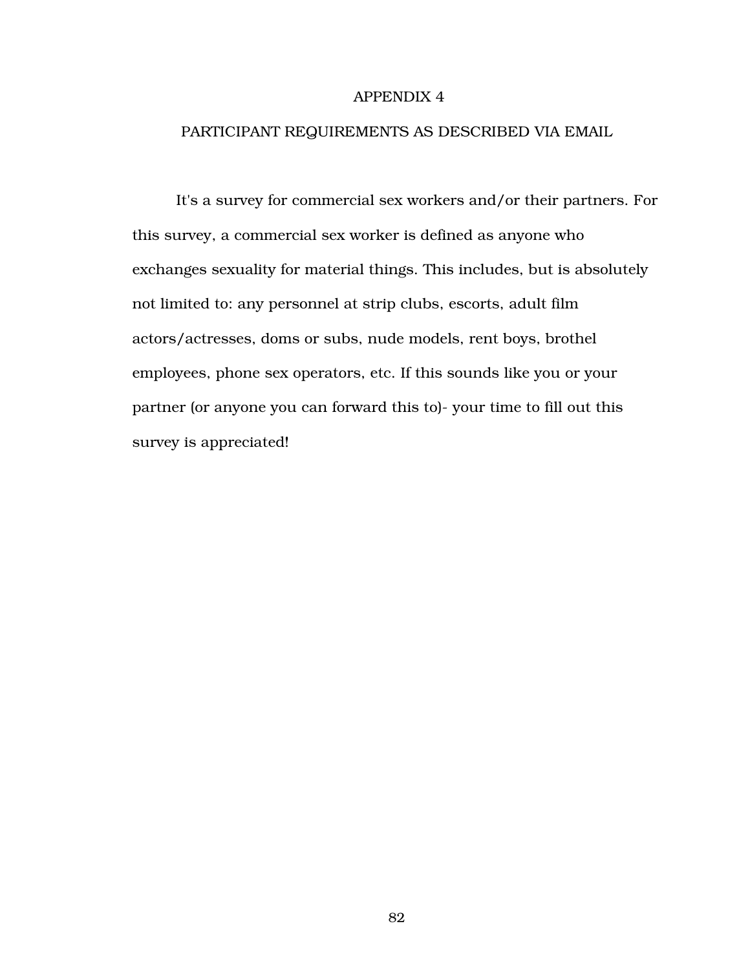#### PARTICIPANT REQUIREMENTS AS DESCRIBED VIA EMAIL

It's a survey for commercial sex workers and/or their partners. For this survey, a commercial sex worker is defined as anyone who exchanges sexuality for material things. This includes, but is absolutely not limited to: any personnel at strip clubs, escorts, adult film actors/actresses, doms or subs, nude models, rent boys, brothel employees, phone sex operators, etc. If this sounds like you or your partner (or anyone you can forward this to)- your time to fill out this survey is appreciated!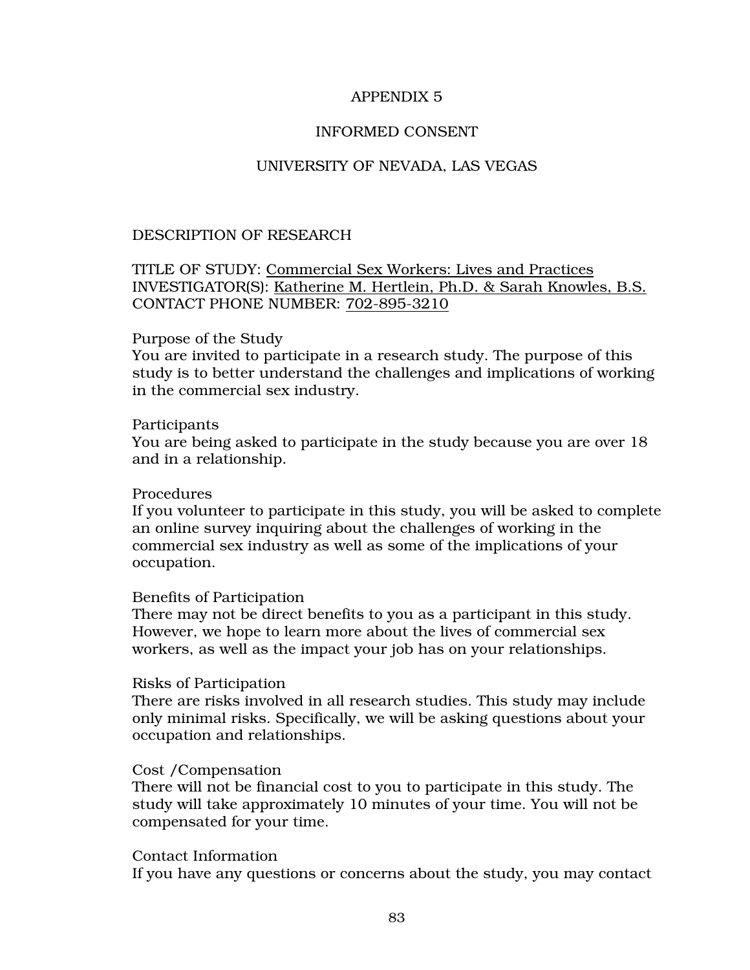#### INFORMED CONSENT

#### UNIVERSITY OF NEVADA, LAS VEGAS

#### DESCRIPTION OF RESEARCH

#### TITLE OF STUDY: Commercial Sex Workers: Lives and Practices INVESTIGATOR(S): Katherine M. Hertlein, Ph.D. & Sarah Knowles, B.S. CONTACT PHONE NUMBER: 702-895-3210

#### Purpose of the Study

You are invited to participate in a research study. The purpose of this study is to better understand the challenges and implications of working in the commercial sex industry.

#### Participants

You are being asked to participate in the study because you are over 18 and in a relationship.

#### Procedures

If you volunteer to participate in this study, you will be asked to complete an online survey inquiring about the challenges of working in the commercial sex industry as well as some of the implications of your occupation.

#### Benefits of Participation

There may not be direct benefits to you as a participant in this study. However, we hope to learn more about the lives of commercial sex workers, as well as the impact your job has on your relationships.

#### Risks of Participation

There are risks involved in all research studies. This study may include only minimal risks. Specifically, we will be asking questions about your occupation and relationships.

#### Cost /Compensation

There will not be financial cost to you to participate in this study. The study will take approximately 10 minutes of your time. You will not be compensated for your time.

#### Contact Information

If you have any questions or concerns about the study, you may contact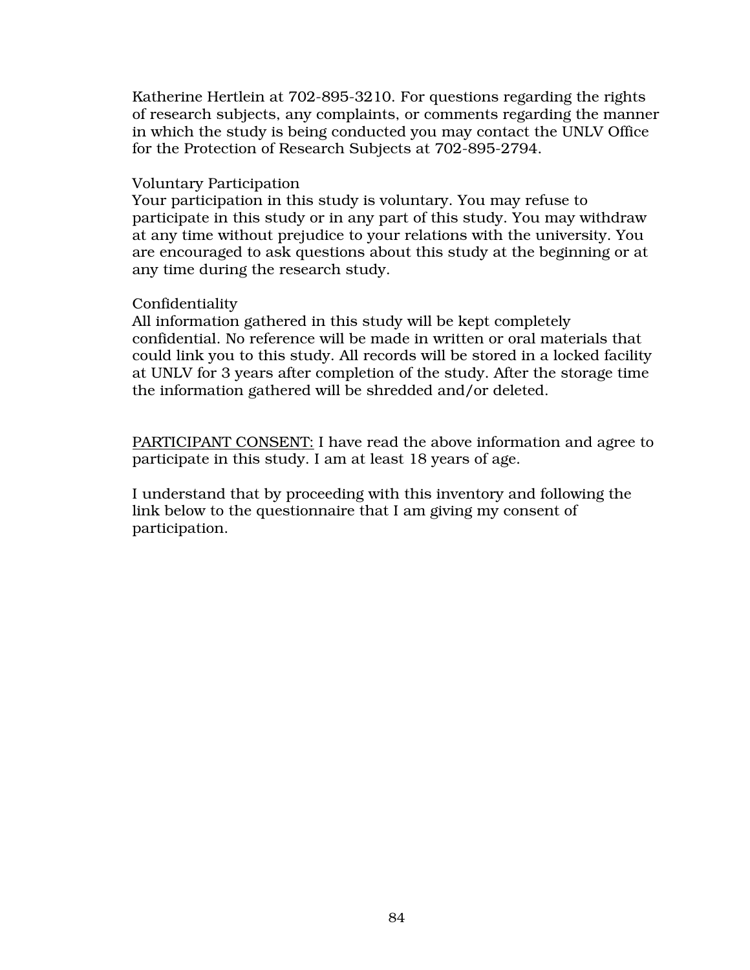Katherine Hertlein at 702-895-3210. For questions regarding the rights of research subjects, any complaints, or comments regarding the manner in which the study is being conducted you may contact the UNLV Office for the Protection of Research Subjects at 702-895-2794.

#### Voluntary Participation

Your participation in this study is voluntary. You may refuse to participate in this study or in any part of this study. You may withdraw at any time without prejudice to your relations with the university. You are encouraged to ask questions about this study at the beginning or at any time during the research study.

#### Confidentiality

All information gathered in this study will be kept completely confidential. No reference will be made in written or oral materials that could link you to this study. All records will be stored in a locked facility at UNLV for 3 years after completion of the study. After the storage time the information gathered will be shredded and/or deleted.

PARTICIPANT CONSENT: I have read the above information and agree to participate in this study. I am at least 18 years of age.

I understand that by proceeding with this inventory and following the link below to the questionnaire that I am giving my consent of participation.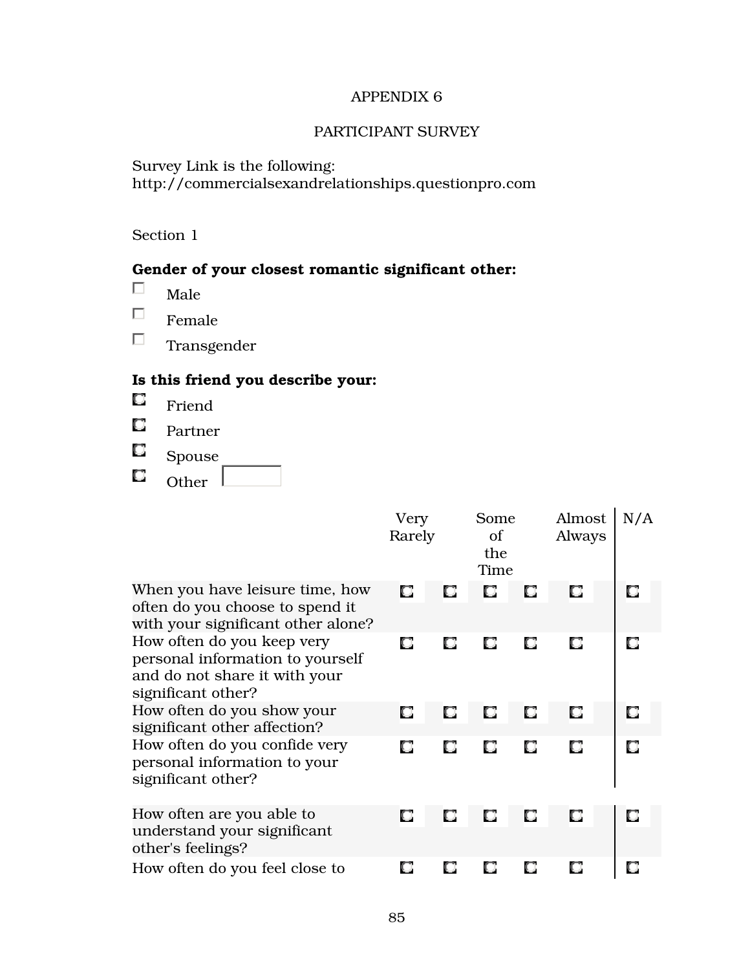#### PARTICIPANT SURVEY

Survey Link is the following: http://commercialsexandrelationships.questionpro.com

### Section 1

# Gender of your closest romantic significant other:

- $\Box$ Male
- $\Box$ Female
- $\Box$ Transgender

# Is this friend you describe your:

- $\Box$ Friend
- $\Box$ Partner
- $\Box$ Spouse
- $\Box$ Other  $\Box$

|                                                                                                                       | Very<br>Rarely |   | Some<br>of<br>the<br>Time |    | Almost<br>Always | N/A |
|-----------------------------------------------------------------------------------------------------------------------|----------------|---|---------------------------|----|------------------|-----|
| When you have leisure time, how<br>often do you choose to spend it<br>with your significant other alone?              | о              |   |                           | О  | О                |     |
| How often do you keep very<br>personal information to yourself<br>and do not share it with your<br>significant other? | U              |   |                           | ЮJ | O                | O   |
| How often do you show your<br>significant other affection?                                                            |                |   |                           | o  | O                | O   |
| How often do you confide very<br>personal information to your<br>significant other?                                   | О              | О | О                         | О  | О                | O   |
| How often are you able to<br>understand your significant<br>other's feelings?                                         |                | О | О                         |    | О                | O   |
| How often do you feel close to                                                                                        |                |   |                           |    |                  |     |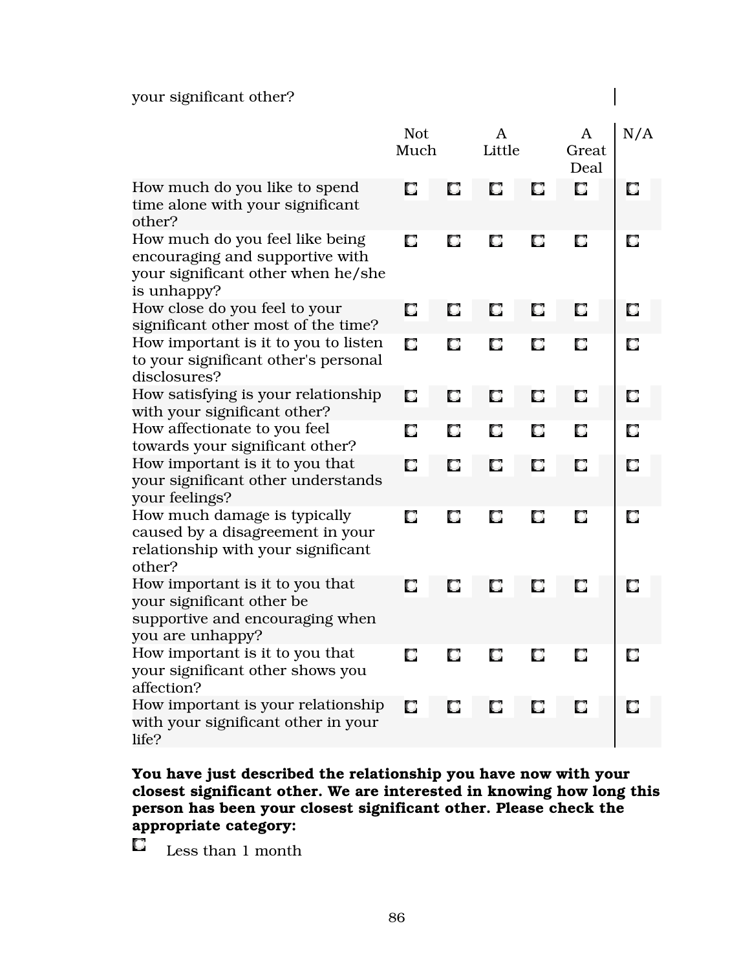# your significant other?

|                                                                                                                         | <b>Not</b><br>Much |   | A<br>Little |   | A<br>Great<br>Deal | N/A |
|-------------------------------------------------------------------------------------------------------------------------|--------------------|---|-------------|---|--------------------|-----|
| How much do you like to spend<br>time alone with your significant<br>other?                                             | О                  | o | O           | О | О                  | O   |
| How much do you feel like being<br>encouraging and supportive with<br>your significant other when he/she<br>is unhappy? | О                  | О | О           | О | О                  | О   |
| How close do you feel to your<br>significant other most of the time?                                                    | О                  | О | О           | О | О                  | O   |
| How important is it to you to listen<br>to your significant other's personal<br>disclosures?                            | О                  | О | О           | О | О                  | o   |
| How satisfying is your relationship<br>with your significant other?                                                     | О                  | О | О           | О | О                  | О   |
| How affectionate to you feel<br>towards your significant other?                                                         | О                  | О | О           | О | О                  | O.  |
| How important is it to you that<br>your significant other understands<br>your feelings?                                 | О                  | О | О           | О | О                  | О   |
| How much damage is typically<br>caused by a disagreement in your<br>relationship with your significant<br>other?        | О                  | О | О           | О | О                  | О   |
| How important is it to you that<br>your significant other be<br>supportive and encouraging when<br>you are unhappy?     | О                  | О | О           | О | О                  | O   |
| How important is it to you that<br>your significant other shows you<br>affection?                                       | О                  | О | О           | О | О                  | О   |
| How important is your relationship<br>with your significant other in your<br>life?                                      | О                  | О | O           | О | О                  | О   |

 $\overline{\phantom{a}}$ 

### You have just described the relationship you have now with your closest significant other. We are interested in knowing how long this person has been your closest significant other. Please check the appropriate category:

O. Less than 1 month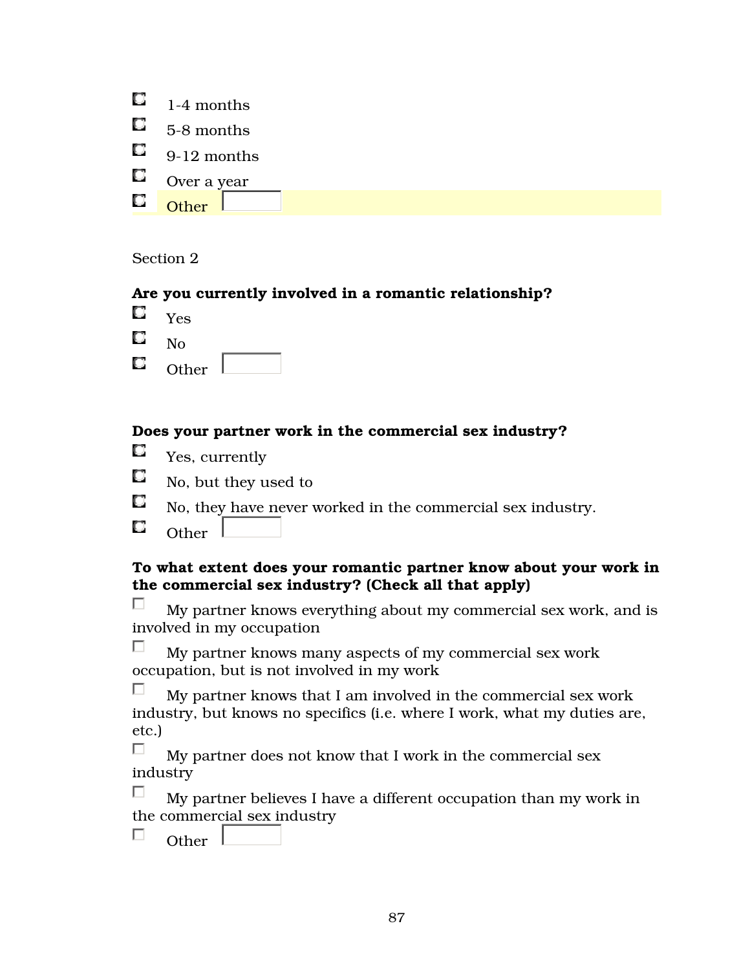|             | $\Box$ 1-4 months  |
|-------------|--------------------|
|             | $\Box$ 5-8 months  |
|             | $\Box$ 9-12 months |
|             | $\Box$ Over a year |
| $\mathbf C$ | ∩ther              |

Section 2

### Are you currently involved in a romantic relationship?

- O. Yes
- O. No
- O. Other

# Does your partner work in the commercial sex industry?

- 0. Yes, currently
- O. No, but they used to
- O, No, they have never worked in the commercial sex industry.
- O Other L

### To what extent does your romantic partner know about your work in the commercial sex industry? (Check all that apply)

П. My partner knows everything about my commercial sex work, and is involved in my occupation

 $\Box$  My partner knows many aspects of my commercial sex work occupation, but is not involved in my work

П My partner knows that I am involved in the commercial sex work industry, but knows no specifics (i.e. where I work, what my duties are, etc.)

П My partner does not know that I work in the commercial sex industry

П. My partner believes I have a different occupation than my work in the commercial sex industry

 $\Box$ Other l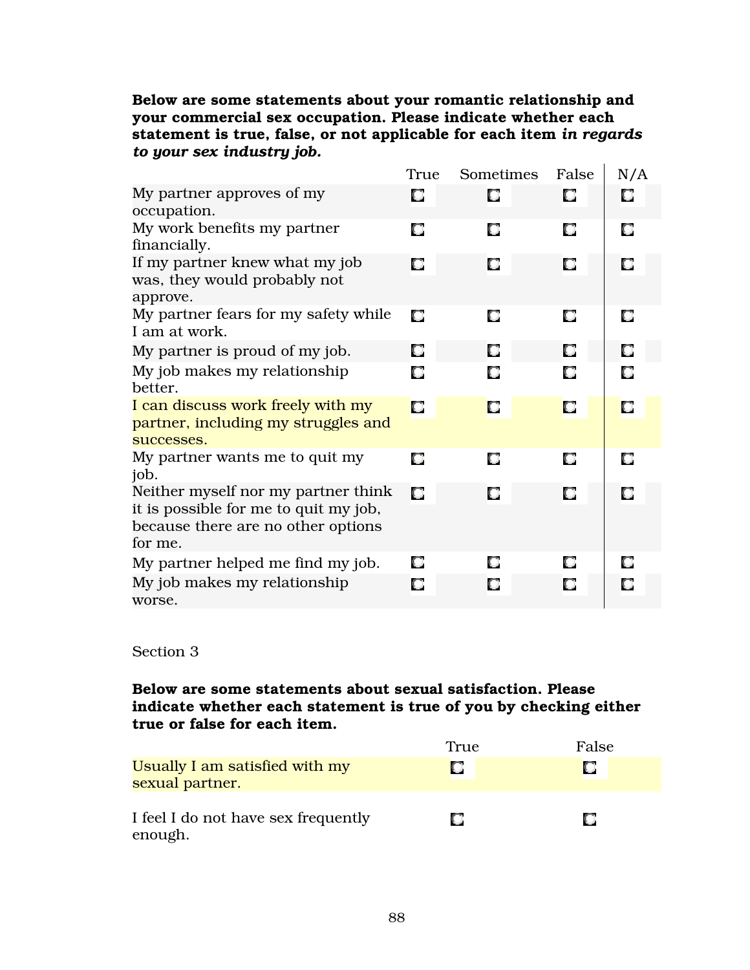### Below are some statements about your romantic relationship and your commercial sex occupation. Please indicate whether each statement is true, false, or not applicable for each item *in regards to your sex industry job.*

|                                                                                                                               | True | Sometimes | False | N/A |
|-------------------------------------------------------------------------------------------------------------------------------|------|-----------|-------|-----|
| My partner approves of my<br>occupation.                                                                                      | О    | О         | О     | О   |
| My work benefits my partner<br>financially.                                                                                   | О    | О         | О     | О   |
| If my partner knew what my job<br>was, they would probably not<br>approve.                                                    | О    | О         | О     | О   |
| My partner fears for my safety while<br>I am at work.                                                                         | О    | О         | О     | О   |
| My partner is proud of my job.                                                                                                | О    | О         | О     | О   |
| My job makes my relationship<br>better.                                                                                       | О    | О         | О     | О   |
| I can discuss work freely with my<br>partner, including my struggles and<br>successes.                                        | О    | О         | О     | О   |
| My partner wants me to quit my<br>job.                                                                                        | О    | О         | О     | О   |
| Neither myself nor my partner think<br>it is possible for me to quit my job,<br>because there are no other options<br>for me. | О    | О         | О     | О   |
| My partner helped me find my job.                                                                                             | О    | О         | О     | О   |
| My job makes my relationship<br>worse.                                                                                        | О    | О         | О     | О   |

#### Section 3

### Below are some statements about sexual satisfaction. Please indicate whether each statement is true of you by checking either true or false for each item.

|                                                   | True | False |
|---------------------------------------------------|------|-------|
| Usually I am satisfied with my<br>sexual partner. |      | n     |
| I feel I do not have sex frequently<br>enough.    |      | n     |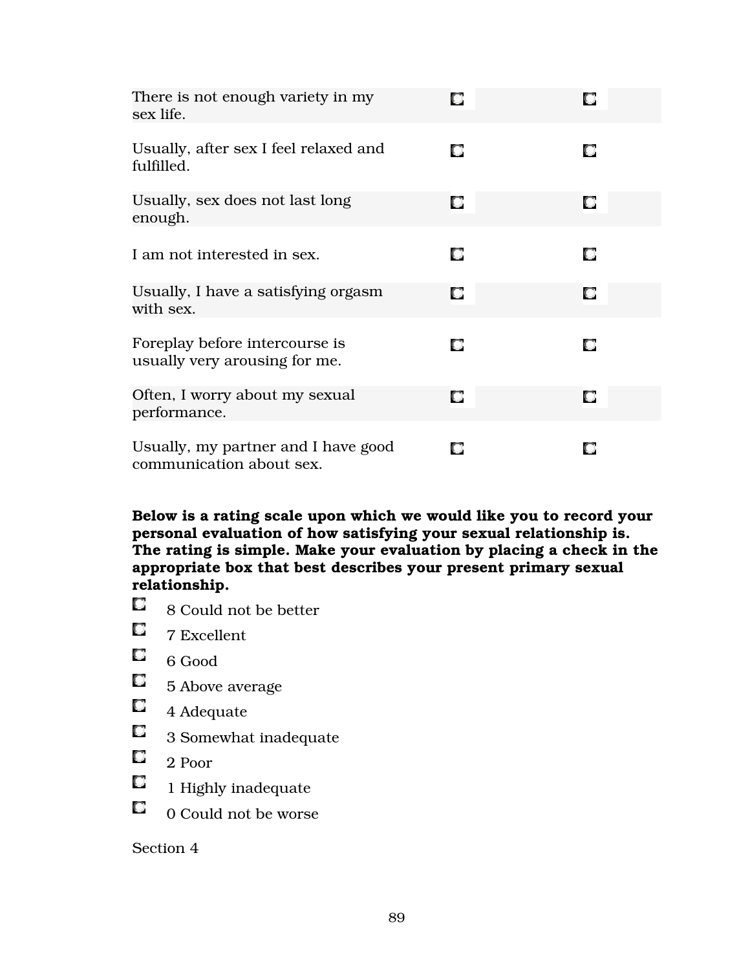| There is not enough variety in my<br>sex life.                  | О |   |
|-----------------------------------------------------------------|---|---|
| Usually, after sex I feel relaxed and<br>fulfilled.             | О | О |
| Usually, sex does not last long<br>enough.                      | О | о |
| I am not interested in sex.                                     | О | О |
| Usually, I have a satisfying orgasm<br>with sex.                | О | О |
| Foreplay before intercourse is<br>usually very arousing for me. | О | О |
| Often, I worry about my sexual<br>performance.                  | О | О |
| Usually, my partner and I have good<br>communication about sex. | О | О |

Below is a rating scale upon which we would like you to record your personal evaluation of how satisfying your sexual relationship is. The rating is simple. Make your evaluation by placing a check in the appropriate box that best describes your present primary sexual relationship.

- $\Box$ 8 Could not be better
- $\Box$ 7 Excellent
- $\Box$ 6 Good
- $\Box$ 5 Above average
- $\Box$ 4 Adequate
- $\Box$ 3 Somewhat inadequate
- $\Box$ 2 Poor
- $\Box$ 1 Highly inadequate
- $\Box$ 0 Could not be worse

### Section 4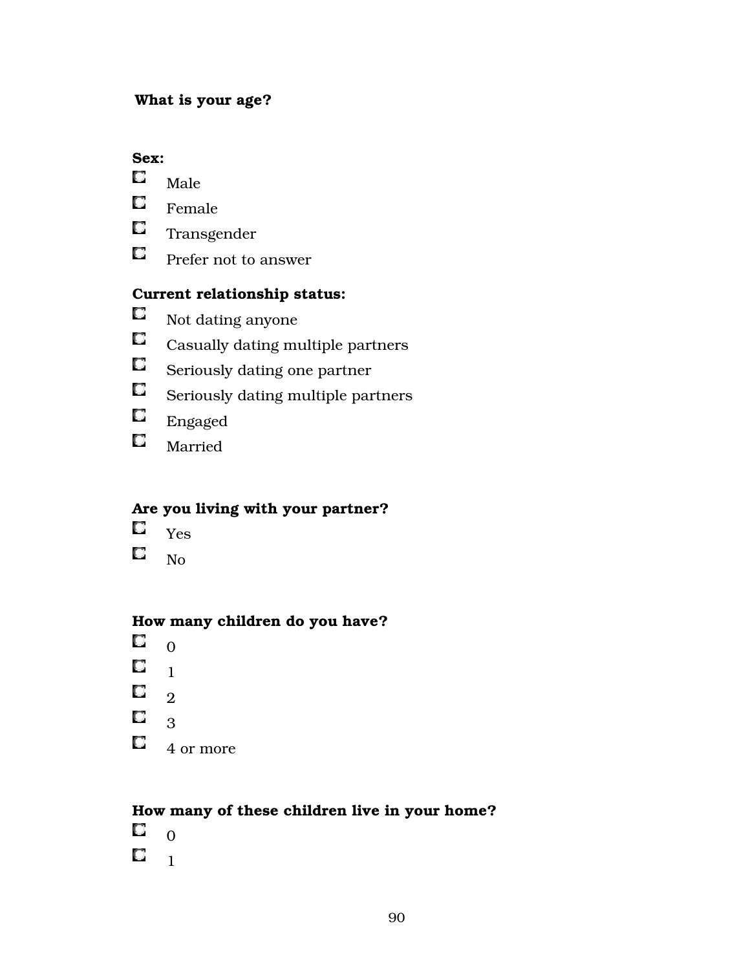### What is your age?

### Sex:

- $\Box$ Male
- $\Box$ Female
- $\Box$ Transgender
- $\Box$ Prefer not to answer

# Current relationship status:

- O Not dating anyone
- $\Box$ Casually dating multiple partners
- $\Box$ Seriously dating one partner
- $\Box$ Seriously dating multiple partners
- $\Box$ Engaged
- $\Box$ Married

# Are you living with your partner?

- $\Box$ Yes
- O No

# How many children do you have?

- $\Box$  0
- $\mathbf{C}$   $\mathbf{1}$
- $\Box$ 2
- $\Box$
- 3
- $\Box$ 4 or more

# How many of these children live in your home?

 $\Box$  0  $\Box$ 1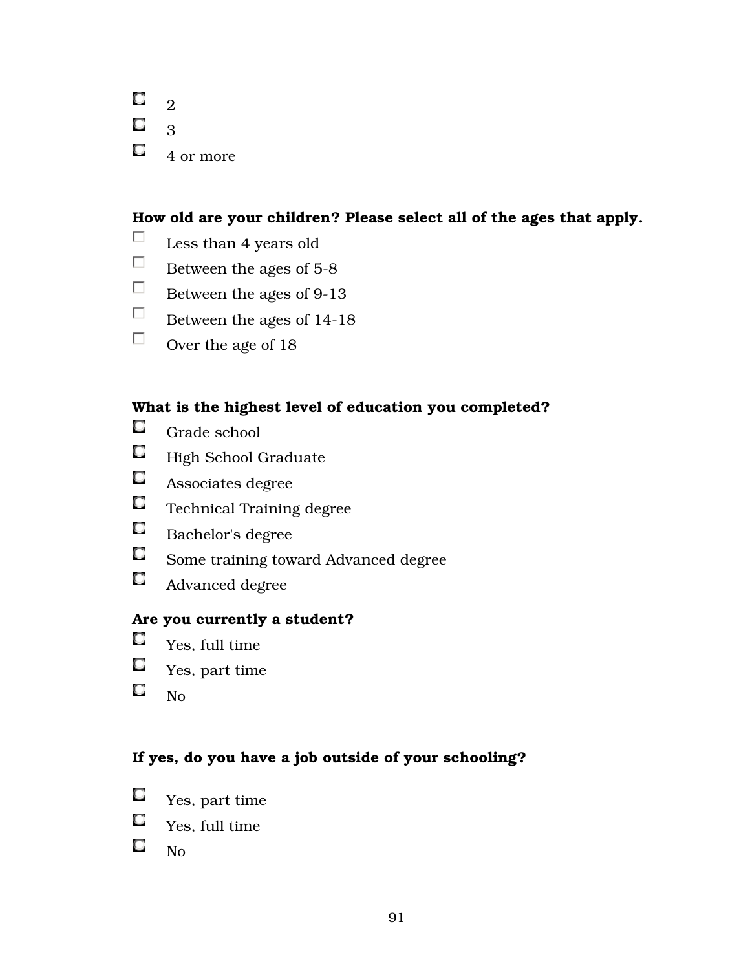| 2         |
|-----------|
| З         |
| 4 or more |

#### How old are your children? Please select all of the ages that apply.

- $\Box$ Less than 4 years old
- $\Box$ Between the ages of 5-8
- $\Box$ Between the ages of 9-13
- $\Box$ Between the ages of 14-18
- $\Box$ Over the age of 18

### What is the highest level of education you completed?

- $\Box$ Grade school
- $\Box$ High School Graduate
- $\Box$ Associates degree
- $\Box$ Technical Training degree
- $\Box$ Bachelor's degree
- $\Box$ Some training toward Advanced degree
- $\Box$ Advanced degree

### Are you currently a student?

- $\Box$ Yes, full time
- $\Box$ Yes, part time
- $\Box$ No

### If yes, do you have a job outside of your schooling?

- $\Box$ Yes, part time
- O. Yes, full time
- $\Box$ No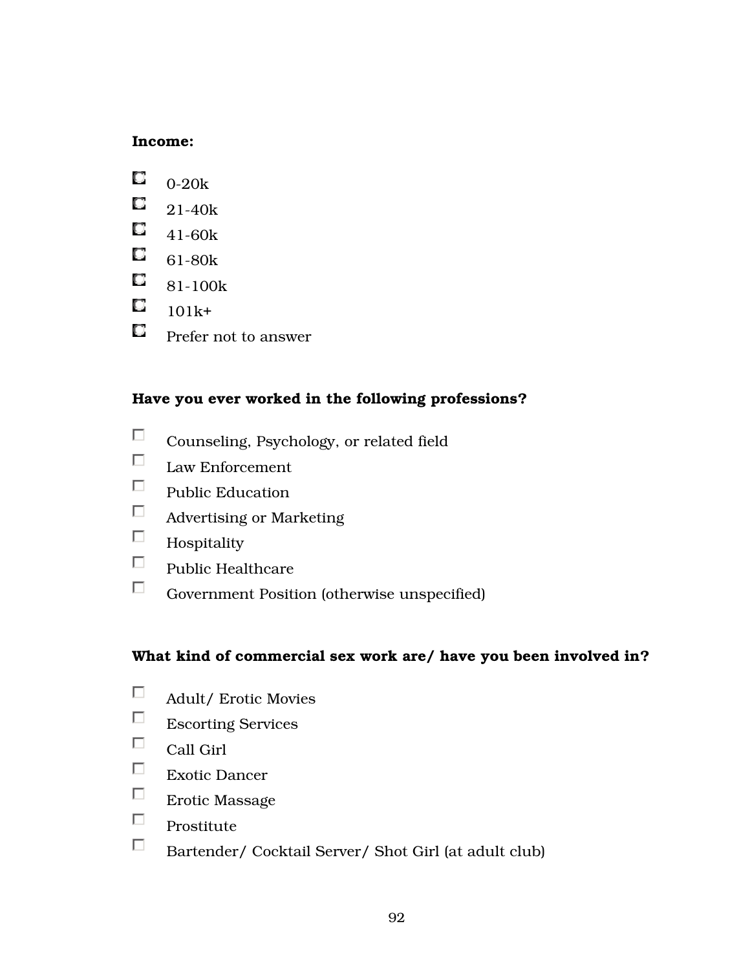### Income:

- O. 0-20k
- $\Box$ 21-40k
- $\Box$ 41-60k
- $\Box$ 61-80k
- $\Box$ 81-100k
- $\Box$ 101k+
- $\Box$ Prefer not to answer

# Have you ever worked in the following professions?

- $\Box$ Counseling, Psychology, or related field
- $\Box$ Law Enforcement
- $\Box$ Public Education
- $\Box$ Advertising or Marketing
- $\Box$ Hospitality
- $\Box$ Public Healthcare
- $\Box$ Government Position (otherwise unspecified)

# What kind of commercial sex work are/ have you been involved in?

- $\Box$ Adult/ Erotic Movies
- $\Box$ Escorting Services
- $\Box$ Call Girl
- $\Box$ Exotic Dancer
- $\Box$ Erotic Massage
- $\Box$ Prostitute
- $\Box$ Bartender/ Cocktail Server/ Shot Girl (at adult club)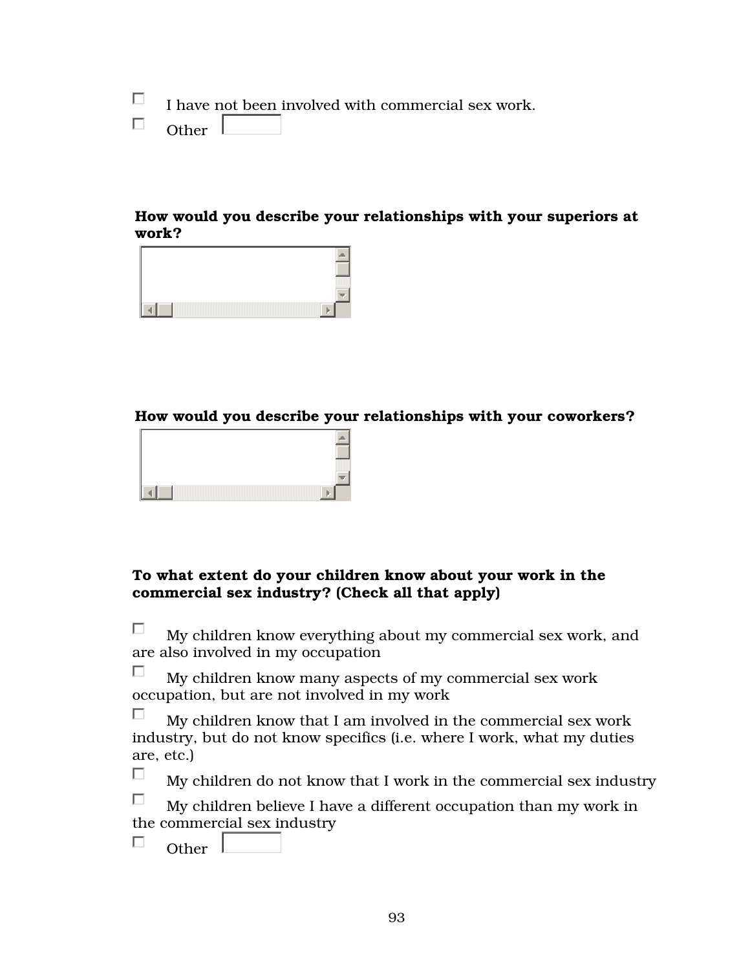П I have not been involved with commercial sex work.

 $\Box$ Other

### How would you describe your relationships with your superiors at work?



#### How would you describe your relationships with your coworkers?



### To what extent do your children know about your work in the commercial sex industry? (Check all that apply)

П. My children know everything about my commercial sex work, and are also involved in my occupation

П. My children know many aspects of my commercial sex work occupation, but are not involved in my work

п My children know that I am involved in the commercial sex work industry, but do not know specifics (i.e. where I work, what my duties are, etc.)

П My children do not know that I work in the commercial sex industry

П. My children believe I have a different occupation than my work in the commercial sex industry

Other

П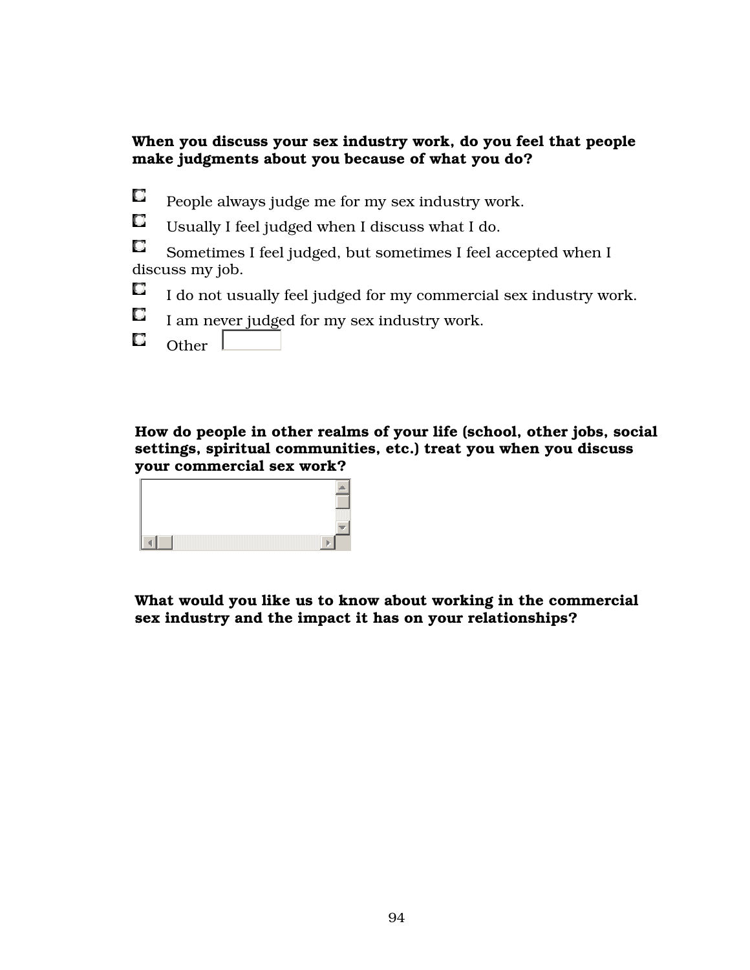## When you discuss your sex industry work, do you feel that people make judgments about you because of what you do?

- O People always judge me for my sex industry work.
- $\Box$ Usually I feel judged when I discuss what I do.
- $\Box$  Sometimes I feel judged, but sometimes I feel accepted when I discuss my job.
- O I do not usually feel judged for my commercial sex industry work.
- O I am never judged for my sex industry work.
- O Other  $\vert$

How do people in other realms of your life (school, other jobs, social settings, spiritual communities, etc.) treat you when you discuss your commercial sex work?



What would you like us to know about working in the commercial sex industry and the impact it has on your relationships?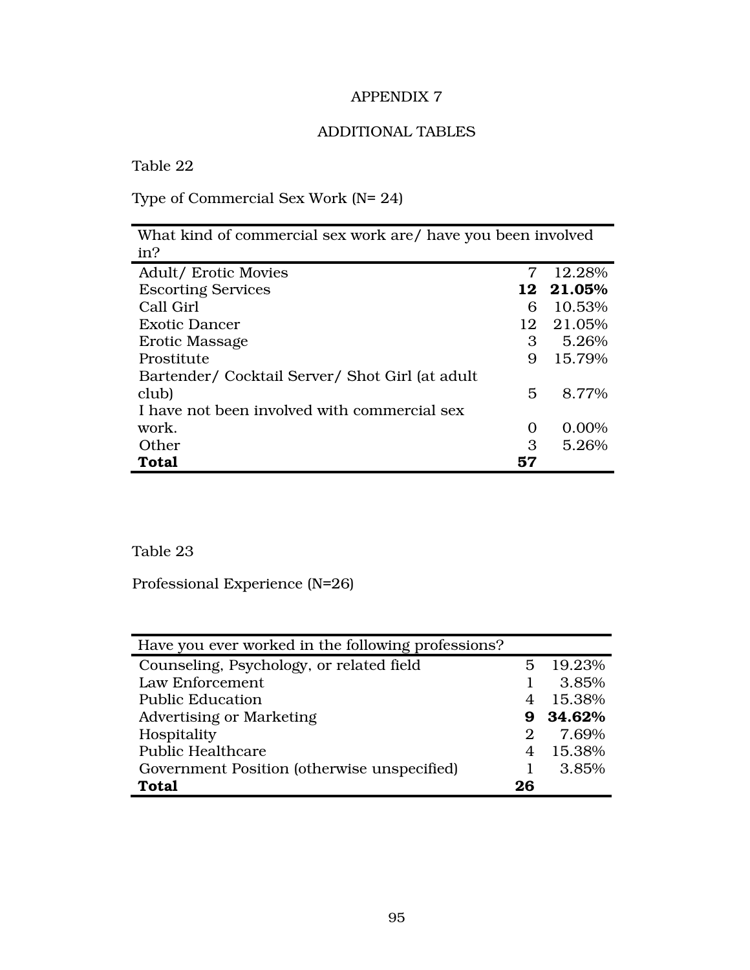# ADDITIONAL TABLES

Table 22

Type of Commercial Sex Work (N= 24)

| What kind of commercial sex work are/ have you been involved |    |           |
|--------------------------------------------------------------|----|-----------|
| in?                                                          |    |           |
| <b>Adult/ Erotic Movies</b>                                  | 7  | 12.28%    |
| <b>Escorting Services</b>                                    |    | 12 21.05% |
| Call Girl                                                    | 6  | 10.53%    |
| <b>Exotic Dancer</b>                                         | 12 | 21.05%    |
| Erotic Massage                                               | 3  | 5.26%     |
| Prostitute                                                   | 9  | 15.79%    |
| Bartender/ Cocktail Server/ Shot Girl (at adult              |    |           |
| club)                                                        | 5  | 8.77%     |
| I have not been involved with commercial sex                 |    |           |
| work.                                                        | O  | 0.00%     |
| Other                                                        | 3  | 5.26%     |
| <b>Total</b>                                                 | 57 |           |

# Table 23

Professional Experience (N=26)

| Have you ever worked in the following professions? |    |          |
|----------------------------------------------------|----|----------|
| Counseling, Psychology, or related field           | 5. | 19.23%   |
| Law Enforcement                                    |    | 3.85%    |
| <b>Public Education</b>                            |    | 15.38%   |
| <b>Advertising or Marketing</b>                    |    | 9 34.62% |
| Hospitality                                        | 2  | 7.69%    |
| <b>Public Healthcare</b>                           |    | 15.38%   |
| Government Position (otherwise unspecified)        |    | 3.85%    |
| <b>Total</b>                                       | 26 |          |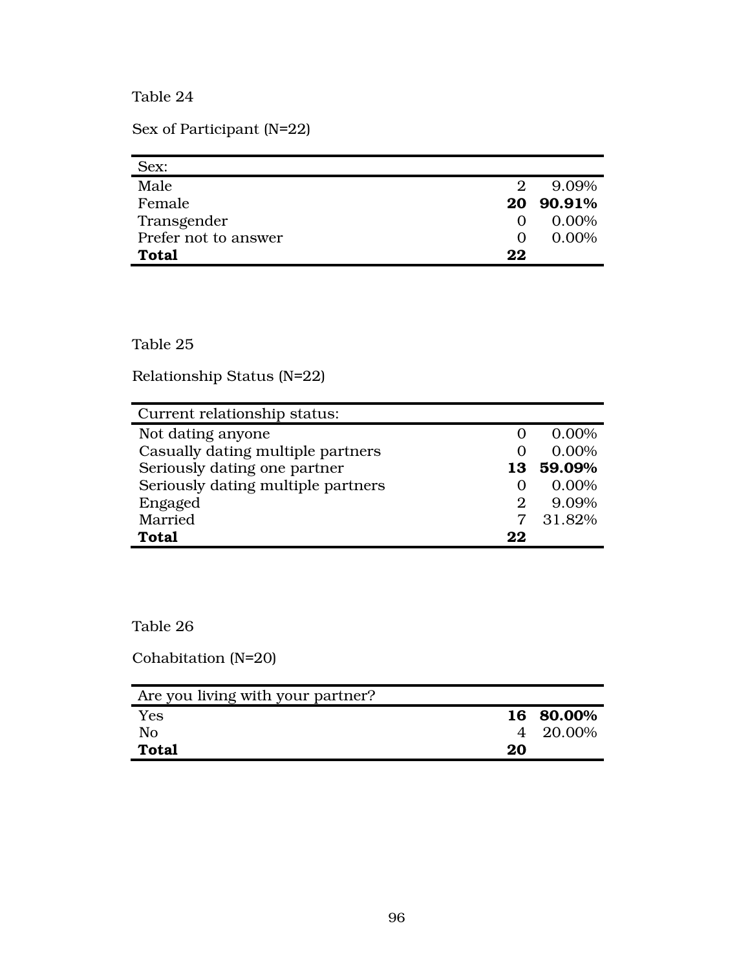Table 24

Sex of Participant (N=22)

| Sex:                 |                   |           |
|----------------------|-------------------|-----------|
| Male                 | $\mathfrak{D}$    | 9.09%     |
| Female               |                   | 20 90.91% |
| Transgender          | $\mathbf{\Omega}$ | $0.00\%$  |
| Prefer not to answer | $\mathbf{\Omega}$ | 0.00%     |
| <b>Total</b>         | 22                |           |

Table 25

Relationship Status (N=22)

| Current relationship status:       |    |        |
|------------------------------------|----|--------|
| Not dating anyone                  |    | 0.00%  |
| Casually dating multiple partners  |    | 0.00%  |
| Seriously dating one partner       | 13 | 59.09% |
| Seriously dating multiple partners |    | 0.00%  |
| Engaged                            | 2  | 9.09%  |
| Married                            |    | 31.82% |
| <b>Total</b>                       | 22 |        |

Table 26

Cohabitation (N=20)

| Are you living with your partner? |    |           |
|-----------------------------------|----|-----------|
| <b>Yes</b>                        |    | 16 80.00% |
| No                                |    | 4 20.00%  |
| Total                             | 20 |           |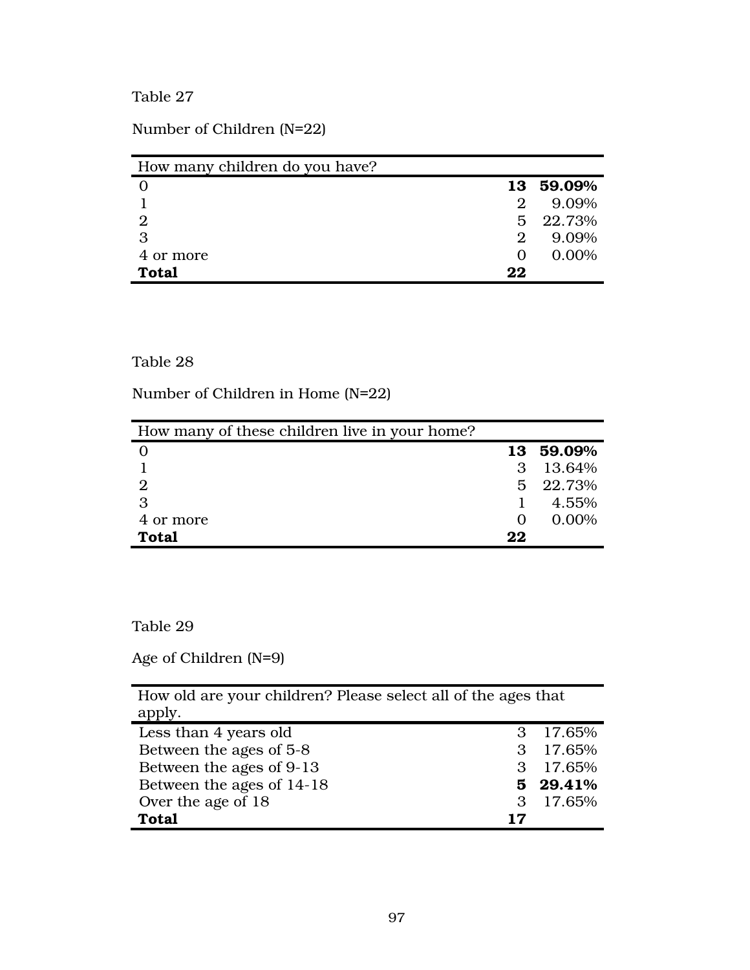Table 27

Number of Children (N=22)

| How many children do you have? |    |        |
|--------------------------------|----|--------|
|                                | 13 | 59.09% |
|                                | 2  | 9.09%  |
| $\overline{2}$                 | 5  | 22.73% |
| 3                              | 2  | 9.09%  |
| 4 or more                      |    | 0.00%  |
| <b>Total</b>                   | 22 |        |

### Table 28

Number of Children in Home (N=22)

| How many of these children live in your home? |    |           |
|-----------------------------------------------|----|-----------|
|                                               |    | 13 59.09% |
|                                               | 3  | 13.64%    |
|                                               |    | 5 22.73%  |
| З                                             |    | 4.55%     |
| 4 or more                                     |    | 0.00%     |
| <b>Total</b>                                  | 22 |           |

### Table 29

Age of Children (N=9)

| How old are your children? Please select all of the ages that |    |          |
|---------------------------------------------------------------|----|----------|
| apply.                                                        |    |          |
| Less than 4 years old                                         | 3  | 17.65%   |
| Between the ages of 5-8                                       | 3  | 17.65%   |
| Between the ages of 9-13                                      | 3  | 17.65%   |
| Between the ages of 14-18                                     |    | 5 29.41% |
| Over the age of 18                                            | 3  | 17.65%   |
| <b>Total</b>                                                  | 17 |          |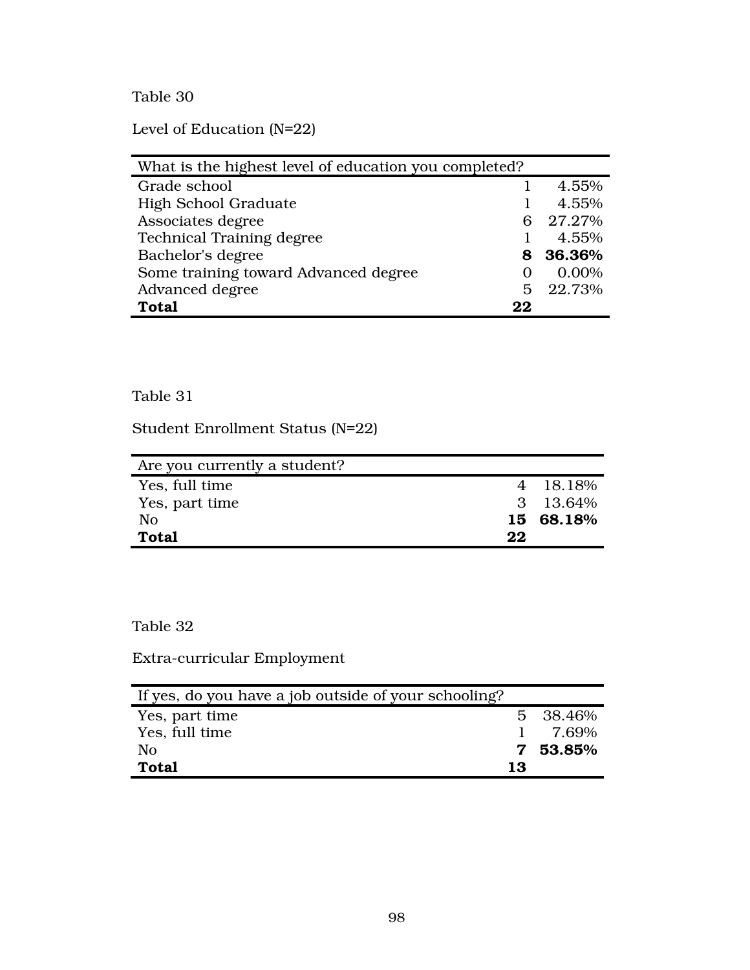Table 30

Level of Education (N=22)

| What is the highest level of education you completed? |    |          |
|-------------------------------------------------------|----|----------|
| Grade school                                          |    | 4.55%    |
| <b>High School Graduate</b>                           |    | 4.55%    |
| Associates degree                                     | 6  | 27.27%   |
| <b>Technical Training degree</b>                      |    | 4.55%    |
| Bachelor's degree                                     |    | 8 36.36% |
| Some training toward Advanced degree                  |    | 0.00%    |
| Advanced degree                                       |    | 5 22.73% |
| <b>Total</b>                                          | 22 |          |

## Table 31

Student Enrollment Status (N=22)

| Are you currently a student? |    |           |
|------------------------------|----|-----------|
| Yes, full time               |    | 4 18.18%  |
| Yes, part time               |    | 3 13.64%  |
| No                           |    | 15 68.18% |
| <b>Total</b>                 | 22 |           |

# Table 32

Extra-curricular Employment

| If yes, do you have a job outside of your schooling? |    |          |
|------------------------------------------------------|----|----------|
| Yes, part time                                       |    | 5 38.46% |
| Yes, full time                                       |    | 7.69%    |
| No                                                   |    | 7 53.85% |
| <b>Total</b>                                         | 13 |          |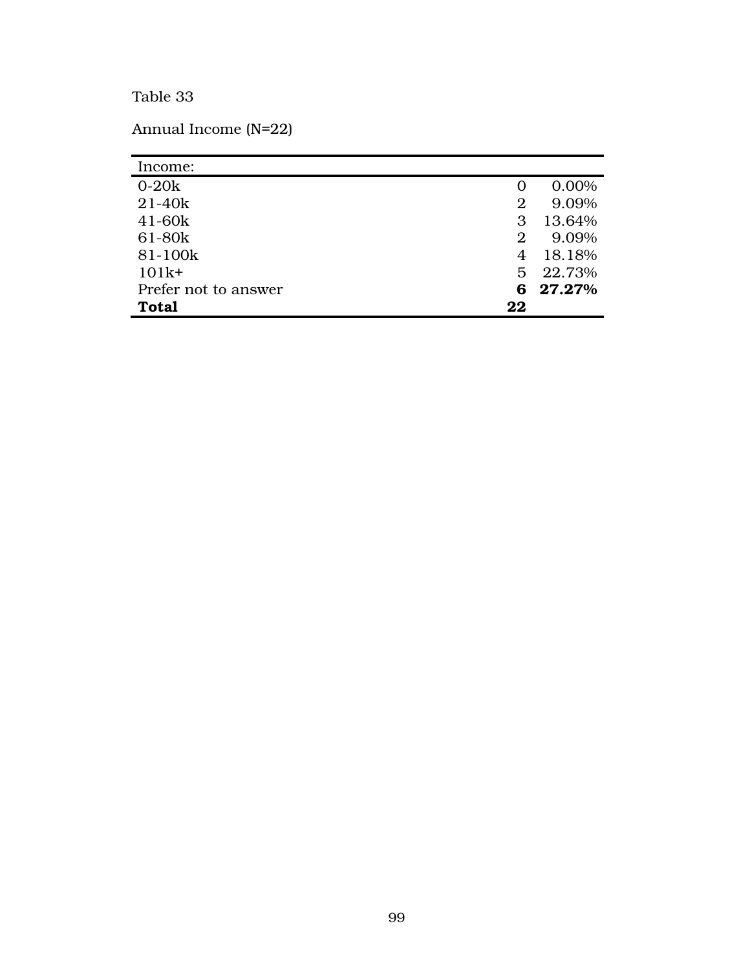# Table 33

Annual Income (N=22)

| Income:              |    |          |
|----------------------|----|----------|
| $0-20k$              |    | 0.00%    |
| $21 - 40k$           | 2  | 9.09%    |
| $41 - 60k$           | З  | 13.64%   |
| 61-80k               | 2  | 9.09%    |
| 81-100k              | 4  | 18.18%   |
| $101k+$              |    | 5 22.73% |
| Prefer not to answer |    | 6 27.27% |
| <b>Total</b>         | 22 |          |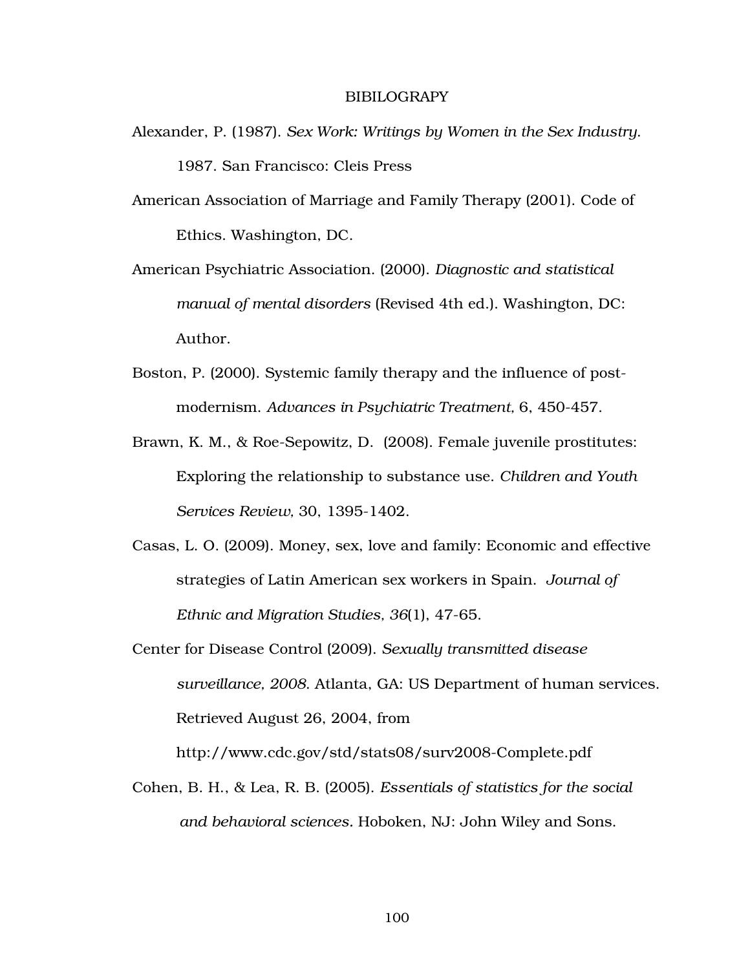#### **BIBILOGRAPY**

- Alexander, P. (1987). *Sex Work: Writings by Women in the Sex Industry*. 1987. San Francisco: Cleis Press
- American Association of Marriage and Family Therapy (2001). Code of Ethics. Washington, DC.
- American Psychiatric Association. (2000). *Diagnostic and statistical manual of mental disorders* (Revised 4th ed.). Washington, DC: Author.
- Boston, P. (2000). Systemic family therapy and the influence of postmodernism. *Advances in Psychiatric Treatment,* 6, 450-457.
- Brawn, K. M., & Roe-Sepowitz, D. (2008). Female juvenile prostitutes: Exploring the relationship to substance use. *Children and Youth Services Review,* 30, 1395-1402.
- Casas, L. O. (2009). Money, sex, love and family: Economic and effective strategies of Latin American sex workers in Spain. *Journal of Ethnic and Migration Studies, 36*(1), 47-65.
- Center for Disease Control (2009). *Sexually transmitted disease surveillance, 2008*. Atlanta, GA: US Department of human services. Retrieved August 26, 2004, from

http://www.cdc.gov/std/stats08/surv2008-Complete.pdf

Cohen, B. H., & Lea, R. B. (2005). *Essentials of statistics for the social and behavioral sciences.* Hoboken, NJ: John Wiley and Sons.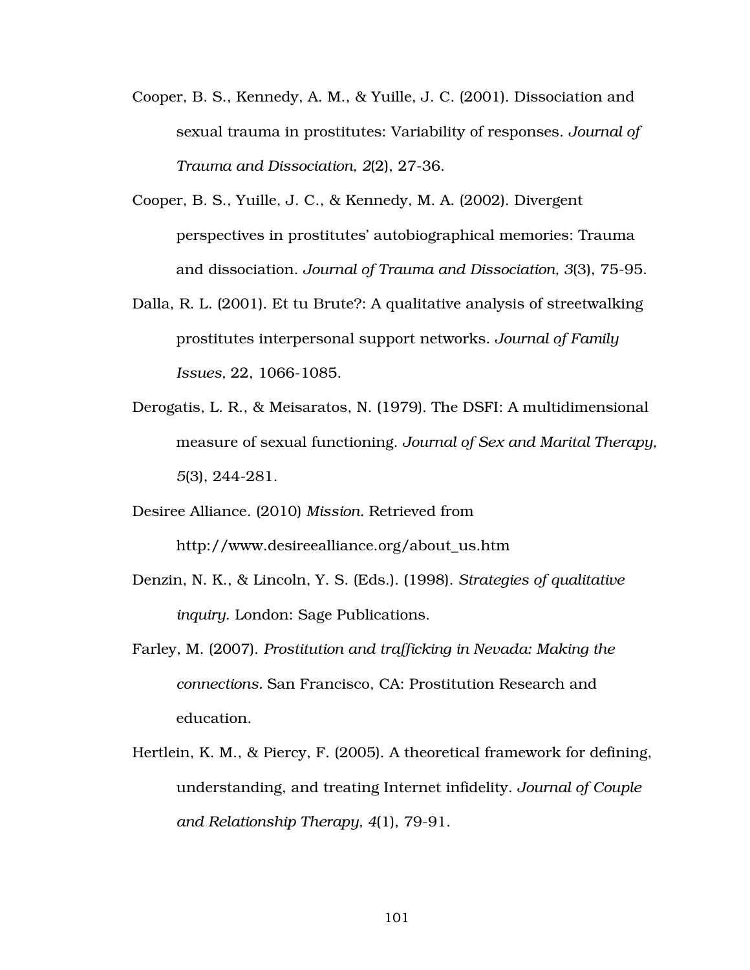- Cooper, B. S., Kennedy, A. M., & Yuille, J. C. (2001). Dissociation and sexual trauma in prostitutes: Variability of responses. *Journal of Trauma and Dissociation, 2*(2), 27-36.
- Cooper, B. S., Yuille, J. C., & Kennedy, M. A. (2002). Divergent perspectives in prostitutes' autobiographical memories: Trauma and dissociation. *Journal of Trauma and Dissociation, 3*(3), 75-95.
- Dalla, R. L. (2001). Et tu Brute?: A qualitative analysis of streetwalking prostitutes interpersonal support networks. *Journal of Family Issues,* 22, 1066-1085.
- Derogatis, L. R., & Meisaratos, N. (1979). The DSFI: A multidimensional measure of sexual functioning. *Journal of Sex and Marital Therapy, 5*(3), 244-281.
- Desiree Alliance. (2010) *Mission.* Retrieved from

http://www.desireealliance.org/about\_us.htm

- Denzin, N. K., & Lincoln, Y. S. (Eds.). (1998). *Strategies of qualitative inquiry*. London: Sage Publications.
- Farley, M. (2007). *Prostitution and trafficking in Nevada: Making the connections.* San Francisco, CA: Prostitution Research and education.
- Hertlein, K. M., & Piercy, F. (2005). A theoretical framework for defining, understanding, and treating Internet infidelity. *Journal of Couple and Relationship Therapy, 4*(1), 79-91.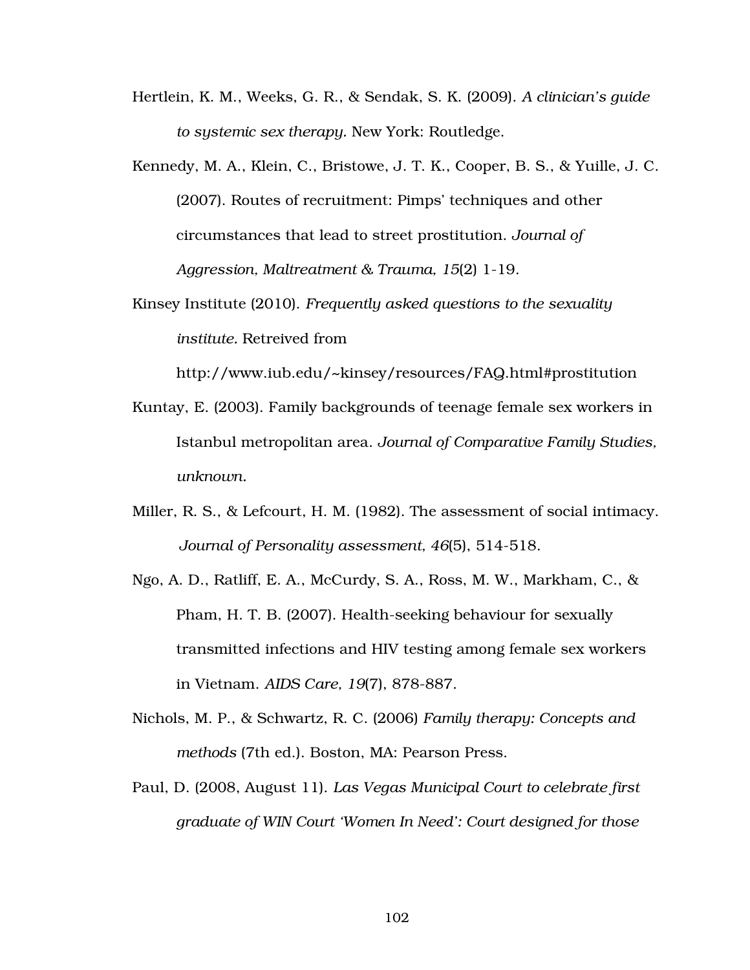- Hertlein, K. M., Weeks, G. R., & Sendak, S. K. (2009). *A clinician's guide to systemic sex therapy.* New York: Routledge.
- Kennedy, M. A., Klein, C., Bristowe, J. T. K., Cooper, B. S., & Yuille, J. C. (2007). Routes of recruitment: Pimps' techniques and other circumstances that lead to street prostitution. *Journal of Aggression, Maltreatment & Trauma, 15*(2) 1-19.
- Kinsey Institute (2010). *Frequently asked questions to the sexuality institute.* Retreived from

http://www.iub.edu/~kinsey/resources/FAQ.html#prostitution

- Kuntay, E. (2003). Family backgrounds of teenage female sex workers in Istanbul metropolitan area. *Journal of Comparative Family Studies, unknown.*
- Miller, R. S., & Lefcourt, H. M. (1982). The assessment of social intimacy. *Journal of Personality assessment, 46*(5), 514-518.
- Ngo, A. D., Ratliff, E. A., McCurdy, S. A., Ross, M. W., Markham, C., & Pham, H. T. B. (2007). Health-seeking behaviour for sexually transmitted infections and HIV testing among female sex workers in Vietnam. *AIDS Care, 19*(7), 878-887.
- Nichols, M. P., & Schwartz, R. C. (2006) *Family therapy: Concepts and methods* (7th ed.). Boston, MA: Pearson Press.
- Paul, D. (2008, August 11). *Las Vegas Municipal Court to celebrate first graduate of WIN Court 'Women In Need': Court designed for those*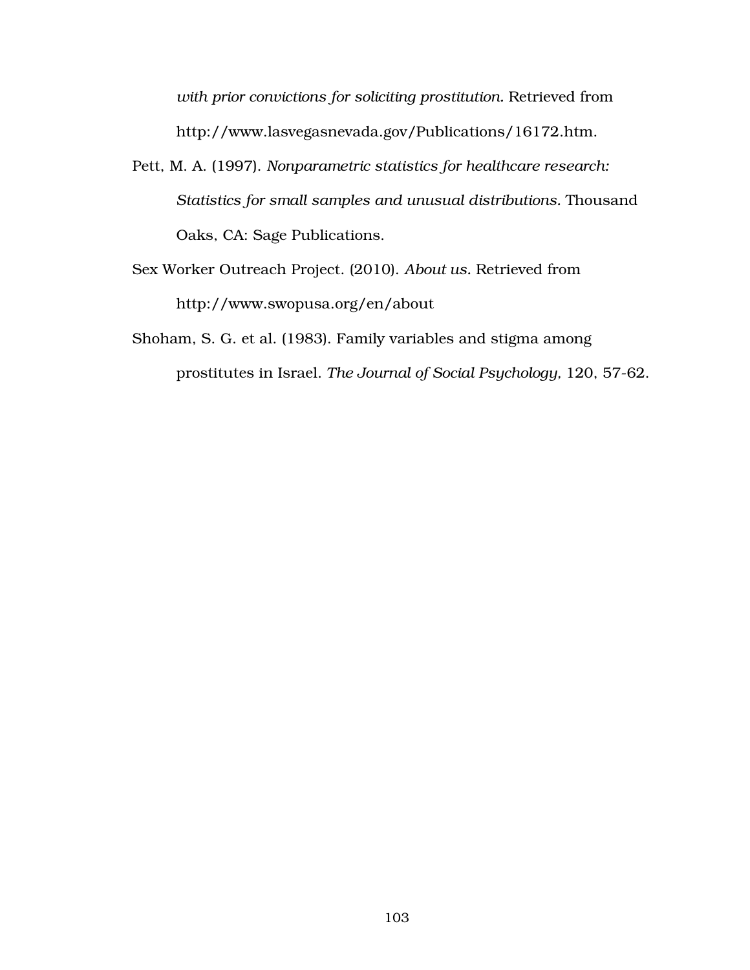*with prior convictions for soliciting prostitution.* Retrieved from http://www.lasvegasnevada.gov/Publications/16172.htm.

- Pett, M. A. (1997). *Nonparametric statistics for healthcare research: Statistics for small samples and unusual distributions.* Thousand Oaks, CA: Sage Publications.
- Sex Worker Outreach Project. (2010). *About us.* Retrieved from http://www.swopusa.org/en/about
- Shoham, S. G. et al. (1983). Family variables and stigma among prostitutes in Israel. *The Journal of Social Psychology,* 120, 57-62.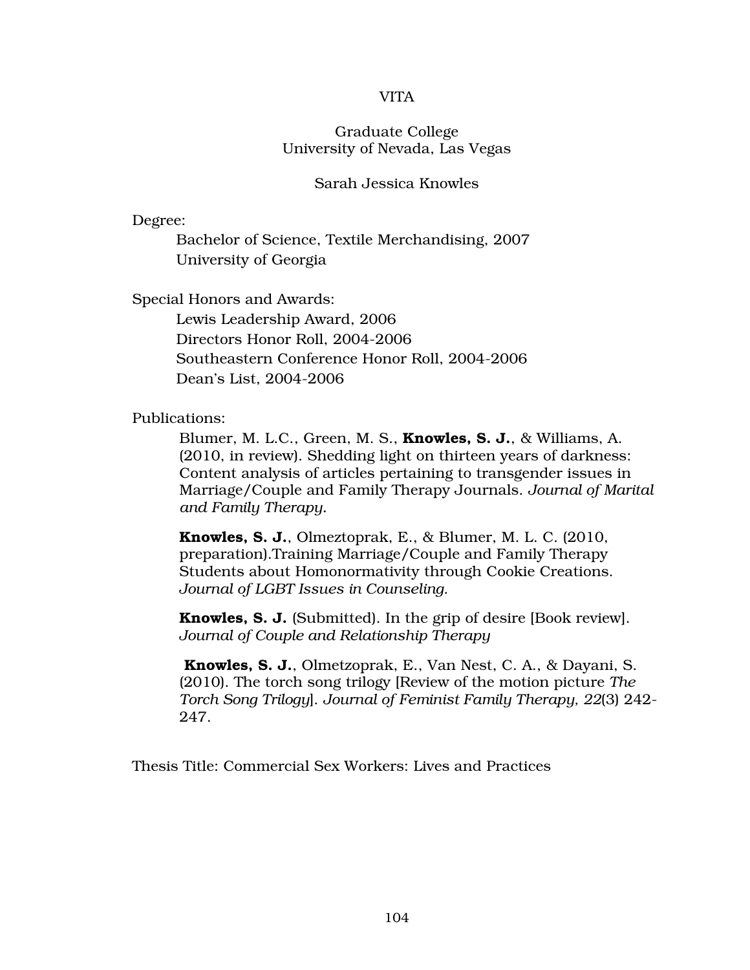### VITA

## Graduate College University of Nevada, Las Vegas

#### Sarah Jessica Knowles

Degree:

 Bachelor of Science, Textile Merchandising, 2007 University of Georgia

Special Honors and Awards:

 Lewis Leadership Award, 2006 Directors Honor Roll, 2004-2006 Southeastern Conference Honor Roll, 2004-2006 Dean's List, 2004-2006

Publications:

Blumer, M. L.C., Green, M. S., Knowles, S. J., & Williams, A. (2010, in review). Shedding light on thirteen years of darkness: Content analysis of articles pertaining to transgender issues in Marriage/Couple and Family Therapy Journals. *Journal of Marital and Family Therapy.* 

Knowles, S. J., Olmeztoprak, E., & Blumer, M. L. C. (2010, preparation).Training Marriage/Couple and Family Therapy Students about Homonormativity through Cookie Creations. *Journal of LGBT Issues in Counseling*.

Knowles, S. J. (Submitted). In the grip of desire [Book review]. *Journal of Couple and Relationship Therapy* 

 Knowles, S. J., Olmetzoprak, E., Van Nest, C. A., & Dayani, S. (2010). The torch song trilogy [Review of the motion picture *The Torch Song Trilogy*]. *Journal of Feminist Family Therapy, 22*(3) 242- 247.

Thesis Title: Commercial Sex Workers: Lives and Practices